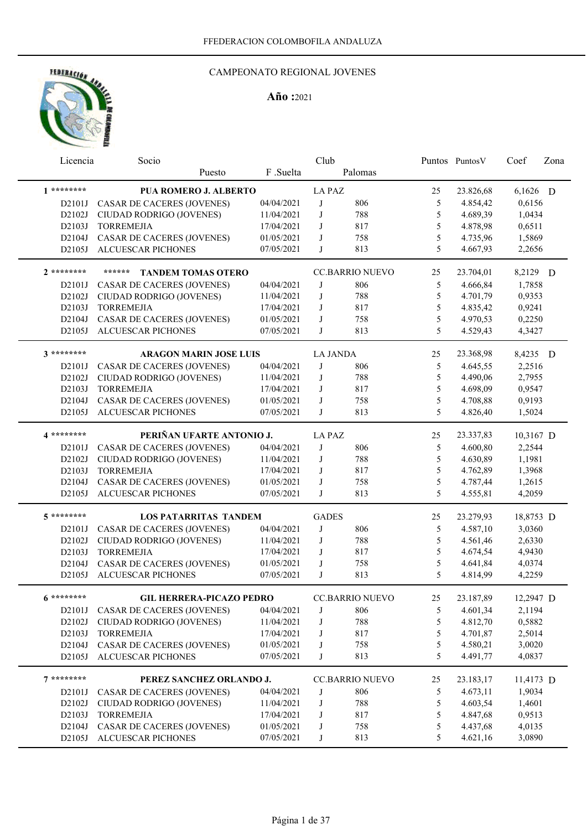

| Licencia     | Socio                               |            | Club            |                        |               | Puntos Puntos V | Coef      | Zona |
|--------------|-------------------------------------|------------|-----------------|------------------------|---------------|-----------------|-----------|------|
|              | Puesto                              | F .Suelta  |                 | Palomas                |               |                 |           |      |
| $1*********$ | PUA ROMERO J. ALBERTO               |            | <b>LA PAZ</b>   |                        | 25            | 23.826,68       | 6,1626 D  |      |
| D2101J       | <b>CASAR DE CACERES (JOVENES)</b>   | 04/04/2021 | J               | 806                    | 5             | 4.854,42        | 0,6156    |      |
| D2102J       | CIUDAD RODRIGO (JOVENES)            | 11/04/2021 | J               | 788                    | 5             | 4.689,39        | 1,0434    |      |
| D2103J       | <b>TORREMEJIA</b>                   | 17/04/2021 | J               | 817                    | 5             | 4.878,98        | 0,6511    |      |
| D2104J       | CASAR DE CACERES (JOVENES)          | 01/05/2021 | J               | 758                    | 5             | 4.735,96        | 1,5869    |      |
| D2105J       | ALCUESCAR PICHONES                  | 07/05/2021 | J               | 813                    | 5             | 4.667,93        | 2,2656    |      |
| $2*******$   | ******<br><b>TANDEM TOMAS OTERO</b> |            |                 | <b>CC.BARRIO NUEVO</b> | 25            | 23.704,01       | 8,2129 D  |      |
| D2101J       | CASAR DE CACERES (JOVENES)          | 04/04/2021 | J               | 806                    | 5             | 4.666,84        | 1,7858    |      |
| D2102J       | CIUDAD RODRIGO (JOVENES)            | 11/04/2021 | J               | 788                    | 5             | 4.701,79        | 0,9353    |      |
| D2103J       | <b>TORREMEJIA</b>                   | 17/04/2021 | J               | 817                    | 5             | 4.835,42        | 0,9241    |      |
| D2104J       | <b>CASAR DE CACERES (JOVENES)</b>   | 01/05/2021 | J               | 758                    | 5             | 4.970,53        | 0,2250    |      |
| D2105J       | <b>ALCUESCAR PICHONES</b>           | 07/05/2021 | J               | 813                    | 5             | 4.529,43        | 4,3427    |      |
| $3********$  | <b>ARAGON MARIN JOSE LUIS</b>       |            | <b>LA JANDA</b> |                        | 25            | 23.368,98       | 8,4235 D  |      |
| D2101J       | <b>CASAR DE CACERES (JOVENES)</b>   | 04/04/2021 | J               | 806                    | 5             | 4.645,55        | 2,2516    |      |
| D2102J       | CIUDAD RODRIGO (JOVENES)            | 11/04/2021 | J               | 788                    | $\mathfrak s$ | 4.490,06        | 2,7955    |      |
| D2103J       | <b>TORREMEJIA</b>                   | 17/04/2021 | J               | 817                    | 5             | 4.698,09        | 0,9547    |      |
| D2104J       | <b>CASAR DE CACERES (JOVENES)</b>   | 01/05/2021 | J               | 758                    | 5             | 4.708,88        | 0,9193    |      |
| D2105J       | <b>ALCUESCAR PICHONES</b>           | 07/05/2021 | J               | 813                    | 5             | 4.826,40        | 1,5024    |      |
| 4 *********  | PERIÑAN UFARTE ANTONIO J.           |            |                 |                        |               |                 |           |      |
|              |                                     |            | <b>LA PAZ</b>   |                        | 25            | 23.337,83       | 10,3167 D |      |
| D2101J       | <b>CASAR DE CACERES (JOVENES)</b>   | 04/04/2021 | J               | 806                    | 5             | 4.600,80        | 2,2544    |      |
| D2102J       | CIUDAD RODRIGO (JOVENES)            | 11/04/2021 | J               | 788                    | 5             | 4.630,89        | 1,1981    |      |
| D2103J       | <b>TORREMEJIA</b>                   | 17/04/2021 | J               | 817                    | 5             | 4.762,89        | 1,3968    |      |
| D2104J       | CASAR DE CACERES (JOVENES)          | 01/05/2021 | J               | 758                    | 5             | 4.787,44        | 1,2615    |      |
| D2105J       | <b>ALCUESCAR PICHONES</b>           | 07/05/2021 | J               | 813                    | 5             | 4.555,81        | 4,2059    |      |
| 5 *********  | <b>LOS PATARRITAS TANDEM</b>        |            | <b>GADES</b>    |                        | 25            | 23.279,93       | 18,8753 D |      |
| D2101J       | CASAR DE CACERES (JOVENES)          | 04/04/2021 | J               | 806                    | 5             | 4.587,10        | 3,0360    |      |
| D2102J       | CIUDAD RODRIGO (JOVENES)            | 11/04/2021 | J               | 788                    | 5             | 4.561,46        | 2,6330    |      |
| D2103J       | <b>TORREMEJIA</b>                   | 17/04/2021 | J               | 817                    | 5             | 4.674,54        | 4,9430    |      |
| D2104J       | CASAR DE CACERES (JOVENES)          | 01/05/2021 | J               | 758                    | 5             | 4.641,84        | 4,0374    |      |
| D2105J       | ALCUESCAR PICHONES                  | 07/05/2021 | J               | 813                    | 5             | 4.814,99        | 4,2259    |      |
| $6*******$   | <b>GIL HERRERA-PICAZO PEDRO</b>     |            |                 | <b>CC.BARRIO NUEVO</b> | 25            | 23.187,89       | 12,2947 D |      |
| D2101J       | <b>CASAR DE CACERES (JOVENES)</b>   | 04/04/2021 | J               | 806                    | 5             | 4.601,34        | 2,1194    |      |
| D2102J       | CIUDAD RODRIGO (JOVENES)            | 11/04/2021 | J               | 788                    | 5             | 4.812,70        | 0,5882    |      |
| D2103J       | <b>TORREMEJIA</b>                   | 17/04/2021 | J               | 817                    | 5             | 4.701,87        | 2,5014    |      |
| D2104J       | <b>CASAR DE CACERES (JOVENES)</b>   | 01/05/2021 | J               | 758                    | 5             | 4.580,21        | 3,0020    |      |
| D2105J       | ALCUESCAR PICHONES                  | 07/05/2021 | J               | 813                    | 5             | 4.491,77        | 4,0837    |      |
| $7*******$   | PEREZ SANCHEZ ORLANDO J.            |            |                 | <b>CC.BARRIO NUEVO</b> | 25            | 23.183,17       | 11,4173 D |      |
| D2101J       | CASAR DE CACERES (JOVENES)          | 04/04/2021 | J               | 806                    | 5             | 4.673,11        | 1,9034    |      |
| D2102J       | CIUDAD RODRIGO (JOVENES)            | 11/04/2021 | J               | 788                    | 5             | 4.603,54        | 1,4601    |      |
| D2103J       | <b>TORREMEJIA</b>                   | 17/04/2021 | J               | 817                    | 5             | 4.847,68        | 0,9513    |      |
| D2104J       | CASAR DE CACERES (JOVENES)          | 01/05/2021 | J               | 758                    | 5             | 4.437,68        | 4,0135    |      |
| D2105J       | ALCUESCAR PICHONES                  | 07/05/2021 | J               | 813                    | 5             | 4.621,16        | 3,0890    |      |
|              |                                     |            |                 |                        |               |                 |           |      |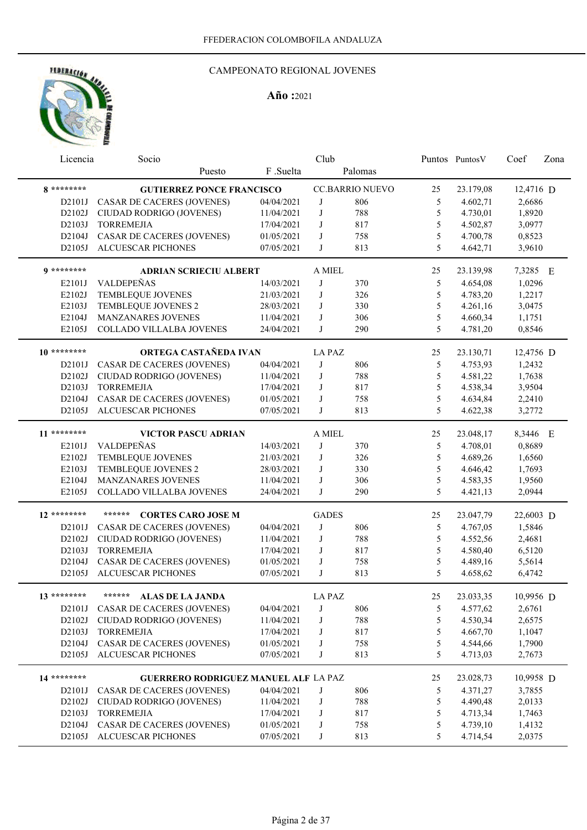

|               | Club<br>Socio<br>Licencia                                            |                          |               |                        | Puntos PuntosV | Coef                 | Zona             |  |
|---------------|----------------------------------------------------------------------|--------------------------|---------------|------------------------|----------------|----------------------|------------------|--|
|               | Puesto                                                               | F .Suelta                |               | Palomas                |                |                      |                  |  |
| 8 *********   | <b>GUTIERREZ PONCE FRANCISCO</b>                                     |                          |               | <b>CC.BARRIO NUEVO</b> | 25             | 23.179,08            | 12,4716 D        |  |
| D2101J        | CASAR DE CACERES (JOVENES)                                           | 04/04/2021               | J             | 806                    | 5              | 4.602,71             | 2,6686           |  |
| D2102J        | CIUDAD RODRIGO (JOVENES)                                             | 11/04/2021               | J             | 788                    | 5              | 4.730,01             | 1,8920           |  |
| D2103J        | <b>TORREMEJIA</b>                                                    | 17/04/2021               | J             | 817                    | 5              | 4.502,87             | 3,0977           |  |
| D2104J        | CASAR DE CACERES (JOVENES)                                           | 01/05/2021               | J             | 758                    | 5              | 4.700,78             | 0,8523           |  |
| D2105J        | <b>ALCUESCAR PICHONES</b>                                            | 07/05/2021               | J             | 813                    | 5              | 4.642,71             | 3,9610           |  |
|               |                                                                      |                          |               |                        |                |                      |                  |  |
| $9*******$    | <b>ADRIAN SCRIECIU ALBERT</b>                                        |                          | A MIEL        |                        | 25             | 23.139,98            | 7,3285 E         |  |
| E2101J        | VALDEPEÑAS                                                           | 14/03/2021               | J             | 370                    | 5              | 4.654,08             | 1,0296           |  |
| E2102J        | TEMBLEQUE JOVENES                                                    | 21/03/2021               | J             | 326                    | 5              | 4.783,20             | 1,2217           |  |
| E2103J        | TEMBLEQUE JOVENES 2                                                  | 28/03/2021               | J             | 330                    | 5              | 4.261,16             | 3,0475           |  |
| E2104J        | MANZANARES JOVENES                                                   | 11/04/2021               | J             | 306                    | 5              | 4.660,34             | 1,1751           |  |
| E2105J        | COLLADO VILLALBA JOVENES                                             | 24/04/2021               | J             | 290                    | 5              | 4.781,20             | 0,8546           |  |
| $10*******$   | ORTEGA CASTAÑEDA IVAN                                                |                          | <b>LA PAZ</b> |                        | 25             | 23.130,71            | 12,4756 D        |  |
| D2101J        | <b>CASAR DE CACERES (JOVENES)</b>                                    | 04/04/2021               | J             | 806                    | 5              | 4.753,93             | 1,2432           |  |
| D2102J        | CIUDAD RODRIGO (JOVENES)                                             | 11/04/2021               | J             | 788                    | 5              | 4.581,22             | 1,7638           |  |
| D2103J        | <b>TORREMEJIA</b>                                                    | 17/04/2021               | J             | 817                    | 5              | 4.538,34             | 3,9504           |  |
| D2104J        | <b>CASAR DE CACERES (JOVENES)</b>                                    | 01/05/2021               | J             | 758                    | 5              | 4.634,84             | 2,2410           |  |
| D2105J        | ALCUESCAR PICHONES                                                   | 07/05/2021               | J             | 813                    | 5              | 4.622,38             | 3,2772           |  |
| 11 ********   |                                                                      |                          |               |                        |                |                      |                  |  |
|               | <b>VICTOR PASCU ADRIAN</b>                                           |                          | A MIEL        |                        | 25             | 23.048,17            | 8,3446 E         |  |
| E2101J        | VALDEPEÑAS                                                           | 14/03/2021               | J             | 370                    | 5              | 4.708,01             | 0,8689           |  |
| E2102J        | TEMBLEQUE JOVENES                                                    | 21/03/2021               | J             | 326                    | 5              | 4.689,26             | 1,6560           |  |
| E2103J        | TEMBLEQUE JOVENES 2                                                  | 28/03/2021               | J             | 330                    | 5              | 4.646,42             | 1,7693           |  |
| E2104J        | MANZANARES JOVENES                                                   | 11/04/2021               | J             | 306                    | 5              | 4.583,35             | 1,9560           |  |
| E2105J        | COLLADO VILLALBA JOVENES                                             | 24/04/2021               | J             | 290                    | 5              | 4.421,13             | 2,0944           |  |
| $12$ ******** | ******<br><b>CORTES CARO JOSE M</b>                                  |                          | <b>GADES</b>  |                        | 25             | 23.047,79            | 22,6003 D        |  |
| D2101J        | CASAR DE CACERES (JOVENES)                                           | 04/04/2021               | J             | 806                    | 5              | 4.767,05             | 1,5846           |  |
| D2102J        | CIUDAD RODRIGO (JOVENES)                                             | 11/04/2021               | J             | 788                    | 5              | 4.552,56             | 2,4681           |  |
| D2103J        | <b>TORREMEJIA</b>                                                    | 17/04/2021               | J             | 817                    | 5              | 4.580,40             | 6,5120           |  |
| D2104J        | CASAR DE CACERES (JOVENES)                                           | 01/05/2021               | J             | 758                    | 5              | 4.489,16             | 5,5614           |  |
| D2105J        | <b>ALCUESCAR PICHONES</b>                                            | 07/05/2021               | J             | 813                    | 5              | 4.658,62             | 6,4742           |  |
| 13 ********   | ****** ALAS DE LA JANDA                                              |                          | LA PAZ        |                        | $25\,$         | 23.033,35            | 10,9956 D        |  |
|               |                                                                      |                          | J             |                        |                | 4.577,62             |                  |  |
|               | D2101J CASAR DE CACERES (JOVENES)<br>D2102J CIUDAD RODRIGO (JOVENES) | 04/04/2021               |               | 806                    | 5              | 4.530,34             | 2,6761<br>2,6575 |  |
|               |                                                                      | 11/04/2021               | J             | 788                    | 5              |                      |                  |  |
|               | D2103J TORREMEJIA                                                    | 17/04/2021               | J             | 817                    | 5              | 4.667,70             | 1,1047           |  |
|               | D2104J CASAR DE CACERES (JOVENES)<br>D2105J ALCUESCAR PICHONES       | 01/05/2021<br>07/05/2021 | J<br>J        | 758<br>813             | 5<br>5         | 4.544,66<br>4.713,03 | 1,7900<br>2,7673 |  |
|               |                                                                      |                          |               |                        |                |                      |                  |  |
| 14 ********   | <b>GUERRERO RODRIGUEZ MANUEL ALF LA PAZ</b>                          |                          |               |                        | 25             | 23.028,73            | 10,9958 D        |  |
| D2101J        | <b>CASAR DE CACERES (JOVENES)</b>                                    | 04/04/2021               | J             | 806                    | 5              | 4.371,27             | 3,7855           |  |
| D2102J        | CIUDAD RODRIGO (JOVENES)                                             | 11/04/2021               | J             | 788                    | 5              | 4.490,48             | 2,0133           |  |
| D2103J        | <b>TORREMEJIA</b>                                                    | 17/04/2021               | J             | 817                    | 5              | 4.713,34             | 1,7463           |  |
| D2104J        | CASAR DE CACERES (JOVENES)                                           | 01/05/2021               | J             | 758                    | 5              | 4.739,10             | 1,4132           |  |
|               | D2105J ALCUESCAR PICHONES                                            | 07/05/2021               | J             | 813                    | 5              | 4.714,54             | 2,0375           |  |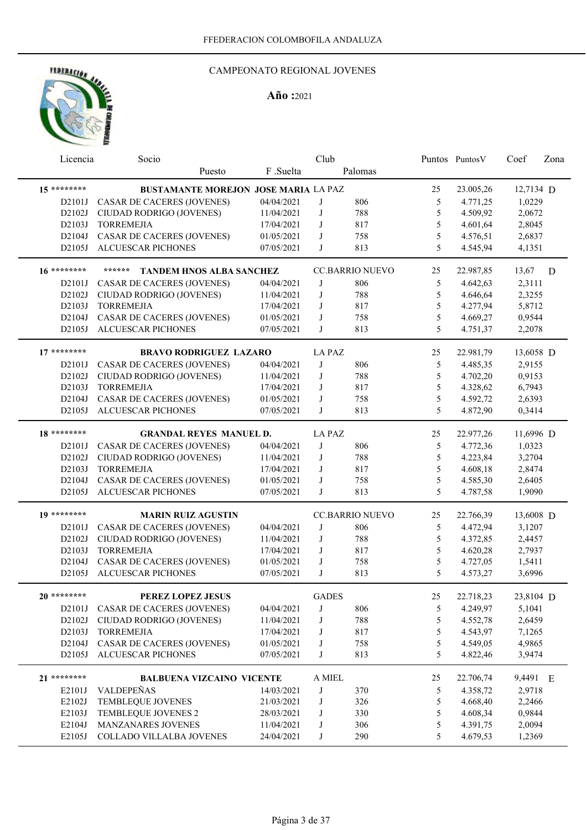

| Licencia    | Socio                                       |            | Club          |                        |               | Puntos Puntos V | Coef      | Zona |
|-------------|---------------------------------------------|------------|---------------|------------------------|---------------|-----------------|-----------|------|
|             | Puesto                                      | F .Suelta  |               | Palomas                |               |                 |           |      |
| $15******$  | <b>BUSTAMANTE MOREJON JOSE MARIA LA PAZ</b> |            |               |                        | 25            | 23.005,26       | 12,7134 D |      |
| D2101J      | CASAR DE CACERES (JOVENES)                  | 04/04/2021 | J             | 806                    | 5             | 4.771,25        | 1,0229    |      |
| D2102J      | CIUDAD RODRIGO (JOVENES)                    | 11/04/2021 | J             | 788                    | 5             | 4.509,92        | 2,0672    |      |
| D2103J      | <b>TORREMEJIA</b>                           | 17/04/2021 | J             | 817                    | 5             | 4.601,64        | 2,8045    |      |
| D2104J      | CASAR DE CACERES (JOVENES)                  | 01/05/2021 | J             | 758                    | 5             | 4.576,51        | 2,6837    |      |
| D2105J      | <b>ALCUESCAR PICHONES</b>                   | 07/05/2021 | J             | 813                    | 5             | 4.545,94        | 4,1351    |      |
| 16 ******** | ******<br><b>TANDEM HNOS ALBA SANCHEZ</b>   |            |               | <b>CC.BARRIO NUEVO</b> | 25            | 22.987,85       | 13,67     | D    |
| D2101J      | <b>CASAR DE CACERES (JOVENES)</b>           | 04/04/2021 | J             | 806                    | 5             | 4.642,63        | 2,3111    |      |
| D2102J      | CIUDAD RODRIGO (JOVENES)                    | 11/04/2021 | J             | 788                    | 5             | 4.646,64        | 2,3255    |      |
| D2103J      | <b>TORREMEJIA</b>                           | 17/04/2021 | J             | 817                    | 5             | 4.277,94        | 5,8712    |      |
| D2104J      | CASAR DE CACERES (JOVENES)                  | 01/05/2021 | J             | 758                    | 5             | 4.669,27        | 0,9544    |      |
| D2105J      | <b>ALCUESCAR PICHONES</b>                   | 07/05/2021 | J             | 813                    | 5             | 4.751,37        | 2,2078    |      |
| $17******$  | <b>BRAVO RODRIGUEZ LAZARO</b>               |            | LA PAZ        |                        | 25            | 22.981,79       | 13,6058 D |      |
| D2101J      | <b>CASAR DE CACERES (JOVENES)</b>           | 04/04/2021 | J             | 806                    | 5             | 4.485,35        | 2,9155    |      |
| D2102J      | CIUDAD RODRIGO (JOVENES)                    | 11/04/2021 | J             | 788                    | $\mathfrak s$ | 4.702,20        | 0,9153    |      |
| D2103J      | <b>TORREMEJIA</b>                           | 17/04/2021 | J             | 817                    | 5             | 4.328,62        | 6,7943    |      |
| D2104J      | <b>CASAR DE CACERES (JOVENES)</b>           | 01/05/2021 | J             | 758                    | 5             | 4.592,72        | 2,6393    |      |
| D2105J      | ALCUESCAR PICHONES                          | 07/05/2021 | J             | 813                    | 5             | 4.872,90        | 0,3414    |      |
| 18 ******** | <b>GRANDAL REYES MANUEL D.</b>              |            | <b>LA PAZ</b> |                        | 25            | 22.977,26       | 11,6996 D |      |
| D2101J      | <b>CASAR DE CACERES (JOVENES)</b>           | 04/04/2021 | J             | 806                    | 5             | 4.772,36        | 1,0323    |      |
| D2102J      | CIUDAD RODRIGO (JOVENES)                    | 11/04/2021 | J             | 788                    | 5             | 4.223,84        | 3,2704    |      |
| D2103J      | <b>TORREMEJIA</b>                           | 17/04/2021 | J             | 817                    | 5             | 4.608,18        | 2,8474    |      |
| D2104J      | <b>CASAR DE CACERES (JOVENES)</b>           | 01/05/2021 | J             | 758                    | 5             | 4.585,30        | 2,6405    |      |
| D2105J      | <b>ALCUESCAR PICHONES</b>                   | 07/05/2021 | J             | 813                    | 5             | 4.787,58        | 1,9090    |      |
| 19 ******** | <b>MARIN RUIZ AGUSTIN</b>                   |            |               | <b>CC.BARRIO NUEVO</b> | 25            | 22.766,39       | 13,6008 D |      |
| D2101J      | CASAR DE CACERES (JOVENES)                  | 04/04/2021 | J             | 806                    | 5             | 4.472,94        | 3,1207    |      |
| D2102J      | CIUDAD RODRIGO (JOVENES)                    | 11/04/2021 | J             | 788                    | 5             | 4.372,85        | 2,4457    |      |
| D2103J      | <b>TORREMEJIA</b>                           | 17/04/2021 | J             | 817                    | 5             | 4.620,28        | 2,7937    |      |
| D2104J      | <b>CASAR DE CACERES (JOVENES)</b>           | 01/05/2021 | J             | 758                    | 5             | 4.727,05        | 1,5411    |      |
| D2105J      | <b>ALCUESCAR PICHONES</b>                   | 07/05/2021 | J             | 813                    | 5             | 4.573,27        | 3,6996    |      |
| $20******$  | PEREZ LOPEZ JESUS                           |            | <b>GADES</b>  |                        | 25            | 22.718,23       | 23,8104 D |      |
| D2101J      | CASAR DE CACERES (JOVENES)                  | 04/04/2021 | J             | 806                    | 5             | 4.249,97        | 5,1041    |      |
| D2102J      | CIUDAD RODRIGO (JOVENES)                    | 11/04/2021 | J             | 788                    | 5             | 4.552,78        | 2,6459    |      |
| D2103J      | <b>TORREMEJIA</b>                           | 17/04/2021 | J             | 817                    | 5             | 4.543,97        | 7,1265    |      |
| D2104J      | CASAR DE CACERES (JOVENES)                  | 01/05/2021 | J             | 758                    | $\mathfrak s$ | 4.549,05        | 4,9865    |      |
| D2105J      | ALCUESCAR PICHONES                          | 07/05/2021 | J             | 813                    | 5             | 4.822,46        | 3,9474    |      |
| 21 ******** | <b>BALBUENA VIZCAINO VICENTE</b>            |            | A MIEL        |                        | 25            | 22.706,74       | 9,4491 E  |      |
| E2101J      | VALDEPEÑAS                                  | 14/03/2021 | J             | 370                    | 5             | 4.358,72        | 2,9718    |      |
| E2102J      | TEMBLEQUE JOVENES                           | 21/03/2021 | J             | 326                    | 5             | 4.668,40        | 2,2466    |      |
| E2103J      | TEMBLEQUE JOVENES 2                         | 28/03/2021 | J             | 330                    | $\mathfrak s$ | 4.608,34        | 0,9844    |      |
| E2104J      | <b>MANZANARES JOVENES</b>                   | 11/04/2021 | J             | 306                    | $\mathfrak s$ | 4.391,75        | 2,0094    |      |
| E2105J      | COLLADO VILLALBA JOVENES                    | 24/04/2021 | J             | 290                    | 5             | 4.679,53        | 1,2369    |      |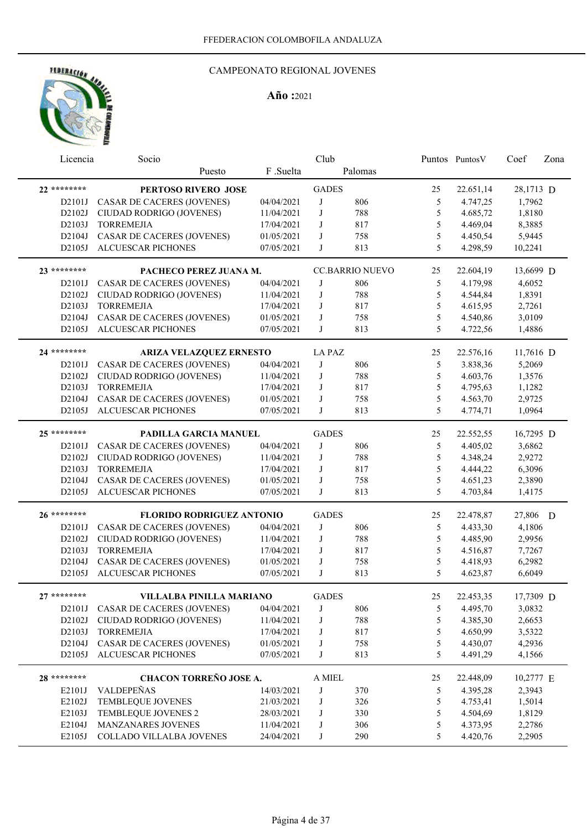

| Licencia      | Socio                             |            | Club          |                        |    | Puntos Puntos V | Coef      | Zona |
|---------------|-----------------------------------|------------|---------------|------------------------|----|-----------------|-----------|------|
|               | Puesto                            | F .Suelta  |               | Palomas                |    |                 |           |      |
| 22 ********   | PERTOSO RIVERO JOSE               |            | <b>GADES</b>  |                        | 25 | 22.651,14       | 28,1713 D |      |
| D2101J        | CASAR DE CACERES (JOVENES)        | 04/04/2021 | J             | 806                    | 5  | 4.747,25        | 1,7962    |      |
| D2102J        | CIUDAD RODRIGO (JOVENES)          | 11/04/2021 | J             | 788                    | 5  | 4.685,72        | 1,8180    |      |
| D2103J        | <b>TORREMEJIA</b>                 | 17/04/2021 | J             | 817                    | 5  | 4.469,04        | 8,3885    |      |
| D2104J        | CASAR DE CACERES (JOVENES)        | 01/05/2021 | J             | 758                    | 5  | 4.450,54        | 5,9445    |      |
| D2105J        | ALCUESCAR PICHONES                | 07/05/2021 | J             | 813                    | 5  | 4.298,59        | 10,2241   |      |
|               |                                   |            |               |                        |    |                 |           |      |
| 23 ********   | PACHECO PEREZ JUANA M.            |            |               | <b>CC.BARRIO NUEVO</b> | 25 | 22.604,19       | 13,6699 D |      |
| D2101J        | CASAR DE CACERES (JOVENES)        | 04/04/2021 | J             | 806                    | 5  | 4.179,98        | 4,6052    |      |
| D2102J        | CIUDAD RODRIGO (JOVENES)          | 11/04/2021 | J             | 788                    | 5  | 4.544,84        | 1,8391    |      |
| D2103J        | <b>TORREMEJIA</b>                 | 17/04/2021 | J             | 817                    | 5  | 4.615,95        | 2,7261    |      |
| D2104J        | CASAR DE CACERES (JOVENES)        | 01/05/2021 | J             | 758                    | 5  | 4.540,86        | 3,0109    |      |
| D2105J        | ALCUESCAR PICHONES                | 07/05/2021 | J             | 813                    | 5  | 4.722,56        | 1,4886    |      |
| 24 ********   | ARIZA VELAZQUEZ ERNESTO           |            | <b>LA PAZ</b> |                        | 25 | 22.576,16       | 11,7616 D |      |
| D2101J        | <b>CASAR DE CACERES (JOVENES)</b> | 04/04/2021 | J             | 806                    | 5  | 3.838,36        | 5,2069    |      |
| D2102J        | CIUDAD RODRIGO (JOVENES)          | 11/04/2021 | J             | 788                    | 5  | 4.603,76        | 1,3576    |      |
| D2103J        | <b>TORREMEJIA</b>                 | 17/04/2021 | J             | 817                    | 5  | 4.795,63        | 1,1282    |      |
| D2104J        | CASAR DE CACERES (JOVENES)        | 01/05/2021 | J             | 758                    | 5  | 4.563,70        | 2,9725    |      |
| D2105J        | ALCUESCAR PICHONES                | 07/05/2021 | J             | 813                    | 5  | 4.774,71        | 1,0964    |      |
|               |                                   |            |               |                        |    |                 |           |      |
| $25******$    | PADILLA GARCIA MANUEL             |            | <b>GADES</b>  |                        | 25 | 22.552,55       | 16,7295 D |      |
| D2101J        | <b>CASAR DE CACERES (JOVENES)</b> | 04/04/2021 | J             | 806                    | 5  | 4.405,02        | 3,6862    |      |
| D2102J        | CIUDAD RODRIGO (JOVENES)          | 11/04/2021 | J             | 788                    | 5  | 4.348,24        | 2,9272    |      |
| D2103J        | <b>TORREMEJIA</b>                 | 17/04/2021 | J             | 817                    | 5  | 4.444,22        | 6,3096    |      |
| D2104J        | <b>CASAR DE CACERES (JOVENES)</b> | 01/05/2021 | J             | 758                    | 5  | 4.651,23        | 2,3890    |      |
| D2105J        | <b>ALCUESCAR PICHONES</b>         | 07/05/2021 | J             | 813                    | 5  | 4.703,84        | 1,4175    |      |
|               |                                   |            |               |                        |    |                 |           |      |
| 26 ********   | <b>FLORIDO RODRIGUEZ ANTONIO</b>  |            | <b>GADES</b>  |                        | 25 | 22.478,87       | 27,806 D  |      |
| D2101J        | CASAR DE CACERES (JOVENES)        | 04/04/2021 | J             | 806                    | 5  | 4.433,30        | 4,1806    |      |
| D2102J        | CIUDAD RODRIGO (JOVENES)          | 11/04/2021 | J             | 788                    | 5  | 4.485,90        | 2,9956    |      |
| D2103J        | <b>TORREMEJIA</b>                 | 17/04/2021 | J             | 817                    | 5  | 4.516,87        | 7,7267    |      |
| D2104J        | <b>CASAR DE CACERES (JOVENES)</b> | 01/05/2021 | J             | 758                    | 5  | 4.418,93        | 6,2982    |      |
| D2105J        | ALCUESCAR PICHONES                | 07/05/2021 | J             | 813                    | 5  | 4.623,87        | 6,6049    |      |
| $27$ ******** | VILLALBA PINILLA MARIANO          |            | <b>GADES</b>  |                        | 25 | 22.453,35       | 17,7309 D |      |
|               | D2101J CASAR DE CACERES (JOVENES) | 04/04/2021 | J             | 806                    | 5  | 4.495,70        | 3,0832    |      |
|               | D2102J CIUDAD RODRIGO (JOVENES)   | 11/04/2021 | J             | 788                    | 5  | 4.385,30        | 2,6653    |      |
| D2103J        | <b>TORREMEJIA</b>                 | 17/04/2021 | J             | 817                    | 5  | 4.650,99        | 3,5322    |      |
| D2104J        | CASAR DE CACERES (JOVENES)        | 01/05/2021 | J             | 758                    | 5  | 4.430,07        | 4,2936    |      |
| D2105J        | ALCUESCAR PICHONES                | 07/05/2021 | J             | 813                    | 5  | 4.491,29        | 4,1566    |      |
|               |                                   |            |               |                        |    |                 |           |      |
| 28 ********   | CHACON TORREÑO JOSE A.            |            | A MIEL        |                        | 25 | 22.448,09       | 10,2777 E |      |
| E2101J        | VALDEPEÑAS                        | 14/03/2021 | J             | 370                    | 5  | 4.395,28        | 2,3943    |      |
| E2102J        | TEMBLEQUE JOVENES                 | 21/03/2021 | J             | 326                    | 5  | 4.753,41        | 1,5014    |      |
| E2103J        | TEMBLEQUE JOVENES 2               | 28/03/2021 | J             | 330                    | 5  | 4.504,69        | 1,8129    |      |
| E2104J        | MANZANARES JOVENES                | 11/04/2021 | J             | 306                    | 5  | 4.373,95        | 2,2786    |      |
| E2105J        | COLLADO VILLALBA JOVENES          | 24/04/2021 | J             | 290                    | 5  | 4.420,76        | 2,2905    |      |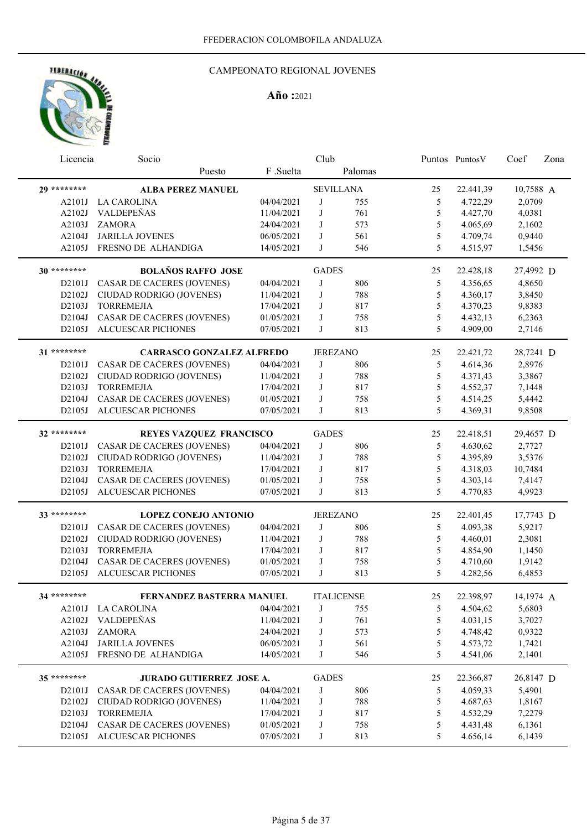

| Licencia     | Socio                             |            | Club            |                   |               | Puntos Puntos V | Coef      | Zona |
|--------------|-----------------------------------|------------|-----------------|-------------------|---------------|-----------------|-----------|------|
|              | Puesto                            | F .Suelta  |                 | Palomas           |               |                 |           |      |
| 29 ********  | <b>ALBA PEREZ MANUEL</b>          |            |                 | <b>SEVILLANA</b>  | 25            | 22.441,39       | 10,7588 A |      |
| A2101J       | <b>LA CAROLINA</b>                | 04/04/2021 | J               | 755               | 5             | 4.722,29        | 2,0709    |      |
| A2102J       | VALDEPEÑAS                        | 11/04/2021 | J               | 761               | 5             | 4.427,70        | 4,0381    |      |
| A2103J       | <b>ZAMORA</b>                     | 24/04/2021 | J               | 573               | 5             | 4.065,69        | 2,1602    |      |
| A2104J       | <b>JARILLA JOVENES</b>            | 06/05/2021 | J               | 561               | 5             | 4.709,74        | 0,9440    |      |
| A2105J       | FRESNO DE ALHANDIGA               | 14/05/2021 | J               | 546               | 5             | 4.515,97        | 1,5456    |      |
| 30 ********* | <b>BOLAÑOS RAFFO JOSE</b>         |            | <b>GADES</b>    |                   | 25            | 22.428,18       | 27,4992 D |      |
| D2101J       | CASAR DE CACERES (JOVENES)        | 04/04/2021 | J               | 806               | 5             | 4.356,65        | 4,8650    |      |
| D2102J       | CIUDAD RODRIGO (JOVENES)          | 11/04/2021 | J               | 788               | 5             | 4.360,17        | 3,8450    |      |
| D2103J       | <b>TORREMEJIA</b>                 | 17/04/2021 | $_{\rm J}$      | 817               | 5             | 4.370,23        | 9,8383    |      |
| D2104J       | CASAR DE CACERES (JOVENES)        | 01/05/2021 | $_{\rm J}$      | 758               | $\mathfrak s$ | 4.432,13        | 6,2363    |      |
| D2105J       | ALCUESCAR PICHONES                | 07/05/2021 | J               | 813               | 5             | 4.909,00        | 2,7146    |      |
|              |                                   |            |                 |                   |               |                 |           |      |
| 31 ********  | <b>CARRASCO GONZALEZ ALFREDO</b>  |            | <b>JEREZANO</b> |                   | 25            | 22.421,72       | 28,7241 D |      |
| D2101J       | CASAR DE CACERES (JOVENES)        | 04/04/2021 | J               | 806               | 5             | 4.614,36        | 2,8976    |      |
| D2102J       | CIUDAD RODRIGO (JOVENES)          | 11/04/2021 | J               | 788               | 5             | 4.371,43        | 3,3867    |      |
| D2103J       | <b>TORREMEJIA</b>                 | 17/04/2021 | J               | 817               | 5             | 4.552,37        | 7,1448    |      |
| D2104J       | CASAR DE CACERES (JOVENES)        | 01/05/2021 | J               | 758               | 5             | 4.514,25        | 5,4442    |      |
| D2105J       | ALCUESCAR PICHONES                | 07/05/2021 | J               | 813               | 5             | 4.369,31        | 9,8508    |      |
| 32 ********  | REYES VAZQUEZ FRANCISCO           |            | <b>GADES</b>    |                   | 25            | 22.418,51       | 29,4657 D |      |
| D2101J       | CASAR DE CACERES (JOVENES)        | 04/04/2021 | J               | 806               | 5             | 4.630,62        | 2,7727    |      |
| D2102J       | CIUDAD RODRIGO (JOVENES)          | 11/04/2021 | J               | 788               | 5             | 4.395,89        | 3,5376    |      |
| D2103J       | <b>TORREMEJIA</b>                 | 17/04/2021 | J               | 817               | 5             | 4.318,03        | 10,7484   |      |
| D2104J       | <b>CASAR DE CACERES (JOVENES)</b> | 01/05/2021 | J               | 758               | 5             | 4.303,14        | 7,4147    |      |
| D2105J       | <b>ALCUESCAR PICHONES</b>         | 07/05/2021 | J               | 813               | 5             | 4.770,83        | 4,9923    |      |
|              |                                   |            |                 |                   |               |                 |           |      |
| 33 ********  | <b>LOPEZ CONEJO ANTONIO</b>       |            | <b>JEREZANO</b> |                   | 25            | 22.401,45       | 17,7743 D |      |
| D2101J       | <b>CASAR DE CACERES (JOVENES)</b> | 04/04/2021 | J               | 806               | 5             | 4.093,38        | 5,9217    |      |
| D2102J       | CIUDAD RODRIGO (JOVENES)          | 11/04/2021 | J               | 788               | 5             | 4.460,01        | 2,3081    |      |
| D2103J       | <b>TORREMEJIA</b>                 | 17/04/2021 | J               | 817               | 5             | 4.854,90        | 1,1450    |      |
| D2104J       | <b>CASAR DE CACERES (JOVENES)</b> | 01/05/2021 | J               | 758               | 5             | 4.710,60        | 1,9142    |      |
| D2105J       | <b>ALCUESCAR PICHONES</b>         | 07/05/2021 | J               | 813               | 5             | 4.282,56        | 6,4853    |      |
| 34 ********  | FERNANDEZ BASTERRA MANUEL         |            |                 | <b>ITALICENSE</b> | $25\,$        | 22.398,97       | 14,1974 A |      |
|              | A2101J LA CAROLINA                | 04/04/2021 | J               | 755               | 5             | 4.504,62        | 5,6803    |      |
| A2102J       | VALDEPEÑAS                        | 11/04/2021 | J               | 761               | $\mathfrak s$ | 4.031,15        | 3,7027    |      |
| A2103J       | <b>ZAMORA</b>                     | 24/04/2021 | J               | 573               | $\mathfrak s$ | 4.748,42        | 0,9322    |      |
| A2104J       | <b>JARILLA JOVENES</b>            | 06/05/2021 | J               | 561               | $\mathfrak s$ | 4.573,72        | 1,7421    |      |
| A2105J       | FRESNO DE ALHANDIGA               | 14/05/2021 | J               | 546               | 5             | 4.541,06        | 2,1401    |      |
| 35 ********  |                                   |            | <b>GADES</b>    |                   |               |                 |           |      |
|              | <b>JURADO GUTIERREZ JOSE A.</b>   |            |                 |                   | 25            | 22.366,87       | 26,8147 D |      |
| D2101J       | CASAR DE CACERES (JOVENES)        | 04/04/2021 | J               | 806               | $\mathfrak s$ | 4.059,33        | 5,4901    |      |
| D2102J       | CIUDAD RODRIGO (JOVENES)          | 11/04/2021 | J               | 788               | $\mathfrak s$ | 4.687,63        | 1,8167    |      |
| D2103J       | <b>TORREMEJIA</b>                 | 17/04/2021 | J               | 817               | 5             | 4.532,29        | 7,2279    |      |
| D2104J       | CASAR DE CACERES (JOVENES)        | 01/05/2021 | J               | 758               | 5             | 4.431,48        | 6,1361    |      |
| D2105J       | ALCUESCAR PICHONES                | 07/05/2021 | J               | 813               | 5             | 4.656,14        | 6,1439    |      |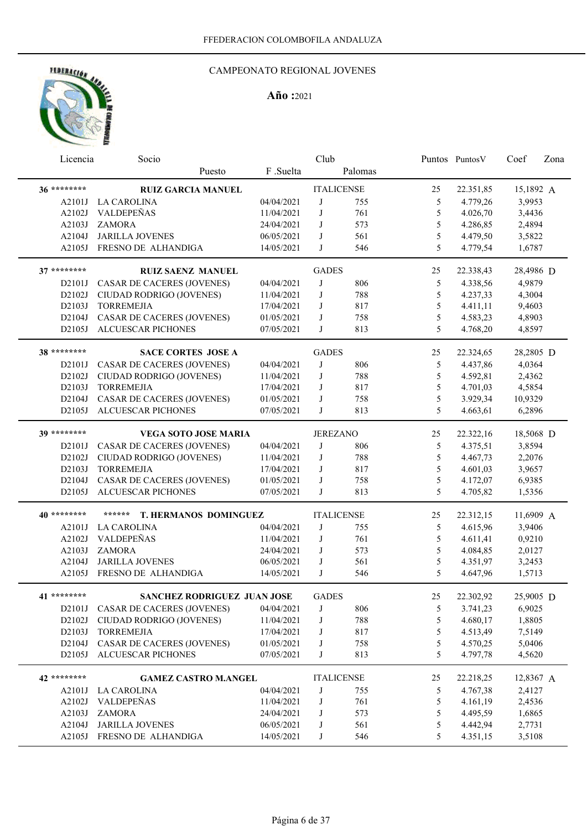

| Licencia     | Socio                             |            | Club              |         |               | Puntos PuntosV | Coef      | Zona |
|--------------|-----------------------------------|------------|-------------------|---------|---------------|----------------|-----------|------|
|              | Puesto                            | F.Suelta   |                   | Palomas |               |                |           |      |
| 36 ********* | <b>RUIZ GARCIA MANUEL</b>         |            | <b>ITALICENSE</b> |         | 25            | 22.351,85      | 15,1892 A |      |
| A2101J       | <b>LA CAROLINA</b>                | 04/04/2021 | J                 | 755     | 5             | 4.779,26       | 3,9953    |      |
| A2102J       | VALDEPEÑAS                        | 11/04/2021 | J                 | 761     | 5             | 4.026,70       | 3,4436    |      |
| A2103J       | <b>ZAMORA</b>                     | 24/04/2021 | J                 | 573     | 5             | 4.286,85       | 2,4894    |      |
| A2104J       | <b>JARILLA JOVENES</b>            | 06/05/2021 | J                 | 561     | 5             | 4.479,50       | 3,5822    |      |
| A2105J       | FRESNO DE ALHANDIGA               | 14/05/2021 | J                 | 546     | 5             | 4.779,54       | 1,6787    |      |
| 37 ********  | <b>RUIZ SAENZ MANUEL</b>          |            | <b>GADES</b>      |         | 25            | 22.338,43      | 28,4986 D |      |
| D2101J       | CASAR DE CACERES (JOVENES)        | 04/04/2021 | J                 | 806     | 5             | 4.338,56       | 4,9879    |      |
| D2102J       | CIUDAD RODRIGO (JOVENES)          | 11/04/2021 | J                 | 788     | 5             | 4.237,33       | 4,3004    |      |
| D2103J       | <b>TORREMEJIA</b>                 | 17/04/2021 | J                 | 817     | 5             | 4.411,11       | 9,4603    |      |
| D2104J       | CASAR DE CACERES (JOVENES)        | 01/05/2021 | J                 | 758     | 5             | 4.583,23       | 4,8903    |      |
| D2105J       | <b>ALCUESCAR PICHONES</b>         | 07/05/2021 | J                 | 813     | 5             | 4.768,20       | 4,8597    |      |
| 38 ********* | <b>SACE CORTES JOSE A</b>         |            | <b>GADES</b>      |         | 25            | 22.324,65      | 28,2805 D |      |
| D2101J       | <b>CASAR DE CACERES (JOVENES)</b> | 04/04/2021 | J                 | 806     | 5             | 4.437,86       | 4,0364    |      |
| D2102J       | CIUDAD RODRIGO (JOVENES)          | 11/04/2021 | J                 | 788     | 5             | 4.592,81       | 2,4362    |      |
| D2103J       | <b>TORREMEJIA</b>                 | 17/04/2021 | J                 | 817     | 5             | 4.701,03       | 4,5854    |      |
| D2104J       | <b>CASAR DE CACERES (JOVENES)</b> | 01/05/2021 | J                 | 758     | 5             | 3.929,34       | 10,9329   |      |
| D2105J       | <b>ALCUESCAR PICHONES</b>         | 07/05/2021 | J                 | 813     | 5             | 4.663,61       | 6,2896    |      |
| 39 ********  | <b>VEGA SOTO JOSE MARIA</b>       |            | <b>JEREZANO</b>   |         | 25            | 22.322,16      | 18,5068 D |      |
| D2101J       | CASAR DE CACERES (JOVENES)        | 04/04/2021 | J                 | 806     | 5             | 4.375,51       | 3,8594    |      |
| D2102J       | CIUDAD RODRIGO (JOVENES)          | 11/04/2021 | J                 | 788     | 5             | 4.467,73       | 2,2076    |      |
| D2103J       | <b>TORREMEJIA</b>                 | 17/04/2021 | J                 | 817     | 5             | 4.601,03       | 3,9657    |      |
| D2104J       | <b>CASAR DE CACERES (JOVENES)</b> | 01/05/2021 | J                 | 758     | 5             | 4.172,07       | 6,9385    |      |
| D2105J       | <b>ALCUESCAR PICHONES</b>         | 07/05/2021 | J                 | 813     | 5             | 4.705,82       | 1,5356    |      |
|              |                                   |            |                   |         |               |                |           |      |
| 40 ********* | ******<br>T. HERMANOS DOMINGUEZ   |            | <b>ITALICENSE</b> |         | 25            | 22.312,15      | 11,6909 A |      |
| A2101J       | <b>LA CAROLINA</b>                | 04/04/2021 | J                 | 755     | 5             | 4.615,96       | 3,9406    |      |
| A2102J       | VALDEPEÑAS                        | 11/04/2021 | J                 | 761     | 5             | 4.611,41       | 0,9210    |      |
| A2103J       | <b>ZAMORA</b>                     | 24/04/2021 | J                 | 573     | 5             | 4.084,85       | 2,0127    |      |
| A2104J       | <b>JARILLA JOVENES</b>            | 06/05/2021 | J                 | 561     | 5             | 4.351,97       | 3,2453    |      |
| A2105J       | FRESNO DE ALHANDIGA               | 14/05/2021 | J                 | 546     | 5             | 4.647,96       | 1,5713    |      |
| 41 ********  | SANCHEZ RODRIGUEZ JUAN JOSE       |            | <b>GADES</b>      |         | 25            | 22.302,92      | 25,9005 D |      |
| D2101J       | CASAR DE CACERES (JOVENES)        | 04/04/2021 | J                 | 806     | 5             | 3.741,23       | 6,9025    |      |
| D2102J       | CIUDAD RODRIGO (JOVENES)          | 11/04/2021 | J                 | 788     | $\mathfrak s$ | 4.680,17       | 1,8805    |      |
| D2103J       | <b>TORREMEJIA</b>                 | 17/04/2021 | J                 | 817     | 5             | 4.513,49       | 7,5149    |      |
| D2104J       | <b>CASAR DE CACERES (JOVENES)</b> | 01/05/2021 | J                 | 758     | $\mathfrak s$ | 4.570,25       | 5,0406    |      |
| D2105J       | ALCUESCAR PICHONES                | 07/05/2021 | J                 | 813     | 5             | 4.797,78       | 4,5620    |      |
| 42 ********  | <b>GAMEZ CASTRO M.ANGEL</b>       |            | <b>ITALICENSE</b> |         | 25            | 22.218,25      | 12,8367 A |      |
| A2101J       | LA CAROLINA                       | 04/04/2021 | J                 | 755     | 5             | 4.767,38       | 2,4127    |      |
| A2102J       | VALDEPEÑAS                        | 11/04/2021 | J                 | 761     | 5             | 4.161,19       | 2,4536    |      |
| A2103J       | <b>ZAMORA</b>                     | 24/04/2021 | J                 | 573     | 5             | 4.495,59       | 1,6865    |      |
| A2104J       | JARILLA JOVENES                   | 06/05/2021 | J                 | 561     | 5             | 4.442,94       | 2,7731    |      |
| A2105J       | FRESNO DE ALHANDIGA               | 14/05/2021 | J                 | 546     | 5             | 4.351,15       | 3,5108    |      |
|              |                                   |            |                   |         |               |                |           |      |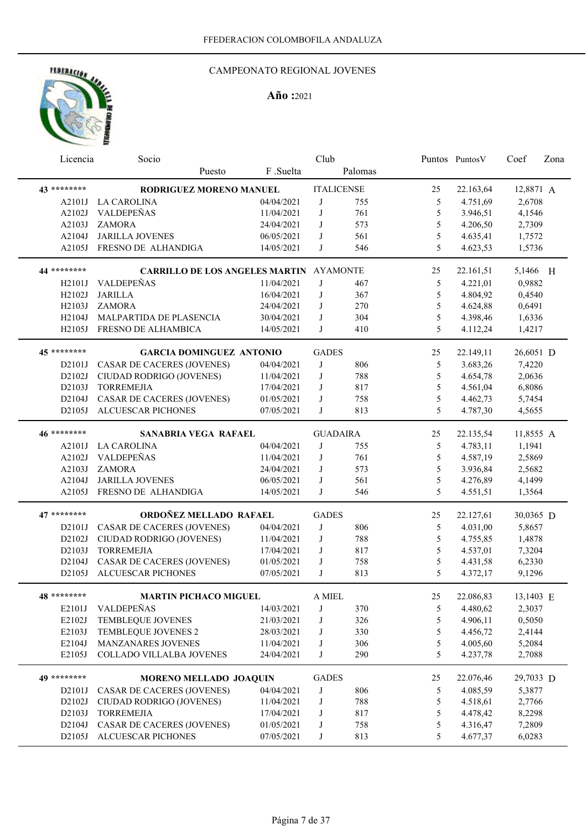

| Licencia            | Socio                                          |            | Club         |                   |               | Puntos PuntosV | Coef      | Zona |
|---------------------|------------------------------------------------|------------|--------------|-------------------|---------------|----------------|-----------|------|
|                     | Puesto                                         | F.Suelta   |              | Palomas           |               |                |           |      |
| 43 *********        | RODRIGUEZ MORENO MANUEL                        |            |              | <b>ITALICENSE</b> | 25            | 22.163,64      | 12,8871 A |      |
| A2101J              | <b>LA CAROLINA</b>                             | 04/04/2021 | J            | 755               | 5             | 4.751,69       | 2,6708    |      |
| A2102J              | VALDEPEÑAS                                     | 11/04/2021 | J            | 761               | 5             | 3.946,51       | 4,1546    |      |
| A2103J              | <b>ZAMORA</b>                                  | 24/04/2021 | J            | 573               | 5             | 4.206,50       | 2,7309    |      |
| A2104J              | <b>JARILLA JOVENES</b>                         | 06/05/2021 | J            | 561               | 5             | 4.635,41       | 1,7572    |      |
| A2105J              | FRESNO DE ALHANDIGA                            | 14/05/2021 | J            | 546               | 5             | 4.623,53       | 1,5736    |      |
| 44 ********         | <b>CARRILLO DE LOS ANGELES MARTIN AYAMONTE</b> |            |              |                   | 25            | 22.161,51      | 5,1466 H  |      |
| H <sub>2</sub> 101J | <b>VALDEPEÑAS</b>                              | 11/04/2021 | J            | 467               | 5             | 4.221,01       | 0,9882    |      |
| H2102J              | <b>JARILLA</b>                                 | 16/04/2021 | J            | 367               | 5             | 4.804,92       | 0,4540    |      |
| H2103J              | <b>ZAMORA</b>                                  | 24/04/2021 | J            | 270               | 5             | 4.624,88       | 0,6491    |      |
| H2104J              | MALPARTIDA DE PLASENCIA                        | 30/04/2021 | J            | 304               | 5             | 4.398,46       | 1,6336    |      |
| H2105J              | FRESNO DE ALHAMBICA                            | 14/05/2021 | J            | 410               | 5             | 4.112,24       | 1,4217    |      |
| 45 ********         | <b>GARCIA DOMINGUEZ ANTONIO</b>                |            | <b>GADES</b> |                   | 25            | 22.149,11      | 26,6051 D |      |
|                     | <b>CASAR DE CACERES (JOVENES)</b>              |            | J            |                   |               |                |           |      |
| D2101J              |                                                | 04/04/2021 |              | 806               | 5             | 3.683,26       | 7,4220    |      |
| D2102J              | CIUDAD RODRIGO (JOVENES)                       | 11/04/2021 | J            | 788               | 5             | 4.654,78       | 2,0636    |      |
| D2103J              | <b>TORREMEJIA</b>                              | 17/04/2021 | J            | 817               | 5             | 4.561,04       | 6,8086    |      |
| D2104J              | <b>CASAR DE CACERES (JOVENES)</b>              | 01/05/2021 | J            | 758               | 5             | 4.462,73       | 5,7454    |      |
| D2105J              | ALCUESCAR PICHONES                             | 07/05/2021 | J            | 813               | 5             | 4.787,30       | 4,5655    |      |
| 46 *********        | <b>SANABRIA VEGA RAFAEL</b>                    |            |              | <b>GUADAIRA</b>   | 25            | 22.135,54      | 11,8555 A |      |
| A2101J              | <b>LA CAROLINA</b>                             | 04/04/2021 | J            | 755               | 5             | 4.783,11       | 1,1941    |      |
| A2102J              | VALDEPEÑAS                                     | 11/04/2021 | J            | 761               | 5             | 4.587,19       | 2,5869    |      |
| A2103J              | <b>ZAMORA</b>                                  | 24/04/2021 | J            | 573               | 5             | 3.936,84       | 2,5682    |      |
| A2104J              | <b>JARILLA JOVENES</b>                         | 06/05/2021 | J            | 561               | 5             | 4.276,89       | 4,1499    |      |
| A2105J              | FRESNO DE ALHANDIGA                            | 14/05/2021 | J            | 546               | 5             | 4.551,51       | 1,3564    |      |
| 47 ********         | ORDOÑEZ MELLADO RAFAEL                         |            | <b>GADES</b> |                   | 25            | 22.127,61      | 30,0365 D |      |
| D2101J              | CASAR DE CACERES (JOVENES)                     | 04/04/2021 | J            | 806               | 5             | 4.031,00       | 5,8657    |      |
| D2102J              | CIUDAD RODRIGO (JOVENES)                       | 11/04/2021 | J            | 788               | 5             | 4.755,85       | 1,4878    |      |
| D2103J              | <b>TORREMEJIA</b>                              | 17/04/2021 | J            | 817               | 5             | 4.537,01       | 7,3204    |      |
| D2104J              | CASAR DE CACERES (JOVENES)                     | 01/05/2021 | J            | 758               | 5             | 4.431,58       | 6,2330    |      |
| D2105J              | ALCUESCAR PICHONES                             | 07/05/2021 | J            | 813               | 5             | 4.372,17       | 9,1296    |      |
| 48 ********         | <b>MARTIN PICHACO MIGUEL</b>                   |            | A MIEL       |                   | 25            | 22.086,83      | 13,1403 E |      |
|                     |                                                |            |              |                   |               |                |           |      |
| E2101J              | VALDEPEÑAS                                     | 14/03/2021 | J            | 370               | 5             | 4.480,62       | 2,3037    |      |
| E2102J              | TEMBLEQUE JOVENES                              | 21/03/2021 | J            | 326               | $\mathfrak s$ | 4.906,11       | 0,5050    |      |
| E2103J              | TEMBLEQUE JOVENES 2                            | 28/03/2021 | J            | 330               | 5             | 4.456,72       | 2,4144    |      |
| E2104J              | MANZANARES JOVENES                             | 11/04/2021 | J            | 306               | $\mathfrak s$ | 4.005,60       | 5,2084    |      |
| E2105J              | COLLADO VILLALBA JOVENES                       | 24/04/2021 | J            | 290               | 5             | 4.237,78       | 2,7088    |      |
| 49 ********         | <b>MORENO MELLADO JOAQUIN</b>                  |            | <b>GADES</b> |                   | 25            | 22.076,46      | 29,7033 D |      |
| D2101J              | <b>CASAR DE CACERES (JOVENES)</b>              | 04/04/2021 | J            | 806               | $\mathfrak s$ | 4.085,59       | 5,3877    |      |
| D2102J              | CIUDAD RODRIGO (JOVENES)                       | 11/04/2021 | J            | 788               | $\sqrt{5}$    | 4.518,61       | 2,7766    |      |
| D2103J              | <b>TORREMEJIA</b>                              | 17/04/2021 | J            | 817               | 5             | 4.478,42       | 8,2298    |      |
| D2104J              | <b>CASAR DE CACERES (JOVENES)</b>              | 01/05/2021 | J            | 758               | 5             | 4.316,47       | 7,2809    |      |
| D2105J              | ALCUESCAR PICHONES                             | 07/05/2021 | J            | 813               | 5             | 4.677,37       | 6,0283    |      |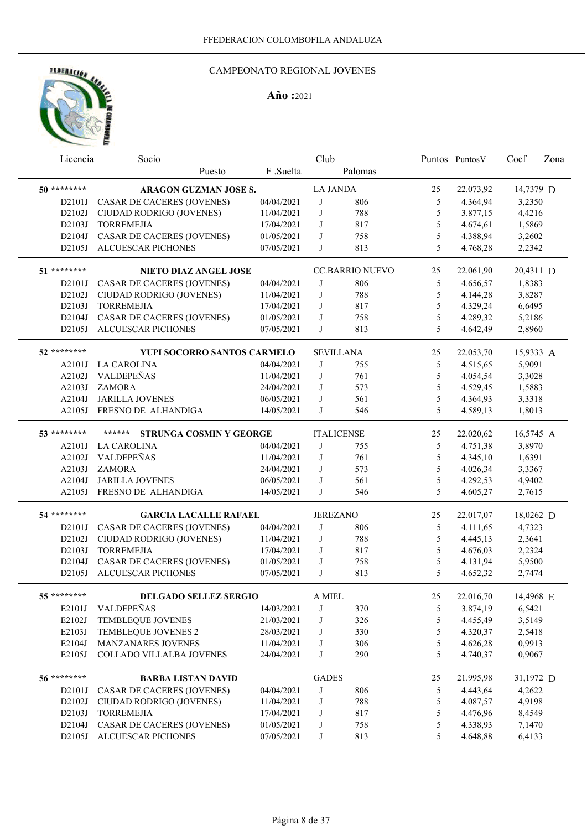

| Licencia     | Socio                                    |            | Club            |                        |               | Puntos Puntos V | Coef      | Zona |
|--------------|------------------------------------------|------------|-----------------|------------------------|---------------|-----------------|-----------|------|
|              | Puesto                                   | F .Suelta  |                 | Palomas                |               |                 |           |      |
| 50 ********  | <b>ARAGON GUZMAN JOSE S.</b>             |            | <b>LA JANDA</b> |                        | 25            | 22.073,92       | 14,7379 D |      |
| D2101J       | CASAR DE CACERES (JOVENES)               | 04/04/2021 | J               | 806                    | 5             | 4.364,94        | 3,2350    |      |
| D2102J       | CIUDAD RODRIGO (JOVENES)                 | 11/04/2021 | J               | 788                    | 5             | 3.877,15        | 4,4216    |      |
| D2103J       | <b>TORREMEJIA</b>                        | 17/04/2021 | J               | 817                    | 5             | 4.674,61        | 1,5869    |      |
| D2104J       | <b>CASAR DE CACERES (JOVENES)</b>        | 01/05/2021 | J               | 758                    | 5             | 4.388,94        | 3,2602    |      |
| D2105J       | ALCUESCAR PICHONES                       | 07/05/2021 | J               | 813                    | 5             | 4.768,28        | 2,2342    |      |
| 51 ********  | NIETO DIAZ ANGEL JOSE                    |            |                 | <b>CC.BARRIO NUEVO</b> | 25            | 22.061,90       | 20,4311 D |      |
| D2101J       | CASAR DE CACERES (JOVENES)               | 04/04/2021 | J               | 806                    | 5             | 4.656,57        | 1,8383    |      |
| D2102J       | CIUDAD RODRIGO (JOVENES)                 | 11/04/2021 | J               | 788                    | 5             | 4.144,28        | 3,8287    |      |
| D2103J       | <b>TORREMEJIA</b>                        | 17/04/2021 | J               | 817                    | 5             | 4.329,24        | 6,6495    |      |
| D2104J       | <b>CASAR DE CACERES (JOVENES)</b>        | 01/05/2021 | J               | 758                    | 5             | 4.289,32        | 5,2186    |      |
| D2105J       | ALCUESCAR PICHONES                       | 07/05/2021 | J               | 813                    | 5             | 4.642,49        | 2,8960    |      |
|              |                                          |            |                 |                        |               |                 |           |      |
| 52 ********  | <b>YUPI SOCORRO SANTOS CARMELO</b>       |            |                 | <b>SEVILLANA</b>       | 25            | 22.053,70       | 15,9333 A |      |
| A2101J       | <b>LA CAROLINA</b>                       | 04/04/2021 | J               | 755                    | 5             | 4.515,65        | 5,9091    |      |
| A2102J       | VALDEPEÑAS                               | 11/04/2021 | J               | 761                    | 5             | 4.054,54        | 3,3028    |      |
| A2103J       | <b>ZAMORA</b>                            | 24/04/2021 | J               | 573                    | 5             | 4.529,45        | 1,5883    |      |
| A2104J       | <b>JARILLA JOVENES</b>                   | 06/05/2021 | J               | 561                    | 5             | 4.364,93        | 3,3318    |      |
| A2105J       | FRESNO DE ALHANDIGA                      | 14/05/2021 | J               | 546                    | 5             | 4.589,13        | 1,8013    |      |
| 53 ********  | ******<br><b>STRUNGA COSMIN Y GEORGE</b> |            |                 | <b>ITALICENSE</b>      | 25            | 22.020,62       | 16,5745 A |      |
| A2101J       | LA CAROLINA                              | 04/04/2021 | J               | 755                    | 5             | 4.751,38        | 3,8970    |      |
| A2102J       | VALDEPEÑAS                               | 11/04/2021 | J               | 761                    | 5             | 4.345,10        | 1,6391    |      |
| A2103J       | <b>ZAMORA</b>                            | 24/04/2021 | J               | 573                    | 5             | 4.026,34        | 3,3367    |      |
| A2104J       | <b>JARILLA JOVENES</b>                   | 06/05/2021 | J               | 561                    | 5             | 4.292,53        | 4,9402    |      |
| A2105J       | FRESNO DE ALHANDIGA                      | 14/05/2021 | J               | 546                    | 5             | 4.605,27        | 2,7615    |      |
|              |                                          |            |                 |                        |               |                 |           |      |
| 54 ********  | <b>GARCIA LACALLE RAFAEL</b>             |            | <b>JEREZANO</b> |                        | 25            | 22.017,07       | 18,0262 D |      |
| D2101J       | <b>CASAR DE CACERES (JOVENES)</b>        | 04/04/2021 | J               | 806                    | 5             | 4.111,65        | 4,7323    |      |
| D2102J       | CIUDAD RODRIGO (JOVENES)                 | 11/04/2021 | J               | 788                    | 5             | 4.445,13        | 2,3641    |      |
| D2103J       | <b>TORREMEJIA</b>                        | 17/04/2021 | J               | 817                    | 5             | 4.676,03        | 2,2324    |      |
| D2104J       | <b>CASAR DE CACERES (JOVENES)</b>        | 01/05/2021 | J               | 758                    | 5             | 4.131,94        | 5,9500    |      |
| D2105J       | <b>ALCUESCAR PICHONES</b>                | 07/05/2021 | J               | 813                    | 5             | 4.652,32        | 2,7474    |      |
| 55 ********* | DELGADO SELLEZ SERGIO                    |            | A MIEL          |                        | 25            | 22.016,70       | 14,4968 E |      |
| E2101J       | VALDEPEÑAS                               | 14/03/2021 | J               | 370                    | 5             | 3.874,19        | 6,5421    |      |
| E2102J       | TEMBLEQUE JOVENES                        | 21/03/2021 | J               | 326                    | $\mathfrak s$ | 4.455,49        | 3,5149    |      |
| E2103J       | TEMBLEQUE JOVENES 2                      | 28/03/2021 | J               | 330                    | $\mathfrak s$ | 4.320,37        | 2,5418    |      |
| E2104J       | MANZANARES JOVENES                       | 11/04/2021 | J               | 306                    | 5             | 4.626,28        | 0,9913    |      |
| E2105J       | COLLADO VILLALBA JOVENES                 | 24/04/2021 | J               | 290                    | 5             | 4.740,37        | 0,9067    |      |
|              |                                          |            |                 |                        |               |                 |           |      |
| 56 ********  | <b>BARBA LISTAN DAVID</b>                |            | <b>GADES</b>    |                        | 25            | 21.995,98       | 31,1972 D |      |
| D2101J       | <b>CASAR DE CACERES (JOVENES)</b>        | 04/04/2021 | J               | 806                    | 5             | 4.443,64        | 4,2622    |      |
| D2102J       | CIUDAD RODRIGO (JOVENES)                 | 11/04/2021 | J               | 788                    | 5             | 4.087,57        | 4,9198    |      |
| D2103J       | <b>TORREMEJIA</b>                        | 17/04/2021 | J               | 817                    | 5             | 4.476,96        | 8,4549    |      |
| D2104J       | <b>CASAR DE CACERES (JOVENES)</b>        | 01/05/2021 | J               | 758                    | 5             | 4.338,93        | 7,1470    |      |
| D2105J       | <b>ALCUESCAR PICHONES</b>                | 07/05/2021 | J               | 813                    | 5             | 4.648,88        | 6,4133    |      |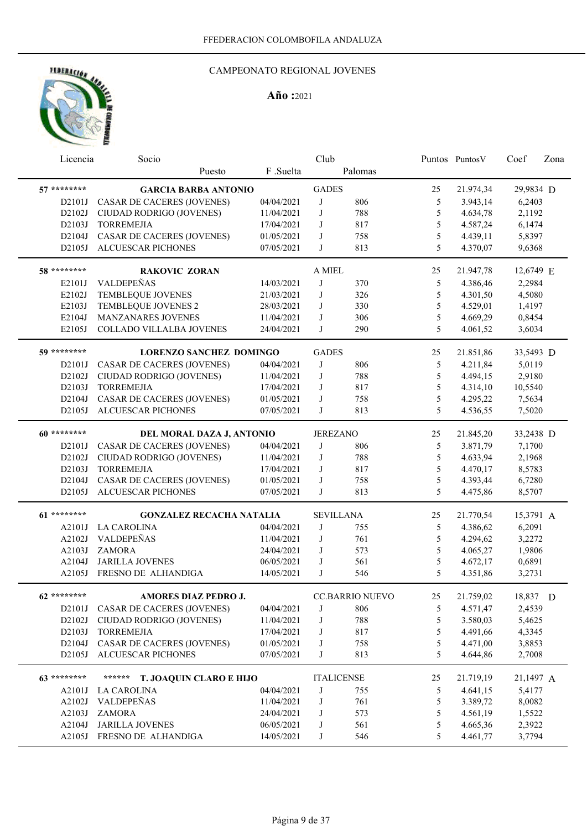

|              | Licencia | Socio                             |            | Club              |                        |               | Puntos PuntosV | Coef      | Zona |
|--------------|----------|-----------------------------------|------------|-------------------|------------------------|---------------|----------------|-----------|------|
|              |          | Puesto                            | F .Suelta  |                   | Palomas                |               |                |           |      |
| 57 ********  |          | <b>GARCIA BARBA ANTONIO</b>       |            | <b>GADES</b>      |                        | 25            | 21.974,34      | 29,9834 D |      |
| D2101J       |          | CASAR DE CACERES (JOVENES)        | 04/04/2021 | J                 | 806                    | 5             | 3.943,14       | 6,2403    |      |
| D2102J       |          | CIUDAD RODRIGO (JOVENES)          | 11/04/2021 | J                 | 788                    | 5             | 4.634,78       | 2,1192    |      |
| D2103J       |          | <b>TORREMEJIA</b>                 | 17/04/2021 | J                 | 817                    | 5             | 4.587,24       | 6,1474    |      |
| D2104J       |          | <b>CASAR DE CACERES (JOVENES)</b> | 01/05/2021 | J                 | 758                    | 5             | 4.439,11       | 5,8397    |      |
| D2105J       |          | ALCUESCAR PICHONES                | 07/05/2021 | J                 | 813                    | 5             | 4.370,07       | 9,6368    |      |
|              |          |                                   |            |                   |                        |               |                |           |      |
| 58 ********* |          | <b>RAKOVIC ZORAN</b>              |            | A MIEL            |                        | 25            | 21.947,78      | 12,6749 E |      |
| E2101J       |          | VALDEPEÑAS                        | 14/03/2021 | J                 | 370                    | 5             | 4.386,46       | 2,2984    |      |
| E2102J       |          | <b>TEMBLEQUE JOVENES</b>          | 21/03/2021 | $\bf J$           | 326                    | $\mathfrak s$ | 4.301,50       | 4,5080    |      |
| E2103J       |          | TEMBLEQUE JOVENES 2               | 28/03/2021 | J                 | 330                    | 5             | 4.529,01       | 1,4197    |      |
| E2104J       |          | <b>MANZANARES JOVENES</b>         | 11/04/2021 | J                 | 306                    | 5             | 4.669,29       | 0,8454    |      |
| E2105J       |          | COLLADO VILLALBA JOVENES          | 24/04/2021 | J                 | 290                    | 5             | 4.061,52       | 3,6034    |      |
| 59 ********* |          | <b>LORENZO SANCHEZ DOMINGO</b>    |            | <b>GADES</b>      |                        | 25            | 21.851,86      | 33,5493 D |      |
| D2101J       |          | <b>CASAR DE CACERES (JOVENES)</b> | 04/04/2021 | J                 | 806                    | 5             | 4.211,84       | 5,0119    |      |
| D2102J       |          | CIUDAD RODRIGO (JOVENES)          | 11/04/2021 | J                 | 788                    | 5             | 4.494,15       | 2,9180    |      |
| D2103J       |          | <b>TORREMEJIA</b>                 | 17/04/2021 | J                 | 817                    | 5             | 4.314,10       | 10,5540   |      |
| D2104J       |          | CASAR DE CACERES (JOVENES)        | 01/05/2021 | J                 | 758                    | 5             | 4.295,22       | 7,5634    |      |
| D2105J       |          | ALCUESCAR PICHONES                | 07/05/2021 | J                 | 813                    | 5             | 4.536,55       | 7,5020    |      |
|              |          |                                   |            |                   |                        |               |                |           |      |
| 60 ********* |          | DEL MORAL DAZA J, ANTONIO         |            | <b>JEREZANO</b>   |                        | 25            | 21.845,20      | 33,2438 D |      |
| D2101J       |          | <b>CASAR DE CACERES (JOVENES)</b> | 04/04/2021 | J                 | 806                    | 5             | 3.871,79       | 7,1700    |      |
| D2102J       |          | CIUDAD RODRIGO (JOVENES)          | 11/04/2021 | J                 | 788                    | 5             | 4.633,94       | 2,1968    |      |
| D2103J       |          | <b>TORREMEJIA</b>                 | 17/04/2021 | J                 | 817                    | 5             | 4.470,17       | 8,5783    |      |
| D2104J       |          | CASAR DE CACERES (JOVENES)        | 01/05/2021 | J                 | 758                    | 5             | 4.393,44       | 6,7280    |      |
| D2105J       |          | ALCUESCAR PICHONES                | 07/05/2021 | J                 | 813                    | 5             | 4.475,86       | 8,5707    |      |
|              |          |                                   |            |                   |                        |               |                |           |      |
| 61 ********* |          | <b>GONZALEZ RECACHA NATALIA</b>   |            | <b>SEVILLANA</b>  |                        | 25            | 21.770,54      | 15,3791 A |      |
| A2101J       |          | <b>LA CAROLINA</b>                | 04/04/2021 | J                 | 755                    | 5             | 4.386,62       | 6,2091    |      |
| A2102J       |          | VALDEPEÑAS                        | 11/04/2021 | J                 | 761                    | 5             | 4.294,62       | 3,2272    |      |
| A2103J       |          | <b>ZAMORA</b>                     | 24/04/2021 | J                 | 573                    | 5             | 4.065,27       | 1,9806    |      |
| A2104J       |          | <b>JARILLA JOVENES</b>            | 06/05/2021 | J                 | 561                    | 5             | 4.672,17       | 0,6891    |      |
| A2105J       |          | FRESNO DE ALHANDIGA               | 14/05/2021 | J                 | 546                    | 5             | 4.351,86       | 3,2731    |      |
| 62 ********  |          | AMORES DIAZ PEDRO J.              |            |                   | <b>CC.BARRIO NUEVO</b> | 25            | 21.759,02      | 18,837 D  |      |
|              |          | D2101J CASAR DE CACERES (JOVENES) | 04/04/2021 | J                 | 806                    | 5             | 4.571,47       | 2,4539    |      |
| D2102J       |          | CIUDAD RODRIGO (JOVENES)          | 11/04/2021 | J                 | 788                    | 5             | 3.580,03       | 5,4625    |      |
| D2103J       |          | <b>TORREMEJIA</b>                 | 17/04/2021 | J                 | 817                    | 5             | 4.491,66       | 4,3345    |      |
| D2104J       |          | CASAR DE CACERES (JOVENES)        | 01/05/2021 | J                 | 758                    | 5             | 4.471,00       | 3,8853    |      |
| D2105J       |          | <b>ALCUESCAR PICHONES</b>         | 07/05/2021 | J                 | 813                    | 5             | 4.644,86       | 2,7008    |      |
|              |          |                                   |            |                   |                        |               |                |           |      |
| 63 ********  |          | ******<br>T. JOAQUIN CLARO E HIJO |            | <b>ITALICENSE</b> |                        | 25            | 21.719,19      | 21,1497 A |      |
|              | A2101J   | LA CAROLINA                       | 04/04/2021 | J                 | 755                    | 5             | 4.641,15       | 5,4177    |      |
| A2102J       |          | VALDEPEÑAS                        | 11/04/2021 | J                 | 761                    | 5             | 3.389,72       | 8,0082    |      |
| A2103J       |          | <b>ZAMORA</b>                     | 24/04/2021 | J                 | 573                    | 5             | 4.561,19       | 1,5522    |      |
| A2104J       |          | <b>JARILLA JOVENES</b>            | 06/05/2021 | J                 | 561                    | 5             | 4.665,36       | 2,3922    |      |
|              | A2105J   | FRESNO DE ALHANDIGA               | 14/05/2021 | J                 | 546                    | 5             | 4.461,77       | 3,7794    |      |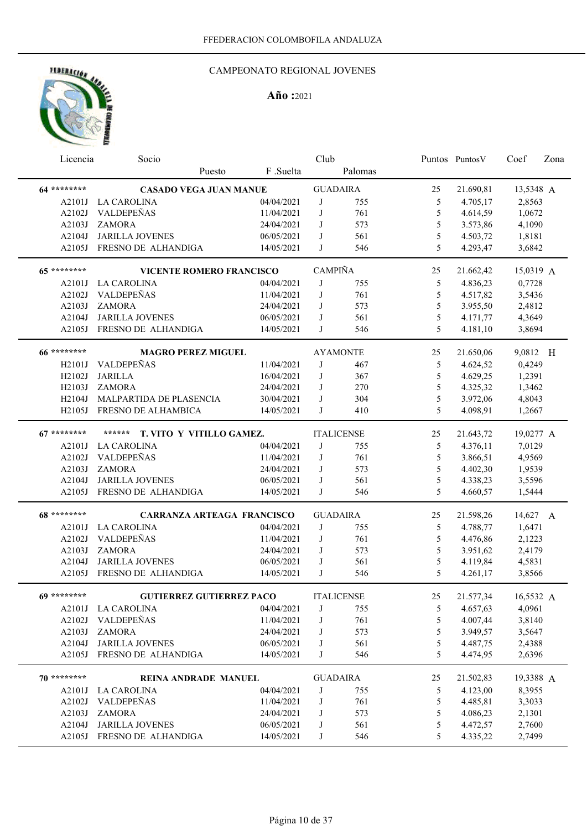

| Licencia      | Socio                              |            | Club           |                   |               | Puntos Puntos V | Coef      | Zona |
|---------------|------------------------------------|------------|----------------|-------------------|---------------|-----------------|-----------|------|
|               | Puesto                             | F .Suelta  |                | Palomas           |               |                 |           |      |
| 64 ********   | <b>CASADO VEGA JUAN MANUE</b>      |            |                | <b>GUADAIRA</b>   | 25            | 21.690,81       | 13,5348 A |      |
| A2101J        | LA CAROLINA                        | 04/04/2021 | J              | 755               | 5             | 4.705,17        | 2,8563    |      |
| A2102J        | VALDEPEÑAS                         | 11/04/2021 | J              | 761               | 5             | 4.614,59        | 1,0672    |      |
| A2103J        | <b>ZAMORA</b>                      | 24/04/2021 | J              | 573               | 5             | 3.573,86        | 4,1090    |      |
| A2104J        | <b>JARILLA JOVENES</b>             | 06/05/2021 | J              | 561               | 5             | 4.503,72        | 1,8181    |      |
| A2105J        | FRESNO DE ALHANDIGA                | 14/05/2021 | J              | 546               | 5             | 4.293,47        | 3,6842    |      |
| 65 ********   | <b>VICENTE ROMERO FRANCISCO</b>    |            | <b>CAMPIÑA</b> |                   | 25            | 21.662,42       | 15,0319 A |      |
| A2101J        | LA CAROLINA                        | 04/04/2021 | J              | 755               | 5             | 4.836,23        | 0,7728    |      |
| A2102J        | VALDEPEÑAS                         | 11/04/2021 | J              | 761               | 5             | 4.517,82        | 3,5436    |      |
| A2103J        | <b>ZAMORA</b>                      | 24/04/2021 | J              | 573               | 5             | 3.955,50        | 2,4812    |      |
| A2104J        | <b>JARILLA JOVENES</b>             | 06/05/2021 | J              | 561               | 5             | 4.171,77        | 4,3649    |      |
| A2105J        | FRESNO DE ALHANDIGA                | 14/05/2021 | J              | 546               | 5             | 4.181,10        | 3,8694    |      |
|               |                                    |            |                |                   |               |                 |           |      |
| 66 *********  | <b>MAGRO PEREZ MIGUEL</b>          |            |                | <b>AYAMONTE</b>   | 25            | 21.650,06       | 9,0812 H  |      |
| H2101J        | VALDEPEÑAS                         | 11/04/2021 | J              | 467               | 5             | 4.624,52        | 0,4249    |      |
| H2102J        | <b>JARILLA</b>                     | 16/04/2021 | J              | 367               | 5             | 4.629,25        | 1,2391    |      |
| H2103J        | <b>ZAMORA</b>                      | 24/04/2021 | J              | 270               | 5             | 4.325,32        | 1,3462    |      |
| H2104J        | MALPARTIDA DE PLASENCIA            | 30/04/2021 | J              | 304               | 5             | 3.972,06        | 4,8043    |      |
| H2105J        | FRESNO DE ALHAMBICA                | 14/05/2021 | J              | 410               | 5             | 4.098,91        | 1,2667    |      |
| $67*******$   | ******<br>T. VITO Y VITILLO GAMEZ. |            |                | <b>ITALICENSE</b> | 25            | 21.643,72       | 19,0277 A |      |
| A2101J        | <b>LA CAROLINA</b>                 | 04/04/2021 | J              | 755               | 5             | 4.376,11        | 7,0129    |      |
| A2102J        | VALDEPEÑAS                         | 11/04/2021 | J              | 761               | 5             | 3.866,51        | 4,9569    |      |
| A2103J        | <b>ZAMORA</b>                      | 24/04/2021 | J              | 573               | 5             | 4.402,30        | 1,9539    |      |
| A2104J        | <b>JARILLA JOVENES</b>             | 06/05/2021 | J              | 561               | 5             | 4.338,23        | 3,5596    |      |
| A2105J        | FRESNO DE ALHANDIGA                | 14/05/2021 | J              | 546               | 5             | 4.660,57        | 1,5444    |      |
| 68 *********  | <b>CARRANZA ARTEAGA FRANCISCO</b>  |            |                | <b>GUADAIRA</b>   | 25            | 21.598,26       | 14,627 A  |      |
| A2101J        | <b>LA CAROLINA</b>                 | 04/04/2021 | J              | 755               | 5             | 4.788,77        | 1,6471    |      |
| A2102J        | VALDEPEÑAS                         | 11/04/2021 | J              | 761               | 5             | 4.476,86        | 2,1223    |      |
| A2103J        | <b>ZAMORA</b>                      | 24/04/2021 | J              | 573               | 5             | 3.951,62        | 2,4179    |      |
| A2104J        | <b>JARILLA JOVENES</b>             | 06/05/2021 | J              | 561               | 5             | 4.119,84        | 4,5831    |      |
| A2105J        | FRESNO DE ALHANDIGA                | 14/05/2021 | J              | 546               | 5             | 4.261,17        | 3,8566    |      |
|               |                                    |            |                |                   |               |                 |           |      |
| $69$ ******** | <b>GUTIERREZ GUTIERREZ PACO</b>    |            |                | <b>ITALICENSE</b> | 25            | 21.577,34       | 16,5532 A |      |
|               | A2101J LA CAROLINA                 | 04/04/2021 | J              | 755               | 5             | 4.657,63        | 4,0961    |      |
|               | A2102J VALDEPEÑAS                  | 11/04/2021 | J              | 761               | 5             | 4.007,44        | 3,8140    |      |
| A2103J        | <b>ZAMORA</b>                      | 24/04/2021 | J              | 573               | 5             | 3.949,57        | 3,5647    |      |
| A2104J        | <b>JARILLA JOVENES</b>             | 06/05/2021 | J              | 561               | 5             | 4.487,75        | 2,4388    |      |
| A2105J        | FRESNO DE ALHANDIGA                | 14/05/2021 | J              | 546               | 5             | 4.474,95        | 2,6396    |      |
| $70*******$   | <b>REINA ANDRADE MANUEL</b>        |            |                | <b>GUADAIRA</b>   | 25            | 21.502,83       | 19,3388 A |      |
|               | A2101J LA CAROLINA                 | 04/04/2021 | J              | 755               | 5             | 4.123,00        | 8,3955    |      |
| A2102J        | VALDEPEÑAS                         | 11/04/2021 | J              | 761               | $\mathfrak s$ | 4.485,81        | 3,3033    |      |
| A2103J        | ZAMORA                             | 24/04/2021 | J              | 573               | $\mathfrak s$ | 4.086,23        | 2,1301    |      |
| A2104J        | <b>JARILLA JOVENES</b>             | 06/05/2021 | J              | 561               | $\mathfrak s$ | 4.472,57        | 2,7600    |      |
|               | A2105J FRESNO DE ALHANDIGA         | 14/05/2021 | J              | 546               | 5             | 4.335,22        | 2,7499    |      |
|               |                                    |            |                |                   |               |                 |           |      |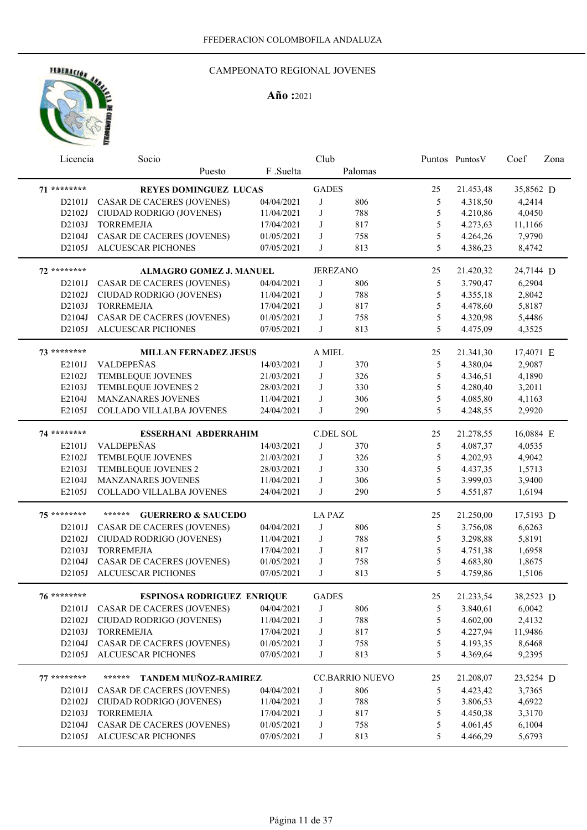

| Licencia    | Socio                                   |            | Club          |                        |               | Puntos Puntos V | Coef      | Zona |
|-------------|-----------------------------------------|------------|---------------|------------------------|---------------|-----------------|-----------|------|
|             | Puesto                                  | F.Suelta   |               | Palomas                |               |                 |           |      |
| 71 ******** | <b>REYES DOMINGUEZ LUCAS</b>            |            | <b>GADES</b>  |                        | 25            | 21.453,48       | 35,8562 D |      |
| D2101J      | CASAR DE CACERES (JOVENES)              | 04/04/2021 | J             | 806                    | 5             | 4.318,50        | 4,2414    |      |
| D2102J      | CIUDAD RODRIGO (JOVENES)                | 11/04/2021 | J             | 788                    | 5             | 4.210,86        | 4,0450    |      |
| D2103J      | <b>TORREMEJIA</b>                       | 17/04/2021 | J             | 817                    | 5             | 4.273,63        | 11,1166   |      |
| D2104J      | CASAR DE CACERES (JOVENES)              | 01/05/2021 | J             | 758                    | 5             | 4.264,26        | 7,9790    |      |
| D2105J      | ALCUESCAR PICHONES                      | 07/05/2021 | J             | 813                    | 5             | 4.386,23        | 8,4742    |      |
| 72 ******** | <b>ALMAGRO GOMEZ J. MANUEL</b>          |            |               | <b>JEREZANO</b>        | 25            | 21.420,32       | 24,7144 D |      |
| D2101J      | <b>CASAR DE CACERES (JOVENES)</b>       | 04/04/2021 | J             | 806                    | 5             | 3.790,47        | 6,2904    |      |
| D2102J      | CIUDAD RODRIGO (JOVENES)                | 11/04/2021 | J             | 788                    | $\mathfrak s$ | 4.355,18        | 2,8042    |      |
| D2103J      | <b>TORREMEJIA</b>                       | 17/04/2021 | J             | 817                    | 5             | 4.478,60        | 5,8187    |      |
| D2104J      | <b>CASAR DE CACERES (JOVENES)</b>       | 01/05/2021 | J             | 758                    | 5             | 4.320,98        | 5,4486    |      |
| D2105J      | <b>ALCUESCAR PICHONES</b>               | 07/05/2021 | J             | 813                    | 5             | 4.475,09        | 4,3525    |      |
| 73 ******** | <b>MILLAN FERNADEZ JESUS</b>            |            | A MIEL        |                        | 25            | 21.341,30       | 17,4071 E |      |
| E2101J      | VALDEPEÑAS                              | 14/03/2021 | J             | 370                    | 5             | 4.380,04        | 2,9087    |      |
| E2102J      | TEMBLEQUE JOVENES                       | 21/03/2021 | J             | 326                    | 5             | 4.346,51        | 4,1890    |      |
| E2103J      | TEMBLEQUE JOVENES 2                     | 28/03/2021 | J             | 330                    | 5             | 4.280,40        | 3,2011    |      |
| E2104J      | MANZANARES JOVENES                      | 11/04/2021 | J             | 306                    | 5             | 4.085,80        | 4,1163    |      |
| E2105J      | COLLADO VILLALBA JOVENES                | 24/04/2021 | J             | 290                    | 5             | 4.248,55        | 2,9920    |      |
| 74 ******** |                                         |            |               |                        |               |                 |           |      |
|             | ESSERHANI ABDERRAHIM                    |            |               | <b>C.DEL SOL</b>       | 25            | 21.278,55       | 16,0884 E |      |
| E2101J      | VALDEPEÑAS                              | 14/03/2021 | J             | 370                    | 5             | 4.087,37        | 4,0535    |      |
| E2102J      | TEMBLEQUE JOVENES                       | 21/03/2021 | J             | 326                    | 5             | 4.202,93        | 4,9042    |      |
| E2103J      | TEMBLEQUE JOVENES 2                     | 28/03/2021 | J             | 330                    | 5             | 4.437,35        | 1,5713    |      |
| E2104J      | MANZANARES JOVENES                      | 11/04/2021 | J             | 306                    | 5             | 3.999,03        | 3,9400    |      |
| E2105J      | COLLADO VILLALBA JOVENES                | 24/04/2021 | J             | 290                    | 5             | 4.551,87        | 1,6194    |      |
| $75******$  | ******<br><b>GUERRERO &amp; SAUCEDO</b> |            | <b>LA PAZ</b> |                        | 25            | 21.250,00       | 17,5193 D |      |
| D2101J      | CASAR DE CACERES (JOVENES)              | 04/04/2021 | J             | 806                    | 5             | 3.756,08        | 6,6263    |      |
| D2102J      | CIUDAD RODRIGO (JOVENES)                | 11/04/2021 | J             | 788                    | 5             | 3.298,88        | 5,8191    |      |
| D2103J      | <b>TORREMEJIA</b>                       | 17/04/2021 | J             | 817                    | 5             | 4.751,38        | 1,6958    |      |
| D2104J      | <b>CASAR DE CACERES (JOVENES)</b>       | 01/05/2021 | J             | 758                    | 5             | 4.683,80        | 1,8675    |      |
| D2105J      | <b>ALCUESCAR PICHONES</b>               | 07/05/2021 | J             | 813                    | 5             | 4.759,86        | 1,5106    |      |
| $76******$  | ESPINOSA RODRIGUEZ ENRIQUE              |            | <b>GADES</b>  |                        | 25            | 21.233,54       | 38,2523 D |      |
|             | D2101J CASAR DE CACERES (JOVENES)       | 04/04/2021 | J             | 806                    | 5             | 3.840,61        | 6,0042    |      |
|             | D2102J CIUDAD RODRIGO (JOVENES)         | 11/04/2021 | J             | 788                    | 5             | 4.602,00        | 2,4132    |      |
|             | D2103J TORREMEJIA                       | 17/04/2021 | J             | 817                    | $\mathfrak s$ | 4.227,94        | 11,9486   |      |
|             | D2104J CASAR DE CACERES (JOVENES)       | 01/05/2021 | J             | 758                    | 5             | 4.193,35        | 8,6468    |      |
|             | D2105J ALCUESCAR PICHONES               | 07/05/2021 | J             | 813                    | 5             | 4.369,64        | 9,2395    |      |
| $77******$  | ******<br>TANDEM MUÑOZ-RAMIREZ          |            |               | <b>CC.BARRIO NUEVO</b> | 25            | 21.208,07       | 23,5254 D |      |
| D2101J      | <b>CASAR DE CACERES (JOVENES)</b>       | 04/04/2021 | J             | 806                    | 5             | 4.423,42        | 3,7365    |      |
| D2102J      | CIUDAD RODRIGO (JOVENES)                | 11/04/2021 | J             | 788                    | 5             | 3.806,53        | 4,6922    |      |
| D2103J      | <b>TORREMEJIA</b>                       | 17/04/2021 | J             | 817                    | 5             | 4.450,38        | 3,3170    |      |
| D2104J      | CASAR DE CACERES (JOVENES)              | 01/05/2021 | J             | 758                    | 5             | 4.061,45        | 6,1004    |      |
|             | D2105J ALCUESCAR PICHONES               | 07/05/2021 | J             | 813                    | 5             | 4.466,29        | 5,6793    |      |
|             |                                         |            |               |                        |               |                 |           |      |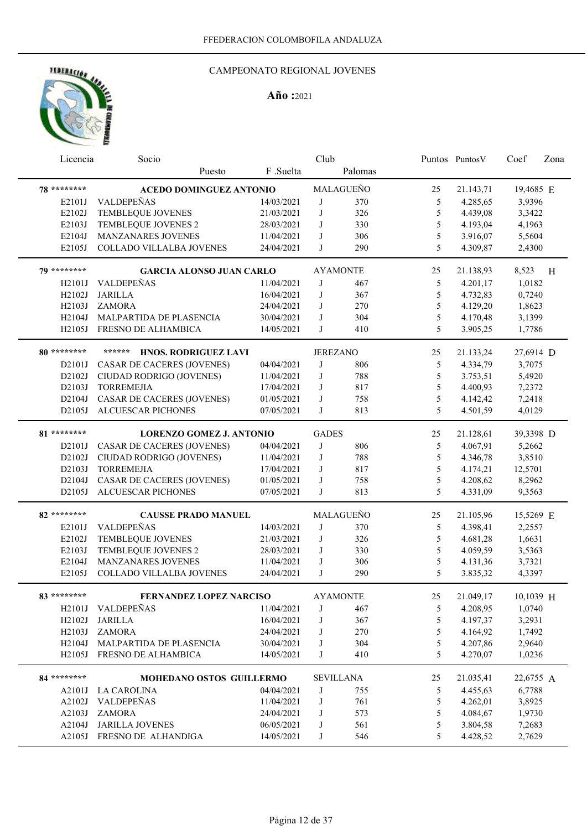# HEBERACIÓN AND

#### CAMPEONATO REGIONAL JOVENES

| Licencia     | Socio                           |            | Club            |                  |    | Puntos PuntosV | Coef      | Zona |
|--------------|---------------------------------|------------|-----------------|------------------|----|----------------|-----------|------|
|              | Puesto                          | F.Suelta   |                 | Palomas          |    |                |           |      |
| 78 ********  | <b>ACEDO DOMINGUEZ ANTONIO</b>  |            |                 | MALAGUEÑO        | 25 | 21.143,71      | 19,4685 E |      |
| E2101J       | VALDEPEÑAS                      | 14/03/2021 | J               | 370              | 5  | 4.285,65       | 3,9396    |      |
| E2102J       | TEMBLEQUE JOVENES               | 21/03/2021 | J               | 326              | 5  | 4.439,08       | 3,3422    |      |
| E2103J       | TEMBLEQUE JOVENES 2             | 28/03/2021 | J               | 330              | 5  | 4.193,04       | 4,1963    |      |
| E2104J       | MANZANARES JOVENES              | 11/04/2021 | J               | 306              | 5  | 3.916,07       | 5,5604    |      |
| E2105J       | COLLADO VILLALBA JOVENES        | 24/04/2021 | J               | 290              | 5  | 4.309,87       | 2,4300    |      |
|              |                                 |            |                 |                  |    |                |           |      |
| 70 ********* | <b>GARCIA ALONSO JUAN CARLO</b> |            |                 | <b>AYAMONTE</b>  | 25 | 21.138,93      | 8,523     | H    |
| H2101J       | <b>VALDEPEÑAS</b>               | 11/04/2021 | J               | 467              | 5  | 4.201,17       | 1,0182    |      |
| H2102J       | <b>JARILLA</b>                  | 16/04/2021 | J               | 367              | 5  | 4.732,83       | 0,7240    |      |
| H2103J       | <b>ZAMORA</b>                   | 24/04/2021 | J               | 270              | 5  | 4.129,20       | 1,8623    |      |
| H2104J       | MALPARTIDA DE PLASENCIA         | 30/04/2021 | J               | 304              | 5  | 4.170,48       | 3,1399    |      |
| H2105J       | FRESNO DE ALHAMBICA             | 14/05/2021 | J               | 410              | 5  | 3.905,25       | 1,7786    |      |
|              |                                 |            |                 |                  |    |                |           |      |
| 80 ********* | ******<br>HNOS. RODRIGUEZ LAVI  |            | <b>JEREZANO</b> |                  | 25 | 21.133,24      | 27,6914 D |      |
| D2101J       | CASAR DE CACERES (JOVENES)      | 04/04/2021 | J               | 806              | 5  | 4.334,79       | 3,7075    |      |
| D2102J       | CIUDAD RODRIGO (JOVENES)        | 11/04/2021 | J               | 788              | 5  | 3.753,51       | 5,4920    |      |
| D2103J       | <b>TORREMEJIA</b>               | 17/04/2021 | J               | 817              | 5  | 4.400,93       | 7,2372    |      |
| D2104J       | CASAR DE CACERES (JOVENES)      | 01/05/2021 | J               | 758              | 5  | 4.142,42       | 7,2418    |      |
| D2105J       | ALCUESCAR PICHONES              | 07/05/2021 | J               | 813              | 5  | 4.501,59       | 4,0129    |      |
| 81 ********* | <b>LORENZO GOMEZ J. ANTONIO</b> |            | <b>GADES</b>    |                  | 25 | 21.128,61      | 39,3398 D |      |
| D2101J       | CASAR DE CACERES (JOVENES)      | 04/04/2021 | J               | 806              | 5  | 4.067,91       | 5,2662    |      |
| D2102J       | CIUDAD RODRIGO (JOVENES)        | 11/04/2021 | J               | 788              | 5  |                | 3,8510    |      |
|              |                                 |            | J               |                  |    | 4.346,78       |           |      |
| D2103J       | <b>TORREMEJIA</b>               | 17/04/2021 |                 | 817              | 5  | 4.174,21       | 12,5701   |      |
| D2104J       | CASAR DE CACERES (JOVENES)      | 01/05/2021 | J               | 758              | 5  | 4.208,62       | 8,2962    |      |
| D2105J       | ALCUESCAR PICHONES              | 07/05/2021 | J               | 813              | 5  | 4.331,09       | 9,3563    |      |
| 82 ********  | <b>CAUSSE PRADO MANUEL</b>      |            |                 | MALAGUEÑO        | 25 | 21.105,96      | 15,5269 E |      |
| E2101J       | VALDEPEÑAS                      | 14/03/2021 | J               | 370              | 5  | 4.398,41       | 2,2557    |      |
| E2102J       | TEMBLEQUE JOVENES               | 21/03/2021 | J               | 326              | 5  | 4.681,28       | 1,6631    |      |
| E2103J       | TEMBLEQUE JOVENES 2             | 28/03/2021 | J               | 330              | 5  | 4.059,59       | 3,5363    |      |
| E2104J       | MANZANARES JOVENES              | 11/04/2021 | J               | 306              | 5  | 4.131,36       | 3,7321    |      |
| E2105J       | COLLADO VILLALBA JOVENES        | 24/04/2021 | J               | 290              | 5  | 3.835,32       | 4,3397    |      |
|              |                                 |            |                 |                  |    |                |           |      |
| 83 ********* | FERNANDEZ LOPEZ NARCISO         |            |                 | <b>AYAMONTE</b>  | 25 | 21.049,17      | 10,1039 H |      |
|              | H2101J VALDEPEÑAS               | 11/04/2021 | J               | 467              | 5  | 4.208,95       | 1,0740    |      |
| H2102J       | <b>JARILLA</b>                  | 16/04/2021 | J               | 367              | 5  | 4.197,37       | 3,2931    |      |
|              | H2103J ZAMORA                   | 24/04/2021 | J               | 270              | 5  | 4.164,92       | 1,7492    |      |
|              | H2104J MALPARTIDA DE PLASENCIA  | 30/04/2021 | J               | 304              | 5  | 4.207,86       | 2,9640    |      |
|              | H2105J FRESNO DE ALHAMBICA      | 14/05/2021 | J               | 410              | 5  | 4.270,07       | 1,0236    |      |
| 84 ********* | <b>MOHEDANO OSTOS GUILLERMO</b> |            |                 |                  |    |                |           |      |
|              |                                 |            |                 | <b>SEVILLANA</b> | 25 | 21.035,41      | 22,6755 A |      |
|              | A2101J LA CAROLINA              | 04/04/2021 | J               | 755              | 5  | 4.455,63       | 6,7788    |      |
| A2102J       | VALDEPEÑAS                      | 11/04/2021 | J               | 761              | 5  | 4.262,01       | 3,8925    |      |
| A2103J       | <b>ZAMORA</b>                   | 24/04/2021 | J               | 573              | 5  | 4.084,67       | 1,9730    |      |
| A2104J       | <b>JARILLA JOVENES</b>          | 06/05/2021 | J               | 561              | 5  | 3.804,58       | 7,2683    |      |
|              | A2105J FRESNO DE ALHANDIGA      | 14/05/2021 | J               | 546              | 5  | 4.428,52       | 2,7629    |      |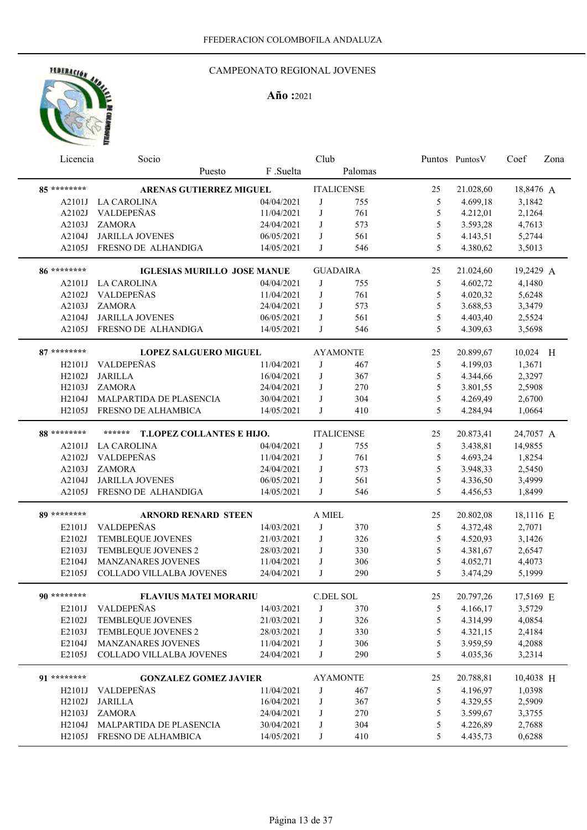## CAMPEONATO REGIONAL JOVENES

| F .Suelta<br>Palomas<br>Puesto<br>85 *********<br><b>ITALICENSE</b><br><b>ARENAS GUTIERREZ MIGUEL</b><br>21.028,60<br>18,8476 A<br>25<br>04/04/2021<br>5<br>4.699,18<br>3,1842<br>A2101J LA CAROLINA<br>J<br>755<br>VALDEPEÑAS<br>11/04/2021<br>761<br>5<br>4.212,01<br>2,1264<br>A2102J<br>J<br>5<br>A2103J<br><b>ZAMORA</b><br>24/04/2021<br>573<br>3.593,28<br>4,7613<br>J<br>5<br>A2104J<br><b>JARILLA JOVENES</b><br>06/05/2021<br>561<br>4.143,51<br>5,2744<br>J<br>5<br>FRESNO DE ALHANDIGA<br>546<br>4.380,62<br>A2105J<br>14/05/2021<br>J<br>3,5013<br>86 *********<br><b>GUADAIRA</b><br>21.024,60<br>19,2429 A<br><b>IGLESIAS MURILLO JOSE MANUE</b><br>25<br>A2101J LA CAROLINA<br>5<br>4.602,72<br>4,1480<br>04/04/2021<br>J<br>755<br>VALDEPEÑAS<br>5<br>761<br>A2102J<br>11/04/2021<br>J<br>4.020,32<br>5,6248<br>5<br>A2103J<br><b>ZAMORA</b><br>573<br>3.688,53<br>3,3479<br>24/04/2021<br>J<br>5<br>A2104J<br><b>JARILLA JOVENES</b><br>561<br>4.403,40<br>06/05/2021<br>J<br>2,5524<br>5<br>A2105J FRESNO DE ALHANDIGA<br>J<br>546<br>4.309,63<br>14/05/2021<br>3,5698<br>87 ********<br><b>AYAMONTE</b><br>20.899,67<br>10,024 H<br><b>LOPEZ SALGUERO MIGUEL</b><br>25 |  |
|--------------------------------------------------------------------------------------------------------------------------------------------------------------------------------------------------------------------------------------------------------------------------------------------------------------------------------------------------------------------------------------------------------------------------------------------------------------------------------------------------------------------------------------------------------------------------------------------------------------------------------------------------------------------------------------------------------------------------------------------------------------------------------------------------------------------------------------------------------------------------------------------------------------------------------------------------------------------------------------------------------------------------------------------------------------------------------------------------------------------------------------------------------------------------------------------|--|
|                                                                                                                                                                                                                                                                                                                                                                                                                                                                                                                                                                                                                                                                                                                                                                                                                                                                                                                                                                                                                                                                                                                                                                                            |  |
|                                                                                                                                                                                                                                                                                                                                                                                                                                                                                                                                                                                                                                                                                                                                                                                                                                                                                                                                                                                                                                                                                                                                                                                            |  |
|                                                                                                                                                                                                                                                                                                                                                                                                                                                                                                                                                                                                                                                                                                                                                                                                                                                                                                                                                                                                                                                                                                                                                                                            |  |
|                                                                                                                                                                                                                                                                                                                                                                                                                                                                                                                                                                                                                                                                                                                                                                                                                                                                                                                                                                                                                                                                                                                                                                                            |  |
|                                                                                                                                                                                                                                                                                                                                                                                                                                                                                                                                                                                                                                                                                                                                                                                                                                                                                                                                                                                                                                                                                                                                                                                            |  |
|                                                                                                                                                                                                                                                                                                                                                                                                                                                                                                                                                                                                                                                                                                                                                                                                                                                                                                                                                                                                                                                                                                                                                                                            |  |
|                                                                                                                                                                                                                                                                                                                                                                                                                                                                                                                                                                                                                                                                                                                                                                                                                                                                                                                                                                                                                                                                                                                                                                                            |  |
|                                                                                                                                                                                                                                                                                                                                                                                                                                                                                                                                                                                                                                                                                                                                                                                                                                                                                                                                                                                                                                                                                                                                                                                            |  |
|                                                                                                                                                                                                                                                                                                                                                                                                                                                                                                                                                                                                                                                                                                                                                                                                                                                                                                                                                                                                                                                                                                                                                                                            |  |
|                                                                                                                                                                                                                                                                                                                                                                                                                                                                                                                                                                                                                                                                                                                                                                                                                                                                                                                                                                                                                                                                                                                                                                                            |  |
|                                                                                                                                                                                                                                                                                                                                                                                                                                                                                                                                                                                                                                                                                                                                                                                                                                                                                                                                                                                                                                                                                                                                                                                            |  |
|                                                                                                                                                                                                                                                                                                                                                                                                                                                                                                                                                                                                                                                                                                                                                                                                                                                                                                                                                                                                                                                                                                                                                                                            |  |
|                                                                                                                                                                                                                                                                                                                                                                                                                                                                                                                                                                                                                                                                                                                                                                                                                                                                                                                                                                                                                                                                                                                                                                                            |  |
|                                                                                                                                                                                                                                                                                                                                                                                                                                                                                                                                                                                                                                                                                                                                                                                                                                                                                                                                                                                                                                                                                                                                                                                            |  |
|                                                                                                                                                                                                                                                                                                                                                                                                                                                                                                                                                                                                                                                                                                                                                                                                                                                                                                                                                                                                                                                                                                                                                                                            |  |
| VALDEPEÑAS<br>11/04/2021<br>J<br>5<br>4.199,03<br>1,3671<br>H2101J<br>467                                                                                                                                                                                                                                                                                                                                                                                                                                                                                                                                                                                                                                                                                                                                                                                                                                                                                                                                                                                                                                                                                                                  |  |
| 5<br><b>JARILLA</b><br>16/04/2021<br>J<br>4.344,66<br>2,3297<br>H2102J<br>367                                                                                                                                                                                                                                                                                                                                                                                                                                                                                                                                                                                                                                                                                                                                                                                                                                                                                                                                                                                                                                                                                                              |  |
| 5<br>24/04/2021<br>J<br>3.801,55<br>H2103J<br><b>ZAMORA</b><br>270<br>2,5908                                                                                                                                                                                                                                                                                                                                                                                                                                                                                                                                                                                                                                                                                                                                                                                                                                                                                                                                                                                                                                                                                                               |  |
| 5<br>MALPARTIDA DE PLASENCIA<br>30/04/2021<br>304<br>4.269,49<br>2,6700<br>H2104J<br>J                                                                                                                                                                                                                                                                                                                                                                                                                                                                                                                                                                                                                                                                                                                                                                                                                                                                                                                                                                                                                                                                                                     |  |
| 5<br>FRESNO DE ALHAMBICA<br>J<br>4.284,94<br>1,0664<br>H2105J<br>14/05/2021<br>410                                                                                                                                                                                                                                                                                                                                                                                                                                                                                                                                                                                                                                                                                                                                                                                                                                                                                                                                                                                                                                                                                                         |  |
| 88 *********<br>******<br><b>T.LOPEZ COLLANTES E HIJO.</b><br><b>ITALICENSE</b><br>20.873,41<br>24,7057 A<br>25                                                                                                                                                                                                                                                                                                                                                                                                                                                                                                                                                                                                                                                                                                                                                                                                                                                                                                                                                                                                                                                                            |  |
| <b>LA CAROLINA</b><br>04/04/2021<br>J<br>5<br>3.438,81<br>14,9855<br>A2101J<br>755                                                                                                                                                                                                                                                                                                                                                                                                                                                                                                                                                                                                                                                                                                                                                                                                                                                                                                                                                                                                                                                                                                         |  |
| VALDEPEÑAS<br>J                                                                                                                                                                                                                                                                                                                                                                                                                                                                                                                                                                                                                                                                                                                                                                                                                                                                                                                                                                                                                                                                                                                                                                            |  |
| A2102J<br>11/04/2021<br>761<br>5<br>4.693,24<br>1,8254                                                                                                                                                                                                                                                                                                                                                                                                                                                                                                                                                                                                                                                                                                                                                                                                                                                                                                                                                                                                                                                                                                                                     |  |
| A2103J<br><b>ZAMORA</b><br>24/04/2021<br>573<br>5<br>3.948,33<br>2,5450<br>J                                                                                                                                                                                                                                                                                                                                                                                                                                                                                                                                                                                                                                                                                                                                                                                                                                                                                                                                                                                                                                                                                                               |  |
| <b>JARILLA JOVENES</b><br>06/05/2021<br>561<br>5<br>3,4999<br>A2104J<br>J<br>4.336,50                                                                                                                                                                                                                                                                                                                                                                                                                                                                                                                                                                                                                                                                                                                                                                                                                                                                                                                                                                                                                                                                                                      |  |
| 5<br>A2105J<br>FRESNO DE ALHANDIGA<br>14/05/2021<br>J<br>546<br>4.456,53<br>1,8499                                                                                                                                                                                                                                                                                                                                                                                                                                                                                                                                                                                                                                                                                                                                                                                                                                                                                                                                                                                                                                                                                                         |  |
| 89 *********<br>A MIEL<br>25<br>20.802,08<br>18,1116 E<br><b>ARNORD RENARD STEEN</b>                                                                                                                                                                                                                                                                                                                                                                                                                                                                                                                                                                                                                                                                                                                                                                                                                                                                                                                                                                                                                                                                                                       |  |
| VALDEPEÑAS<br>14/03/2021<br>J<br>370<br>4.372,48<br>2,7071<br>E2101J<br>5                                                                                                                                                                                                                                                                                                                                                                                                                                                                                                                                                                                                                                                                                                                                                                                                                                                                                                                                                                                                                                                                                                                  |  |
| E2102J<br>TEMBLEQUE JOVENES<br>J<br>326<br>5<br>4.520,93<br>21/03/2021<br>3,1426                                                                                                                                                                                                                                                                                                                                                                                                                                                                                                                                                                                                                                                                                                                                                                                                                                                                                                                                                                                                                                                                                                           |  |
| 5<br>E2103J<br>TEMBLEQUE JOVENES 2<br>4.381,67<br>28/03/2021<br>J<br>330<br>2,6547                                                                                                                                                                                                                                                                                                                                                                                                                                                                                                                                                                                                                                                                                                                                                                                                                                                                                                                                                                                                                                                                                                         |  |
| 5<br>E2104J<br><b>MANZANARES JOVENES</b><br>4.052,71<br>11/04/2021<br>J<br>306<br>4,4073                                                                                                                                                                                                                                                                                                                                                                                                                                                                                                                                                                                                                                                                                                                                                                                                                                                                                                                                                                                                                                                                                                   |  |
| 5<br>E2105J<br>COLLADO VILLALBA JOVENES<br>24/04/2021<br>$\mathbf{J}$<br>290<br>3.474,29<br>5,1999                                                                                                                                                                                                                                                                                                                                                                                                                                                                                                                                                                                                                                                                                                                                                                                                                                                                                                                                                                                                                                                                                         |  |
| 17,5169 E<br>25<br>20.797,26<br><b>FLAVIUS MATEI MORARIU</b><br>C.DEL SOL<br>90 ********                                                                                                                                                                                                                                                                                                                                                                                                                                                                                                                                                                                                                                                                                                                                                                                                                                                                                                                                                                                                                                                                                                   |  |
|                                                                                                                                                                                                                                                                                                                                                                                                                                                                                                                                                                                                                                                                                                                                                                                                                                                                                                                                                                                                                                                                                                                                                                                            |  |
| VALDEPEÑAS<br>E2101J<br>14/03/2021<br>J<br>5<br>4.166,17<br>3,5729<br>370                                                                                                                                                                                                                                                                                                                                                                                                                                                                                                                                                                                                                                                                                                                                                                                                                                                                                                                                                                                                                                                                                                                  |  |
| 5<br>E2102J<br>TEMBLEQUE JOVENES<br>4.314,99<br>4,0854<br>21/03/2021<br>326<br>J                                                                                                                                                                                                                                                                                                                                                                                                                                                                                                                                                                                                                                                                                                                                                                                                                                                                                                                                                                                                                                                                                                           |  |
| 5<br>E2103J<br>TEMBLEQUE JOVENES 2<br>28/03/2021<br>330<br>4.321,15<br>2,4184<br>J                                                                                                                                                                                                                                                                                                                                                                                                                                                                                                                                                                                                                                                                                                                                                                                                                                                                                                                                                                                                                                                                                                         |  |
| 5<br>E2104J<br>306<br>MANZANARES JOVENES<br>11/04/2021<br>3.959,59<br>4,2088<br>J                                                                                                                                                                                                                                                                                                                                                                                                                                                                                                                                                                                                                                                                                                                                                                                                                                                                                                                                                                                                                                                                                                          |  |
| COLLADO VILLALBA JOVENES<br>290<br>5<br>E2105J<br>24/04/2021<br>J<br>4.035,36<br>3,2314                                                                                                                                                                                                                                                                                                                                                                                                                                                                                                                                                                                                                                                                                                                                                                                                                                                                                                                                                                                                                                                                                                    |  |
|                                                                                                                                                                                                                                                                                                                                                                                                                                                                                                                                                                                                                                                                                                                                                                                                                                                                                                                                                                                                                                                                                                                                                                                            |  |
| 91 ********<br>10,4038 H<br><b>GONZALEZ GOMEZ JAVIER</b><br><b>AYAMONTE</b><br>25<br>20.788,81                                                                                                                                                                                                                                                                                                                                                                                                                                                                                                                                                                                                                                                                                                                                                                                                                                                                                                                                                                                                                                                                                             |  |
| VALDEPEÑAS<br>11/04/2021<br>5<br>4.196,97<br>1,0398<br>J<br>467<br>H2101J                                                                                                                                                                                                                                                                                                                                                                                                                                                                                                                                                                                                                                                                                                                                                                                                                                                                                                                                                                                                                                                                                                                  |  |
| <b>JARILLA</b><br>5<br>4.329,55<br>H2102J<br>16/04/2021<br>J<br>367<br>2,5909                                                                                                                                                                                                                                                                                                                                                                                                                                                                                                                                                                                                                                                                                                                                                                                                                                                                                                                                                                                                                                                                                                              |  |
| 5<br>H2103J<br>ZAMORA<br>24/04/2021<br>J<br>270<br>3.599,67                                                                                                                                                                                                                                                                                                                                                                                                                                                                                                                                                                                                                                                                                                                                                                                                                                                                                                                                                                                                                                                                                                                                |  |
| 3,3755<br>5<br>4.226,89<br>H2104J<br>MALPARTIDA DE PLASENCIA<br>30/04/2021<br>J<br>304<br>2,7688                                                                                                                                                                                                                                                                                                                                                                                                                                                                                                                                                                                                                                                                                                                                                                                                                                                                                                                                                                                                                                                                                           |  |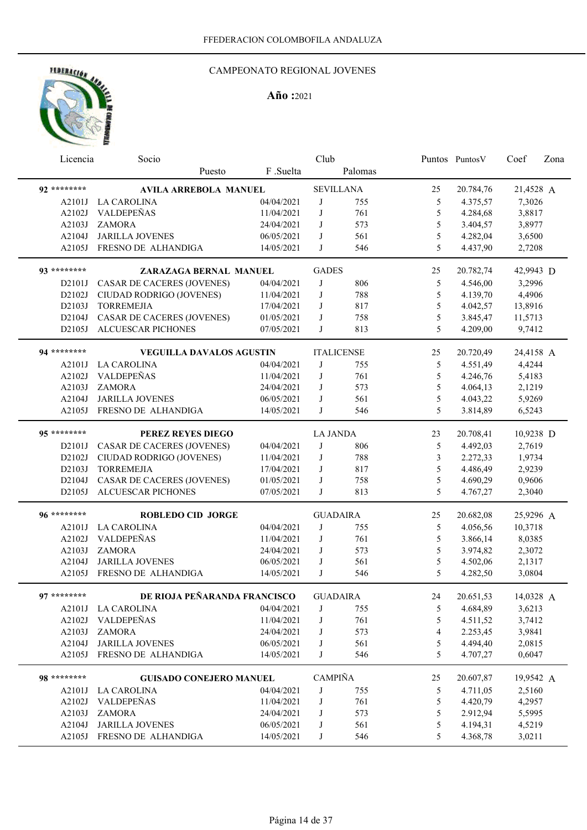

| Licencia     | Socio                             |            | Club            |                   |                | Puntos Puntos V | Coef      | Zona |
|--------------|-----------------------------------|------------|-----------------|-------------------|----------------|-----------------|-----------|------|
|              | Puesto                            | F.Suelta   |                 | Palomas           |                |                 |           |      |
| 92 ********  | <b>AVILA ARREBOLA MANUEL</b>      |            |                 | <b>SEVILLANA</b>  | 25             | 20.784,76       | 21,4528 A |      |
| A2101J       | <b>LA CAROLINA</b>                | 04/04/2021 | J               | 755               | 5              | 4.375,57        | 7,3026    |      |
| A2102J       | VALDEPEÑAS                        | 11/04/2021 | J               | 761               | 5              | 4.284,68        | 3,8817    |      |
| A2103J       | <b>ZAMORA</b>                     | 24/04/2021 | J               | 573               | 5              | 3.404,57        | 3,8977    |      |
| A2104J       | <b>JARILLA JOVENES</b>            | 06/05/2021 | J               | 561               | 5              | 4.282,04        | 3,6500    |      |
| A2105J       | FRESNO DE ALHANDIGA               | 14/05/2021 | J               | 546               | 5              | 4.437,90        | 2,7208    |      |
| 93 ********* | ZARAZAGA BERNAL MANUEL            |            | <b>GADES</b>    |                   | 25             | 20.782,74       | 42,9943 D |      |
| D2101J       | CASAR DE CACERES (JOVENES)        | 04/04/2021 | J               | 806               | 5              | 4.546,00        | 3,2996    |      |
| D2102J       | CIUDAD RODRIGO (JOVENES)          | 11/04/2021 | J               | 788               | 5              | 4.139,70        | 4,4906    |      |
| D2103J       | <b>TORREMEJIA</b>                 | 17/04/2021 | J               | 817               | 5              | 4.042,57        | 13,8916   |      |
| D2104J       | CASAR DE CACERES (JOVENES)        | 01/05/2021 | J               | 758               | 5              | 3.845,47        | 11,5713   |      |
| D2105J       | <b>ALCUESCAR PICHONES</b>         | 07/05/2021 | J               | 813               | 5              | 4.209,00        | 9,7412    |      |
| 94 ********* | <b>VEGUILLA DAVALOS AGUSTIN</b>   |            |                 | <b>ITALICENSE</b> | 25             | 20.720,49       | 24,4158 A |      |
| A2101J       | <b>LA CAROLINA</b>                | 04/04/2021 | J               | 755               | 5              | 4.551,49        | 4,4244    |      |
| A2102J       | VALDEPEÑAS                        | 11/04/2021 | J               | 761               | $\mathfrak s$  | 4.246,76        | 5,4183    |      |
| A2103J       | <b>ZAMORA</b>                     | 24/04/2021 | J               | 573               | 5              | 4.064,13        | 2,1219    |      |
| A2104J       | <b>JARILLA JOVENES</b>            | 06/05/2021 | J               | 561               | 5              | 4.043,22        | 5,9269    |      |
| A2105J       | FRESNO DE ALHANDIGA               | 14/05/2021 | J               | 546               | 5              | 3.814,89        | 6,5243    |      |
| 95 ********* | PEREZ REYES DIEGO                 |            | <b>LA JANDA</b> |                   | 23             | 20.708,41       | 10,9238 D |      |
| D2101J       | <b>CASAR DE CACERES (JOVENES)</b> | 04/04/2021 | J               | 806               | 5              | 4.492,03        | 2,7619    |      |
| D2102J       | CIUDAD RODRIGO (JOVENES)          | 11/04/2021 | J               | 788               | 3              | 2.272,33        | 1,9734    |      |
| D2103J       | <b>TORREMEJIA</b>                 | 17/04/2021 | J               | 817               | 5              | 4.486,49        | 2,9239    |      |
| D2104J       | CASAR DE CACERES (JOVENES)        | 01/05/2021 | J               | 758               | 5              | 4.690,29        | 0,9606    |      |
| D2105J       | <b>ALCUESCAR PICHONES</b>         | 07/05/2021 | J               | 813               | 5              | 4.767,27        | 2,3040    |      |
| 96 ********* |                                   |            |                 |                   |                |                 |           |      |
|              | <b>ROBLEDO CID JORGE</b>          |            |                 | <b>GUADAIRA</b>   | 25             | 20.682,08       | 25,9296 A |      |
| A2101J       | <b>LA CAROLINA</b>                | 04/04/2021 | J               | 755               | 5              | 4.056,56        | 10,3718   |      |
| A2102J       | VALDEPEÑAS                        | 11/04/2021 | J               | 761               | 5              | 3.866,14        | 8,0385    |      |
| A2103J       | <b>ZAMORA</b>                     | 24/04/2021 | J               | 573               | 5              | 3.974,82        | 2,3072    |      |
| A2104J       | <b>JARILLA JOVENES</b>            | 06/05/2021 | J               | 561               | 5              | 4.502,06        | 2,1317    |      |
| A2105J       | FRESNO DE ALHANDIGA               | 14/05/2021 | J               | 546               | 5              | 4.282,50        | 3,0804    |      |
| 97 ********  | DE RIOJA PEÑARANDA FRANCISCO      |            |                 | <b>GUADAIRA</b>   | 24             | 20.651,53       | 14,0328 A |      |
|              | A2101J LA CAROLINA                | 04/04/2021 | J               | 755               | 5              | 4.684,89        | 3,6213    |      |
| A2102J       | VALDEPEÑAS                        | 11/04/2021 | J               | 761               | 5              | 4.511,52        | 3,7412    |      |
| A2103J       | <b>ZAMORA</b>                     | 24/04/2021 | J               | 573               | $\overline{4}$ | 2.253,45        | 3,9841    |      |
| A2104J       | <b>JARILLA JOVENES</b>            | 06/05/2021 | J               | 561               | 5              | 4.494,40        | 2,0815    |      |
|              | A2105J FRESNO DE ALHANDIGA        | 14/05/2021 | J               | 546               | 5              | 4.707,27        | 0,6047    |      |
| 98 ********* | <b>GUISADO CONEJERO MANUEL</b>    |            | <b>CAMPIÑA</b>  |                   | 25             | 20.607,87       | 19,9542 A |      |
|              | A2101J LA CAROLINA                | 04/04/2021 | J               | 755               | 5              | 4.711,05        | 2,5160    |      |
| A2102J       | VALDEPEÑAS                        | 11/04/2021 | $_{\rm J}$      | 761               | $\mathfrak s$  | 4.420,79        | 4,2957    |      |
| A2103J       | ZAMORA                            | 24/04/2021 | J               | 573               | 5              | 2.912,94        | 5,5995    |      |
| A2104J       | <b>JARILLA JOVENES</b>            | 06/05/2021 | J               | 561               | 5              | 4.194,31        | 4,5219    |      |
|              | A2105J FRESNO DE ALHANDIGA        | 14/05/2021 | J               | 546               | 5              | 4.368,78        | 3,0211    |      |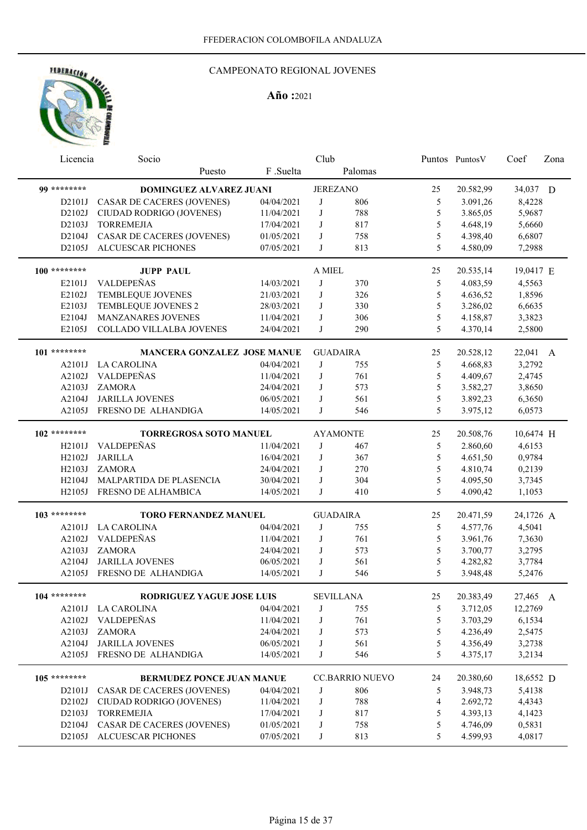

| Licencia            | Socio                              |            | Club            |                        |        | Puntos Puntos V | Coef      | Zona |
|---------------------|------------------------------------|------------|-----------------|------------------------|--------|-----------------|-----------|------|
|                     | Puesto                             | F .Suelta  |                 | Palomas                |        |                 |           |      |
| 00 *********        | DOMINGUEZ ALVAREZ JUANI            |            | <b>JEREZANO</b> |                        | 25     | 20.582,99       | 34,037 D  |      |
| D2101J              | CASAR DE CACERES (JOVENES)         | 04/04/2021 | J               | 806                    | 5      | 3.091,26        | 8,4228    |      |
| D2102J              | CIUDAD RODRIGO (JOVENES)           | 11/04/2021 | J               | 788                    | 5      | 3.865,05        | 5,9687    |      |
| D2103J              | <b>TORREMEJIA</b>                  | 17/04/2021 | J               | 817                    | 5      | 4.648,19        | 5,6660    |      |
| D2104J              | CASAR DE CACERES (JOVENES)         | 01/05/2021 | J               | 758                    | 5      | 4.398,40        | 6,6807    |      |
| D2105J              | ALCUESCAR PICHONES                 | 07/05/2021 | J               | 813                    | 5      | 4.580,09        | 7,2988    |      |
|                     |                                    |            |                 |                        |        |                 |           |      |
| $100$ ********      | <b>JUPP PAUL</b>                   |            | A MIEL          |                        | 25     | 20.535,14       | 19,0417 E |      |
| E2101J              | VALDEPEÑAS                         | 14/03/2021 | J               | 370                    | 5      | 4.083,59        | 4,5563    |      |
| E2102J              | TEMBLEQUE JOVENES                  | 21/03/2021 | J               | 326                    | 5      | 4.636,52        | 1,8596    |      |
| E2103J              | TEMBLEQUE JOVENES 2                | 28/03/2021 | J               | 330                    | 5      | 3.286,02        | 6,6635    |      |
| E2104J              | MANZANARES JOVENES                 | 11/04/2021 | J               | 306                    | 5      | 4.158,87        | 3,3823    |      |
| E2105J              | COLLADO VILLALBA JOVENES           | 24/04/2021 | J               | 290                    | 5      | 4.370,14        | 2,5800    |      |
| 101 ********        | <b>MANCERA GONZALEZ JOSE MANUE</b> |            |                 | <b>GUADAIRA</b>        | 25     | 20.528,12       | 22,041 A  |      |
|                     | A2101J LA CAROLINA                 | 04/04/2021 | J               | 755                    | 5      | 4.668,83        | 3,2792    |      |
| A2102J              | VALDEPEÑAS                         | 11/04/2021 | J               | 761                    | 5      | 4.409,67        | 2,4745    |      |
| A2103J              | <b>ZAMORA</b>                      | 24/04/2021 | J               | 573                    | 5      | 3.582,27        | 3,8650    |      |
| A2104J              | <b>JARILLA JOVENES</b>             | 06/05/2021 | J               | 561                    | 5      | 3.892,23        | 6,3650    |      |
| A2105J              | FRESNO DE ALHANDIGA                | 14/05/2021 | J               | 546                    | 5      | 3.975,12        | 6,0573    |      |
|                     |                                    |            |                 |                        |        |                 |           |      |
| $102$ ********      | <b>TORREGROSA SOTO MANUEL</b>      |            |                 | <b>AYAMONTE</b>        | 25     | 20.508,76       | 10,6474 H |      |
| H2101J              | VALDEPEÑAS                         | 11/04/2021 | J               | 467                    | 5      | 2.860,60        | 4,6153    |      |
| H2102J              | <b>JARILLA</b>                     | 16/04/2021 | J               | 367                    | 5      | 4.651,50        | 0,9784    |      |
| H2103J              | <b>ZAMORA</b>                      | 24/04/2021 | J               | 270                    | 5      | 4.810,74        | 0,2139    |      |
| H <sub>2</sub> 104J | MALPARTIDA DE PLASENCIA            | 30/04/2021 | J               | 304                    | 5      | 4.095,50        | 3,7345    |      |
| H2105J              | FRESNO DE ALHAMBICA                | 14/05/2021 | J               | 410                    | 5      | 4.090,42        | 1,1053    |      |
|                     |                                    |            |                 |                        |        |                 |           |      |
| $103$ ********      | <b>TORO FERNANDEZ MANUEL</b>       |            |                 | <b>GUADAIRA</b>        | 25     | 20.471,59       | 24,1726 A |      |
| A2101J              | <b>LA CAROLINA</b>                 | 04/04/2021 | J               | 755                    | 5      | 4.577,76        | 4,5041    |      |
| A2102J              | VALDEPEÑAS                         | 11/04/2021 | J               | 761                    | 5      | 3.961,76        | 7,3630    |      |
| A2103J              | <b>ZAMORA</b>                      | 24/04/2021 | J               | 573                    | 5      | 3.700,77        | 3,2795    |      |
| A2104J              | <b>JARILLA JOVENES</b>             | 06/05/2021 | J               | 561                    | 5      | 4.282,82        | 3,7784    |      |
| A2105J              | FRESNO DE ALHANDIGA                | 14/05/2021 | $\mathbf{J}$    | 546                    | 5      | 3.948,48        | 5,2476    |      |
| $104$ ********      | RODRIGUEZ YAGUE JOSE LUIS          |            |                 | SEVILLANA              | $25\,$ | 20.383,49       | 27,465 A  |      |
|                     | A2101J LA CAROLINA                 | 04/04/2021 | J               | 755                    | 5      | 3.712,05        | 12,2769   |      |
|                     | A2102J VALDEPEÑAS                  | 11/04/2021 | J               | 761                    | 5      | 3.703,29        | 6,1534    |      |
| A2103J              | ZAMORA                             | 24/04/2021 | J               | 573                    | 5      | 4.236,49        | 2,5475    |      |
| A2104J              | <b>JARILLA JOVENES</b>             | 06/05/2021 | J               | 561                    | 5      | 4.356,49        | 3,2738    |      |
| A2105J              | FRESNO DE ALHANDIGA                | 14/05/2021 | J               | 546                    | 5      | 4.375,17        | 3,2134    |      |
|                     |                                    |            |                 |                        |        |                 |           |      |
| 105 ********        | <b>BERMUDEZ PONCE JUAN MANUE</b>   |            |                 | <b>CC.BARRIO NUEVO</b> | 24     | 20.380,60       | 18,6552 D |      |
| D2101J              | <b>CASAR DE CACERES (JOVENES)</b>  | 04/04/2021 | J               | 806                    | 5      | 3.948,73        | 5,4138    |      |
| D2102J              | CIUDAD RODRIGO (JOVENES)           | 11/04/2021 | J               | 788                    | 4      | 2.692,72        | 4,4343    |      |
| D2103J              | <b>TORREMEJIA</b>                  | 17/04/2021 | J               | 817                    | 5      | 4.393,13        | 4,1423    |      |
| D2104J              | <b>CASAR DE CACERES (JOVENES)</b>  | 01/05/2021 | J               | 758                    | 5      | 4.746,09        | 0,5831    |      |
| D2105J              | <b>ALCUESCAR PICHONES</b>          | 07/05/2021 | J               | 813                    | 5      | 4.599,93        | 4,0817    |      |
|                     |                                    |            |                 |                        |        |                 |           |      |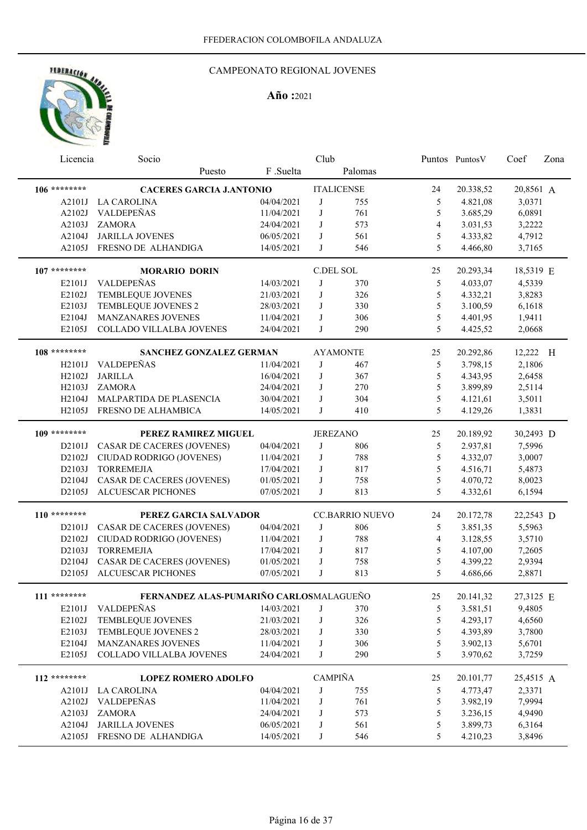

| Licencia       | Socio                                   |            | Club            |                        |                | Puntos Puntos V | Coef      | Zona |
|----------------|-----------------------------------------|------------|-----------------|------------------------|----------------|-----------------|-----------|------|
|                | Puesto                                  | F.Suelta   |                 | Palomas                |                |                 |           |      |
| 106 ********   | <b>CACERES GARCIA J.ANTONIO</b>         |            |                 | <b>ITALICENSE</b>      | 24             | 20.338,52       | 20,8561 A |      |
| A2101J         | LA CAROLINA                             | 04/04/2021 | J               | 755                    | 5              | 4.821,08        | 3,0371    |      |
| A2102J         | VALDEPEÑAS                              | 11/04/2021 | J               | 761                    | 5              | 3.685,29        | 6,0891    |      |
| A2103J         | <b>ZAMORA</b>                           | 24/04/2021 | J               | 573                    | $\overline{4}$ | 3.031,53        | 3,2222    |      |
| A2104J         | JARILLA JOVENES                         | 06/05/2021 | J               | 561                    | 5              | 4.333,82        | 4,7912    |      |
| A2105J         | FRESNO DE ALHANDIGA                     | 14/05/2021 | J               | 546                    | 5              | 4.466,80        | 3,7165    |      |
|                |                                         |            |                 |                        |                |                 |           |      |
| $107$ ******** | <b>MORARIO DORIN</b>                    |            | C.DEL SOL       |                        | 25             | 20.293,34       | 18,5319 E |      |
| E2101J         | VALDEPEÑAS                              | 14/03/2021 | J               | 370                    | 5              | 4.033,07        | 4,5339    |      |
| E2102J         | TEMBLEQUE JOVENES                       | 21/03/2021 | J               | 326                    | $\mathfrak s$  | 4.332,21        | 3,8283    |      |
| E2103J         | TEMBLEQUE JOVENES 2                     | 28/03/2021 | J               | 330                    | $\mathfrak s$  | 3.100,59        | 6,1618    |      |
| E2104J         | MANZANARES JOVENES                      | 11/04/2021 | J               | 306                    | 5              | 4.401,95        | 1,9411    |      |
| E2105J         | COLLADO VILLALBA JOVENES                | 24/04/2021 | J               | 290                    | 5              | 4.425,52        | 2,0668    |      |
|                |                                         |            |                 |                        |                |                 |           |      |
| 108 ********   | <b>SANCHEZ GONZALEZ GERMAN</b>          |            |                 | <b>AYAMONTE</b>        | 25             | 20.292,86       | 12,222 H  |      |
| H2101J         | VALDEPEÑAS                              | 11/04/2021 | J               | 467                    | 5              | 3.798,15        | 2,1806    |      |
| H2102J         | <b>JARILLA</b>                          | 16/04/2021 | J               | 367                    | 5              | 4.343,95        | 2,6458    |      |
| H2103J         | <b>ZAMORA</b>                           | 24/04/2021 | J               | 270                    | 5              | 3.899,89        | 2,5114    |      |
| H2104J         | MALPARTIDA DE PLASENCIA                 | 30/04/2021 | J               | 304                    | 5              | 4.121,61        | 3,5011    |      |
| H2105J         | FRESNO DE ALHAMBICA                     | 14/05/2021 | J               | 410                    | 5              | 4.129,26        | 1,3831    |      |
| $109$ ******** | PEREZ RAMIREZ MIGUEL                    |            | <b>JEREZANO</b> |                        | 25             | 20.189,92       | 30,2493 D |      |
| D2101J         | CASAR DE CACERES (JOVENES)              | 04/04/2021 | J               | 806                    | 5              | 2.937,81        | 7,5996    |      |
| D2102J         | CIUDAD RODRIGO (JOVENES)                | 11/04/2021 | J               | 788                    | 5              | 4.332,07        | 3,0007    |      |
| D2103J         | <b>TORREMEJIA</b>                       | 17/04/2021 | J               | 817                    | 5              | 4.516,71        | 5,4873    |      |
| D2104J         | CASAR DE CACERES (JOVENES)              | 01/05/2021 | J               | 758                    | 5              | 4.070,72        | 8,0023    |      |
| D2105J         | <b>ALCUESCAR PICHONES</b>               | 07/05/2021 | J               | 813                    | 5              | 4.332,61        | 6,1594    |      |
|                |                                         |            |                 |                        |                |                 |           |      |
| $110******$    | PEREZ GARCIA SALVADOR                   |            |                 | <b>CC.BARRIO NUEVO</b> | 24             | 20.172,78       | 22,2543 D |      |
| D2101J         | <b>CASAR DE CACERES (JOVENES)</b>       | 04/04/2021 | J               | 806                    | 5              | 3.851,35        | 5,5963    |      |
| D2102J         | CIUDAD RODRIGO (JOVENES)                | 11/04/2021 | J               | 788                    | $\overline{4}$ | 3.128,55        | 3,5710    |      |
| D2103J         | <b>TORREMEJIA</b>                       | 17/04/2021 | J               | 817                    | 5              | 4.107,00        | 7,2605    |      |
| D2104J         | <b>CASAR DE CACERES (JOVENES)</b>       | 01/05/2021 | J               | 758                    | 5              | 4.399,22        | 2,9394    |      |
| D2105J         | <b>ALCUESCAR PICHONES</b>               | 07/05/2021 | J               | 813                    | 5              | 4.686,66        | 2,8871    |      |
|                |                                         |            |                 |                        |                |                 |           |      |
| $111*******$   | FERNANDEZ ALAS-PUMARIÑO CARLOSMALAGUEÑO |            |                 |                        | 25             | 20.141,32       | 27,3125 E |      |
| E2101J         | VALDEPEÑAS                              | 14/03/2021 | J               | 370                    | 5              | 3.581,51        | 9,4805    |      |
| E2102J         | TEMBLEQUE JOVENES                       | 21/03/2021 | J               | 326                    | $\mathfrak s$  | 4.293,17        | 4,6560    |      |
| E2103J         | TEMBLEQUE JOVENES 2                     | 28/03/2021 | J               | 330                    | $\mathfrak s$  | 4.393,89        | 3,7800    |      |
| E2104J         | <b>MANZANARES JOVENES</b>               | 11/04/2021 | J               | 306                    | 5              | 3.902,13        | 5,6701    |      |
| E2105J         | COLLADO VILLALBA JOVENES                | 24/04/2021 | J               | 290                    | 5              | 3.970,62        | 3,7259    |      |
| 112 ********   | <b>LOPEZ ROMERO ADOLFO</b>              |            | <b>CAMPIÑA</b>  |                        | 25             | 20.101,77       | 25,4515 A |      |
|                | A2101J LA CAROLINA                      | 04/04/2021 | J               | 755                    | 5              | 4.773,47        | 2,3371    |      |
| A2102J         | VALDEPEÑAS                              | 11/04/2021 | J               | 761                    | $\mathfrak s$  | 3.982,19        | 7,9994    |      |
| A2103J         | <b>ZAMORA</b>                           | 24/04/2021 | J               | 573                    | 5              | 3.236,15        | 4,9490    |      |
| A2104J         | <b>JARILLA JOVENES</b>                  | 06/05/2021 | J               | 561                    | 5              | 3.899,73        | 6,3164    |      |
| A2105J         | FRESNO DE ALHANDIGA                     | 14/05/2021 | J               | 546                    | 5              | 4.210,23        | 3,8496    |      |
|                |                                         |            |                 |                        |                |                 |           |      |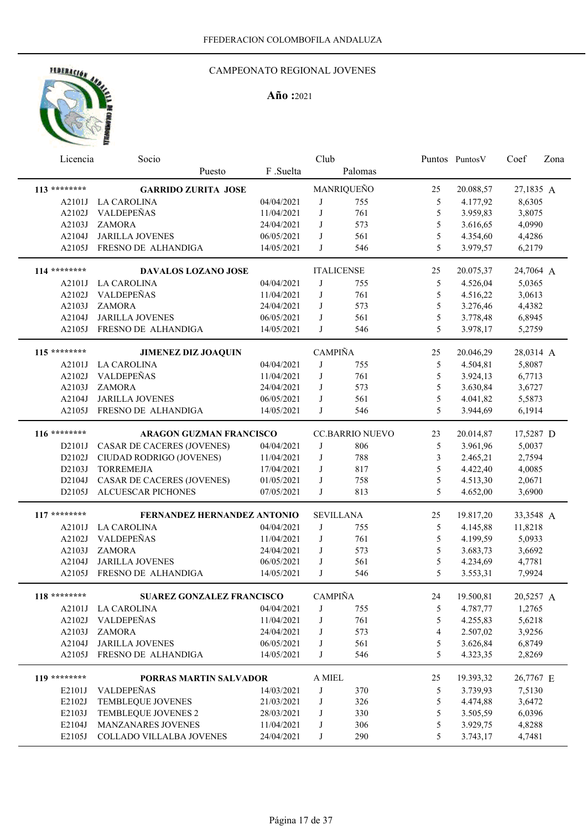

| Licencia       | Socio                              |            | Club                                |                        |    | Puntos Puntos V | Coef      | Zona |
|----------------|------------------------------------|------------|-------------------------------------|------------------------|----|-----------------|-----------|------|
|                | Puesto                             | F.Suelta   |                                     | Palomas                |    |                 |           |      |
| 113 ********   | <b>GARRIDO ZURITA JOSE</b>         |            |                                     | MANRIQUEÑO             | 25 | 20.088,57       | 27,1835 A |      |
| A2101J         | <b>LA CAROLINA</b>                 | 04/04/2021 | J                                   | 755                    | 5  | 4.177,92        | 8,6305    |      |
| A2102J         | VALDEPEÑAS                         | 11/04/2021 | J                                   | 761                    | 5  | 3.959,83        | 3,8075    |      |
| A2103J         | <b>ZAMORA</b>                      | 24/04/2021 | J                                   | 573                    | 5  | 3.616,65        | 4,0990    |      |
| A2104J         | <b>JARILLA JOVENES</b>             | 06/05/2021 | J                                   | 561                    | 5  | 4.354,60        | 4,4286    |      |
| A2105J         | FRESNO DE ALHANDIGA                | 14/05/2021 | J                                   | 546                    | 5  | 3.979,57        | 6,2179    |      |
| 114 ********   | DAVALOS LOZANO JOSE                |            |                                     | <b>ITALICENSE</b>      | 25 | 20.075,37       | 24,7064 A |      |
| A2101J         | <b>LA CAROLINA</b>                 | 04/04/2021 | J                                   | 755                    | 5  | 4.526,04        | 5,0365    |      |
| A2102J         | VALDEPEÑAS                         | 11/04/2021 | J                                   | 761                    | 5  | 4.516,22        | 3,0613    |      |
| A2103J         | ZAMORA                             | 24/04/2021 | J                                   | 573                    | 5  | 3.276,46        | 4,4382    |      |
| A2104J         | <b>JARILLA JOVENES</b>             | 06/05/2021 | J                                   | 561                    | 5  | 3.778,48        | 6,8945    |      |
| A2105J         | FRESNO DE ALHANDIGA                | 14/05/2021 | J                                   | 546                    | 5  | 3.978,17        | 5,2759    |      |
| 115 ********   | JIMENEZ DIZ JOAQUIN                |            | <b>CAMPIÑA</b>                      |                        | 25 | 20.046,29       | 28,0314 A |      |
|                | A2101J LA CAROLINA                 | 04/04/2021 | J                                   | 755                    | 5  | 4.504,81        | 5,8087    |      |
| A2102J         | VALDEPEÑAS                         | 11/04/2021 | J                                   | 761                    | 5  | 3.924,13        | 6,7713    |      |
| A2103J         | <b>ZAMORA</b>                      | 24/04/2021 | J                                   | 573                    | 5  | 3.630,84        | 3,6727    |      |
| A2104J         | <b>JARILLA JOVENES</b>             | 06/05/2021 | J                                   | 561                    | 5  | 4.041,82        | 5,5873    |      |
| A2105J         | FRESNO DE ALHANDIGA                | 14/05/2021 | J                                   | 546                    | 5  | 3.944,69        | 6,1914    |      |
| 116 ********   | ARAGON GUZMAN FRANCISCO            |            |                                     | <b>CC.BARRIO NUEVO</b> | 23 | 20.014,87       | 17,5287 D |      |
| D2101J         | <b>CASAR DE CACERES (JOVENES)</b>  | 04/04/2021 | J                                   | 806                    | 5  | 3.961,96        | 5,0037    |      |
| D2102J         | CIUDAD RODRIGO (JOVENES)           | 11/04/2021 | J                                   | 788                    | 3  | 2.465,21        | 2,7594    |      |
| D2103J         | <b>TORREMEJIA</b>                  | 17/04/2021 | J                                   | 817                    | 5  | 4.422,40        | 4,0085    |      |
| D2104J         | CASAR DE CACERES (JOVENES)         | 01/05/2021 | J                                   | 758                    | 5  | 4.513,30        | 2,0671    |      |
| D2105J         | <b>ALCUESCAR PICHONES</b>          | 07/05/2021 | J                                   | 813                    | 5  | 4.652,00        | 3,6900    |      |
|                |                                    |            |                                     |                        |    |                 |           |      |
| 117 ********   | <b>FERNANDEZ HERNANDEZ ANTONIO</b> |            |                                     | <b>SEVILLANA</b>       | 25 | 19.817,20       | 33,3548 A |      |
| A2101J         | <b>LA CAROLINA</b>                 | 04/04/2021 | J                                   | 755                    | 5  | 4.145,88        | 11,8218   |      |
| A2102J         | VALDEPEÑAS                         | 11/04/2021 | J                                   | 761                    | 5  | 4.199,59        | 5,0933    |      |
| A2103J         | <b>ZAMORA</b>                      | 24/04/2021 | J                                   | 573                    | 5  | 3.683,73        | 3,6692    |      |
| A2104J         | <b>JARILLA JOVENES</b>             | 06/05/2021 | J                                   | 561                    | 5  | 4.234,69        | 4,7781    |      |
| A2105J         | FRESNO DE ALHANDIGA                | 14/05/2021 | J                                   | 546                    | 5  | 3.553,31        | 7,9924    |      |
| $118$ ******** | <b>SUAREZ GONZALEZ FRANCISCO</b>   |            | $\mathop{\mathsf{CAMPI\tilde{N}A}}$ |                        | 24 | 19.500,81       | 20,5257 A |      |
|                | A2101J LA CAROLINA                 | 04/04/2021 | J                                   | 755                    | 5  | 4.787,77        | 1,2765    |      |
| A2102J         | VALDEPEÑAS                         | 11/04/2021 | J                                   | 761                    | 5  | 4.255,83        | 5,6218    |      |
| A2103J         | <b>ZAMORA</b>                      | 24/04/2021 | J                                   | 573                    | 4  | 2.507,02        | 3,9256    |      |
| A2104J         | <b>JARILLA JOVENES</b>             | 06/05/2021 | J                                   | 561                    | 5  | 3.626,84        | 6,8749    |      |
| A2105J         | FRESNO DE ALHANDIGA                | 14/05/2021 | J                                   | 546                    | 5  | 4.323,35        | 2,8269    |      |
| 119 ********   | <b>PORRAS MARTIN SALVADOR</b>      |            | $\mathcal A$ MIEL                   |                        | 25 | 19.393,32       | 26,7767 E |      |
| E2101J         | <b>VALDEPEÑAS</b>                  | 14/03/2021 | J                                   | 370                    | 5  | 3.739,93        | 7,5130    |      |
| E2102J         | <b>TEMBLEQUE JOVENES</b>           | 21/03/2021 | J                                   | 326                    | 5  | 4.474,88        | 3,6472    |      |
| E2103J         | TEMBLEQUE JOVENES 2                | 28/03/2021 | J                                   | 330                    | 5  | 3.505,59        | 6,0396    |      |
| E2104J         | MANZANARES JOVENES                 | 11/04/2021 | J                                   | 306                    | 5  | 3.929,75        | 4,8288    |      |
| E2105J         | COLLADO VILLALBA JOVENES           | 24/04/2021 | J                                   | 290                    | 5  | 3.743,17        | 4,7481    |      |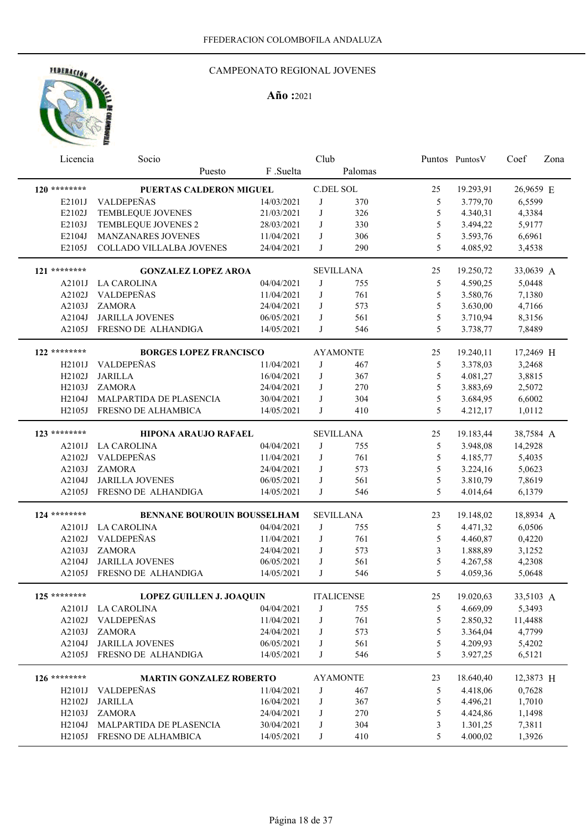## CAMPEONATO REGIONAL JOVENES

| Licencia           | Socio                           |            | Club |                   |               | Puntos Puntos V | Coef      | Zona |
|--------------------|---------------------------------|------------|------|-------------------|---------------|-----------------|-----------|------|
|                    | Puesto                          | F.Suelta   |      | Palomas           |               |                 |           |      |
| $120$ ********     | PUERTAS CALDERON MIGUEL         |            |      | C.DEL SOL         | 25            | 19.293,91       | 26,9659 E |      |
| E2101J             | <b>VALDEPEÑAS</b>               | 14/03/2021 | J    | 370               | 5             | 3.779,70        | 6,5599    |      |
| E2102J             | TEMBLEQUE JOVENES               | 21/03/2021 | J    | 326               | 5             | 4.340,31        | 4,3384    |      |
| E2103J             | TEMBLEQUE JOVENES 2             | 28/03/2021 | J    | 330               | 5             | 3.494,22        | 5,9177    |      |
| E2104J             | MANZANARES JOVENES              | 11/04/2021 | J    | 306               | 5             | 3.593,76        | 6,6961    |      |
| E2105J             | COLLADO VILLALBA JOVENES        | 24/04/2021 | J    | 290               | 5             | 4.085,92        | 3,4538    |      |
| 121 ********       | <b>GONZALEZ LOPEZ AROA</b>      |            |      | <b>SEVILLANA</b>  | 25            | 19.250,72       | 33,0639 A |      |
| A2101J             | LA CAROLINA                     | 04/04/2021 | J    | 755               | 5             | 4.590,25        | 5,0448    |      |
| A2102J             | VALDEPEÑAS                      | 11/04/2021 | J    | 761               | 5             | 3.580,76        | 7,1380    |      |
| A2103J             | <b>ZAMORA</b>                   | 24/04/2021 | J    | 573               | 5             | 3.630,00        | 4,7166    |      |
| A2104J             | <b>JARILLA JOVENES</b>          | 06/05/2021 | J    | 561               | 5             | 3.710,94        | 8,3156    |      |
| A2105J             | FRESNO DE ALHANDIGA             | 14/05/2021 | J    | 546               | 5             | 3.738,77        | 7,8489    |      |
| 122 ********       | <b>BORGES LOPEZ FRANCISCO</b>   |            |      | <b>AYAMONTE</b>   | 25            | 19.240,11       | 17,2469 H |      |
| H2101J             | VALDEPEÑAS                      | 11/04/2021 | J    | 467               | 5             | 3.378,03        | 3,2468    |      |
| H2102J             | <b>JARILLA</b>                  | 16/04/2021 | J    | 367               | 5             | 4.081,27        | 3,8815    |      |
| H2103J             | <b>ZAMORA</b>                   | 24/04/2021 | J    | 270               | 5             | 3.883,69        | 2,5072    |      |
| H2104J             | MALPARTIDA DE PLASENCIA         | 30/04/2021 | J    | 304               | 5             | 3.684,95        | 6,6002    |      |
| H2105J             | FRESNO DE ALHAMBICA             | 14/05/2021 | J    | 410               | 5             | 4.212,17        | 1,0112    |      |
| 123 ********       | <b>HIPONA ARAUJO RAFAEL</b>     |            |      | <b>SEVILLANA</b>  | 25            | 19.183,44       | 38,7584 A |      |
| A2101J             | <b>LA CAROLINA</b>              | 04/04/2021 | J    | 755               | 5             | 3.948,08        | 14,2928   |      |
| A2102J             | VALDEPEÑAS                      | 11/04/2021 | J    | 761               | 5             | 4.185,77        | 5,4035    |      |
| A2103J             | <b>ZAMORA</b>                   | 24/04/2021 | J    | 573               | 5             | 3.224,16        | 5,0623    |      |
| A2104J             | <b>JARILLA JOVENES</b>          | 06/05/2021 | J    | 561               | 5             | 3.810,79        | 7,8619    |      |
| A2105J             | FRESNO DE ALHANDIGA             | 14/05/2021 | J    | 546               | 5             | 4.014,64        | 6,1379    |      |
|                    |                                 |            |      |                   |               |                 |           |      |
| 124 ********       | BENNANE BOUROUIN BOUSSELHAM     |            |      | <b>SEVILLANA</b>  | 23            | 19.148,02       | 18,8934 A |      |
| A2101J             | <b>LA CAROLINA</b>              | 04/04/2021 | J    | 755               | 5             | 4.471,32        | 6,0506    |      |
| A2102J             | VALDEPEÑAS                      | 11/04/2021 | J    | 761               | 5             | 4.460,87        | 0,4220    |      |
| A2103J             | <b>ZAMORA</b>                   | 24/04/2021 | J    | 573               | 3             | 1.888,89        | 3,1252    |      |
| A2104J             | <b>JARILLA JOVENES</b>          | 06/05/2021 | J    | 561               | 5             | 4.267,58        | 4,2308    |      |
| A2105J             | FRESNO DE ALHANDIGA             | 14/05/2021 | J    | 546               | 5             | 4.059,36        | 5,0648    |      |
| $125$ ********     | <b>LOPEZ GUILLEN J. JOAQUIN</b> |            |      | <b>ITALICENSE</b> | 25            | 19.020,63       | 33,5103 A |      |
|                    | A2101J LA CAROLINA              | 04/04/2021 | J    | 755               | 5             | 4.669,09        | 5,3493    |      |
| A2102J             | VALDEPEÑAS                      | 11/04/2021 | J    | 761               | $\mathfrak s$ | 2.850,32        | 11,4488   |      |
| A2103J             | ZAMORA                          | 24/04/2021 | J    | 573               | $\mathfrak s$ | 3.364,04        | 4,7799    |      |
| A2104J             | <b>JARILLA JOVENES</b>          | 06/05/2021 | J    | 561               | 5             | 4.209,93        | 5,4202    |      |
| A2105J             | FRESNO DE ALHANDIGA             | 14/05/2021 | J    | 546               | 5             | 3.927,25        | 6,5121    |      |
| $126$ ********     | <b>MARTIN GONZALEZ ROBERTO</b>  |            |      | <b>AYAMONTE</b>   | 23            | 18.640,40       | 12,3873 H |      |
| H2101J             | VALDEPEÑAS                      | 11/04/2021 | J    | 467               | 5             | 4.418,06        | 0,7628    |      |
| H2102J             | <b>JARILLA</b>                  | 16/04/2021 | J    | 367               | 5             | 4.496,21        | 1,7010    |      |
| H2103J             | ZAMORA                          | 24/04/2021 | J    | 270               | 5             | 4.424,86        | 1,1498    |      |
| H <sub>2104J</sub> | MALPARTIDA DE PLASENCIA         |            | J    | 304               | 3             |                 |           |      |
|                    |                                 | 30/04/2021 |      |                   |               | 1.301,25        | 7,3811    |      |
| H2105J             | FRESNO DE ALHAMBICA             | 14/05/2021 | J    | 410               | 5             | 4.000,02        | 1,3926    |      |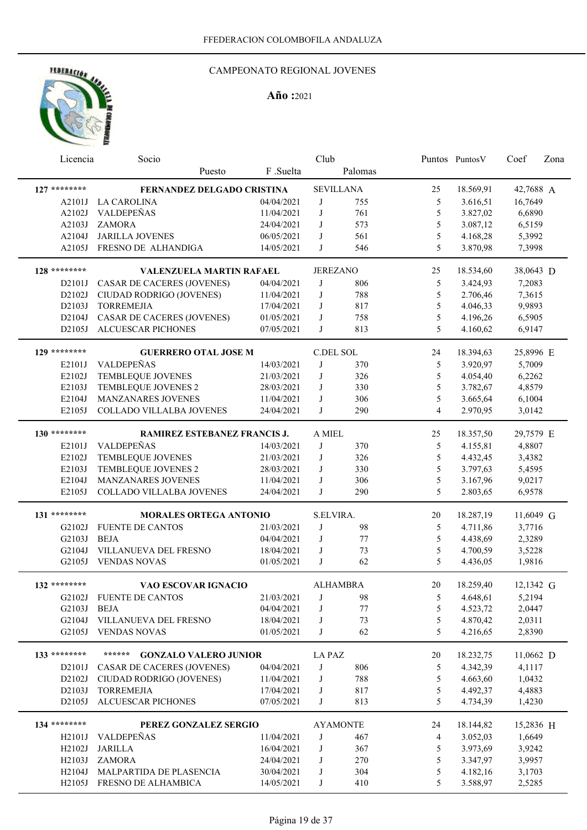## CAMPEONATO REGIONAL JOVENES

| Licencia       | Socio                                  |            | Club      |                  |    | Puntos Puntos V | Coef      | Zona |
|----------------|----------------------------------------|------------|-----------|------------------|----|-----------------|-----------|------|
|                | Puesto                                 | F .Suelta  |           | Palomas          |    |                 |           |      |
| $127$ ******** | FERNANDEZ DELGADO CRISTINA             |            |           | <b>SEVILLANA</b> | 25 | 18.569,91       | 42,7688 A |      |
| A2101J         | <b>LA CAROLINA</b>                     | 04/04/2021 | J         | 755              | 5  | 3.616,51        | 16,7649   |      |
| A2102J         | VALDEPEÑAS                             | 11/04/2021 | J         | 761              | 5  | 3.827,02        | 6,6890    |      |
| A2103J         | <b>ZAMORA</b>                          | 24/04/2021 | J         | 573              | 5  | 3.087,12        | 6,5159    |      |
| A2104J         | <b>JARILLA JOVENES</b>                 | 06/05/2021 | J         | 561              | 5  | 4.168,28        | 5,3992    |      |
| A2105J         | FRESNO DE ALHANDIGA                    | 14/05/2021 | J         | 546              | 5  | 3.870,98        | 7,3998    |      |
|                |                                        |            |           |                  |    |                 |           |      |
| 128 ********   | <b>VALENZUELA MARTIN RAFAEL</b>        |            |           | <b>JEREZANO</b>  | 25 | 18.534,60       | 38,0643 D |      |
| D2101J         | CASAR DE CACERES (JOVENES)             | 04/04/2021 | J         | 806              | 5  | 3.424,93        | 7,2083    |      |
| D2102J         | CIUDAD RODRIGO (JOVENES)               | 11/04/2021 | J         | 788              | 5  | 2.706,46        | 7,3615    |      |
| D2103J         | <b>TORREMEJIA</b>                      | 17/04/2021 | J         | 817              | 5  | 4.046,33        | 9,9893    |      |
| D2104J         | CASAR DE CACERES (JOVENES)             | 01/05/2021 | J         | 758              | 5  | 4.196,26        | 6,5905    |      |
| D2105J         | ALCUESCAR PICHONES                     | 07/05/2021 | J         | 813              | 5  | 4.160,62        | 6,9147    |      |
|                |                                        |            |           |                  |    |                 |           |      |
| 129 ********   | <b>GUERRERO OTAL JOSE M</b>            |            | C.DEL SOL |                  | 24 | 18.394,63       | 25,8996 E |      |
| E2101J         | <b>VALDEPEÑAS</b>                      | 14/03/2021 | J         | 370              | 5  | 3.920,97        | 5,7009    |      |
| E2102J         | TEMBLEQUE JOVENES                      | 21/03/2021 | J         | 326              | 5  | 4.054,40        | 6,2262    |      |
| E2103J         | TEMBLEQUE JOVENES 2                    | 28/03/2021 | J         | 330              | 5  | 3.782,67        | 4,8579    |      |
| E2104J         | MANZANARES JOVENES                     | 11/04/2021 | J         | 306              | 5  | 3.665,64        | 6,1004    |      |
| E2105J         | COLLADO VILLALBA JOVENES               | 24/04/2021 | J         | 290              | 4  | 2.970,95        | 3,0142    |      |
| 130 ********   | RAMIREZ ESTEBANEZ FRANCIS J.           |            | A MIEL    |                  | 25 | 18.357,50       | 29,7579 E |      |
| E2101J         | VALDEPEÑAS                             | 14/03/2021 | J         | 370              | 5  | 4.155,81        | 4,8807    |      |
| E2102J         | TEMBLEQUE JOVENES                      | 21/03/2021 | J         | 326              | 5  | 4.432,45        | 3,4382    |      |
| E2103J         | TEMBLEQUE JOVENES 2                    | 28/03/2021 | J         | 330              | 5  | 3.797,63        | 5,4595    |      |
| E2104J         | MANZANARES JOVENES                     | 11/04/2021 | J         | 306              | 5  | 3.167,96        | 9,0217    |      |
| E2105J         | COLLADO VILLALBA JOVENES               | 24/04/2021 | J         | 290              | 5  | 2.803,65        | 6,9578    |      |
|                |                                        |            |           |                  |    |                 |           |      |
| 131 ********   | <b>MORALES ORTEGA ANTONIO</b>          |            | S.ELVIRA. |                  | 20 | 18.287,19       | 11,6049 G |      |
| G2102J         | <b>FUENTE DE CANTOS</b>                | 21/03/2021 | J         | 98               | 5  | 4.711,86        | 3,7716    |      |
| G2103J         | <b>BEJA</b>                            | 04/04/2021 | J         | 77               | 5  | 4.438,69        | 2,3289    |      |
| G2104J         | VILLANUEVA DEL FRESNO                  | 18/04/2021 | J         | 73               | 5  | 4.700,59        | 3,5228    |      |
| G2105J         | <b>VENDAS NOVAS</b>                    | 01/05/2021 | J         | 62               | 5  | 4.436,05        | 1,9816    |      |
|                |                                        |            |           |                  |    |                 |           |      |
| 132 ********   | VAO ESCOVAR IGNACIO                    |            |           | <b>ALHAMBRA</b>  | 20 | 18.259,40       | 12,1342 G |      |
| G2102J         | <b>FUENTE DE CANTOS</b>                | 21/03/2021 | $\bf J$   | $\bf{98}$        | 5  | 4.648,61        | 5,2194    |      |
| G2103J         | BEJA                                   | 04/04/2021 | J         | 77               | 5  | 4.523,72        | 2,0447    |      |
| G2104J         | VILLANUEVA DEL FRESNO                  | 18/04/2021 | J         | 73               | 5  | 4.870,42        | 2,0311    |      |
| G2105J         | <b>VENDAS NOVAS</b>                    | 01/05/2021 | J         | 62               | 5  | 4.216,65        | 2,8390    |      |
| 133 ********   | ******<br><b>GONZALO VALERO JUNIOR</b> |            | LA PAZ    |                  | 20 | 18.232,75       | 11,0662 D |      |
| D2101J         | <b>CASAR DE CACERES (JOVENES)</b>      | 04/04/2021 | J         | 806              | 5  | 4.342,39        | 4,1117    |      |
| D2102J         | CIUDAD RODRIGO (JOVENES)               | 11/04/2021 | J         | 788              | 5  | 4.663,60        | 1,0432    |      |
| D2103J         | <b>TORREMEJIA</b>                      | 17/04/2021 | J         | 817              | 5  | 4.492,37        | 4,4883    |      |
| D2105J         | <b>ALCUESCAR PICHONES</b>              | 07/05/2021 | J         | 813              | 5  | 4.734,39        | 1,4230    |      |
|                |                                        |            |           |                  |    |                 |           |      |
| 134 ********   | PEREZ GONZALEZ SERGIO                  |            |           | <b>AYAMONTE</b>  | 24 | 18.144,82       | 15,2836 H |      |
| H2101J         | VALDEPEÑAS                             | 11/04/2021 | J         | 467              | 4  | 3.052,03        | 1,6649    |      |
| H2102J         | <b>JARILLA</b>                         | 16/04/2021 | J         | 367              | 5  | 3.973,69        | 3,9242    |      |
| H2103J         | <b>ZAMORA</b>                          | 24/04/2021 | J         | 270              | 5  | 3.347,97        | 3,9957    |      |
| H2104J         | MALPARTIDA DE PLASENCIA                | 30/04/2021 | J         | 304              | 5  | 4.182,16        | 3,1703    |      |
| H2105J         | FRESNO DE ALHAMBICA                    | 14/05/2021 | J         | 410              | 5  | 3.588,97        | 2,5285    |      |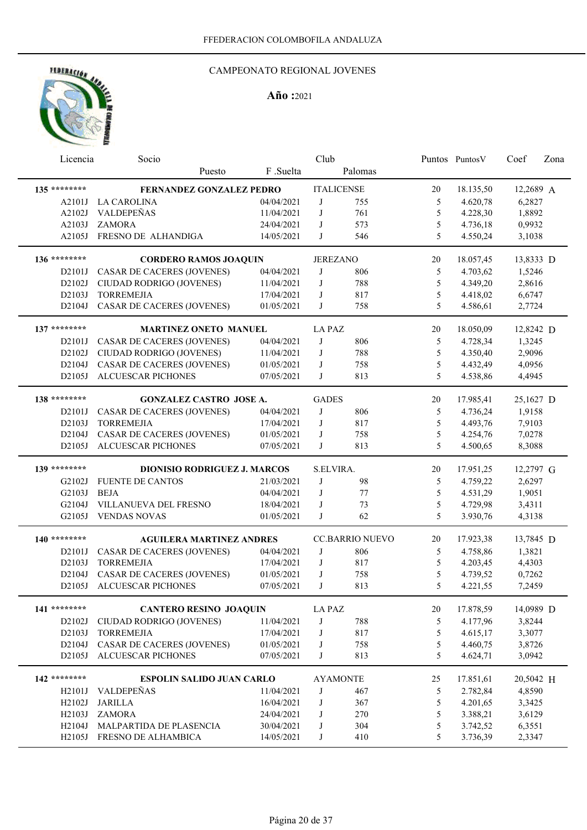## CAMPEONATO REGIONAL JOVENES

| Licencia     | Socio                               |            | Club            |                        |    | Puntos PuntosV | Coef      | Zona |
|--------------|-------------------------------------|------------|-----------------|------------------------|----|----------------|-----------|------|
|              | Puesto                              | F.Suelta   |                 | Palomas                |    |                |           |      |
| 135 ******** | FERNANDEZ GONZALEZ PEDRO            |            |                 | <b>ITALICENSE</b>      | 20 | 18.135,50      | 12,2689 A |      |
| A2101J       | <b>LA CAROLINA</b>                  | 04/04/2021 | J               | 755                    | 5  | 4.620,78       | 6,2827    |      |
| A2102J       | VALDEPEÑAS                          | 11/04/2021 | J               | 761                    | 5  | 4.228,30       | 1,8892    |      |
| A2103J       | <b>ZAMORA</b>                       | 24/04/2021 | J               | 573                    | 5  | 4.736,18       | 0,9932    |      |
| A2105J       | FRESNO DE ALHANDIGA                 | 14/05/2021 | J               | 546                    | 5  | 4.550,24       | 3,1038    |      |
|              |                                     |            |                 |                        |    |                |           |      |
| 136 ******** | <b>CORDERO RAMOS JOAQUIN</b>        |            | <b>JEREZANO</b> |                        | 20 | 18.057,45      | 13,8333 D |      |
| D2101J       | CASAR DE CACERES (JOVENES)          | 04/04/2021 | J               | 806                    | 5  | 4.703,62       | 1,5246    |      |
| D2102J       | CIUDAD RODRIGO (JOVENES)            | 11/04/2021 | J               | 788                    | 5  | 4.349,20       | 2,8616    |      |
| D2103J       | <b>TORREMEJIA</b>                   | 17/04/2021 | J               | 817                    | 5  | 4.418,02       | 6,6747    |      |
| D2104J       | CASAR DE CACERES (JOVENES)          | 01/05/2021 | J               | 758                    | 5  | 4.586,61       | 2,7724    |      |
| 137 ******** | <b>MARTINEZ ONETO MANUEL</b>        |            | LA PAZ          |                        | 20 | 18.050,09      | 12,8242 D |      |
| D2101J       | CASAR DE CACERES (JOVENES)          | 04/04/2021 | J               | 806                    | 5  | 4.728,34       | 1,3245    |      |
| D2102J       | CIUDAD RODRIGO (JOVENES)            | 11/04/2021 | J               | 788                    | 5  | 4.350,40       | 2,9096    |      |
| D2104J       |                                     |            | J               |                        | 5  | 4.432,49       |           |      |
|              | <b>CASAR DE CACERES (JOVENES)</b>   | 01/05/2021 | J               | 758                    | 5  |                | 4,0956    |      |
| D2105J       | ALCUESCAR PICHONES                  | 07/05/2021 |                 | 813                    |    | 4.538,86       | 4,4945    |      |
| 138 ******** | <b>GONZALEZ CASTRO JOSE A.</b>      |            | <b>GADES</b>    |                        | 20 | 17.985,41      | 25,1627 D |      |
| D2101J       | CASAR DE CACERES (JOVENES)          | 04/04/2021 | J               | 806                    | 5  | 4.736,24       | 1,9158    |      |
| D2103J       | <b>TORREMEJIA</b>                   | 17/04/2021 | J               | 817                    | 5  | 4.493,76       | 7,9103    |      |
| D2104J       | CASAR DE CACERES (JOVENES)          | 01/05/2021 | J               | 758                    | 5  | 4.254,76       | 7,0278    |      |
| D2105J       | <b>ALCUESCAR PICHONES</b>           | 07/05/2021 | J               | 813                    | 5  | 4.500,65       | 8,3088    |      |
| 139 ******** |                                     |            |                 |                        |    |                |           |      |
|              | <b>DIONISIO RODRIGUEZ J. MARCOS</b> |            | S.ELVIRA.       |                        | 20 | 17.951,25      | 12,2797 G |      |
| G2102J       | <b>FUENTE DE CANTOS</b>             | 21/03/2021 | J               | 98                     | 5  | 4.759,22       | 2,6297    |      |
| G2103J       | <b>BEJA</b>                         | 04/04/2021 | J               | 77                     | 5  | 4.531,29       | 1,9051    |      |
| G2104J       | VILLANUEVA DEL FRESNO               | 18/04/2021 | J               | 73                     | 5  | 4.729,98       | 3,4311    |      |
| G2105J       | <b>VENDAS NOVAS</b>                 | 01/05/2021 | J               | 62                     | 5  | 3.930,76       | 4,3138    |      |
| 140 ******** | <b>AGUILERA MARTINEZ ANDRES</b>     |            |                 | <b>CC.BARRIO NUEVO</b> | 20 | 17.923,38      | 13,7845 D |      |
| D2101J       | <b>CASAR DE CACERES (JOVENES)</b>   | 04/04/2021 | J               | 806                    | 5  | 4.758,86       | 1,3821    |      |
| D2103J       | <b>TORREMEJIA</b>                   | 17/04/2021 | J               | 817                    | 5  | 4.203,45       | 4,4303    |      |
| D2104J       | CASAR DE CACERES (JOVENES)          | 01/05/2021 | J               | 758                    | 5  | 4.739,52       | 0,7262    |      |
| D2105J       | <b>ALCUESCAR PICHONES</b>           | 07/05/2021 | J               | 813                    | 5  | 4.221,55       | 7,2459    |      |
|              |                                     |            |                 |                        |    |                |           |      |
| 141 ******** | <b>CANTERO RESINO JOAQUIN</b>       |            | <b>LA PAZ</b>   |                        | 20 | 17.878,59      | 14,0989 D |      |
| D2102J       | CIUDAD RODRIGO (JOVENES)            | 11/04/2021 | J               | 788                    | 5  | 4.177,96       | 3,8244    |      |
| D2103J       | <b>TORREMEJIA</b>                   | 17/04/2021 | J               | 817                    | 5  | 4.615,17       | 3,3077    |      |
| D2104J       | <b>CASAR DE CACERES (JOVENES)</b>   | 01/05/2021 | J               | 758                    | 5  | 4.460,75       | 3,8726    |      |
| D2105J       | <b>ALCUESCAR PICHONES</b>           | 07/05/2021 | J               | 813                    | 5  | 4.624,71       | 3,0942    |      |
| 142 ******** | <b>ESPOLIN SALIDO JUAN CARLO</b>    |            |                 | <b>AYAMONTE</b>        | 25 | 17.851,61      | 20,5042 H |      |
| H2101J       | VALDEPEÑAS                          | 11/04/2021 | J               | 467                    | 5  | 2.782,84       | 4,8590    |      |
| H2102J       | <b>JARILLA</b>                      | 16/04/2021 | J               | 367                    | 5  | 4.201,65       | 3,3425    |      |
| H2103J       | ZAMORA                              | 24/04/2021 | J               | 270                    | 5  | 3.388,21       | 3,6129    |      |
| H2104J       | MALPARTIDA DE PLASENCIA             | 30/04/2021 | J               | 304                    | 5  | 3.742,52       | 6,3551    |      |
|              | H2105J FRESNO DE ALHAMBICA          | 14/05/2021 | $_{\rm J}$      | 410                    | 5  | 3.736,39       | 2,3347    |      |
|              |                                     |            |                 |                        |    |                |           |      |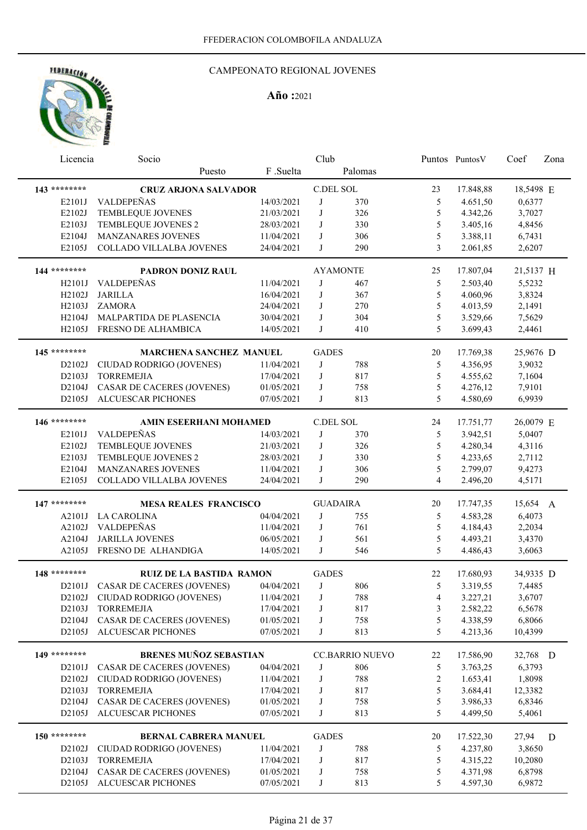## CAMPEONATO REGIONAL JOVENES

| Licencia            | Socio                             |            | Club         |                        |                | Puntos PuntosV | Coef      | Zona |
|---------------------|-----------------------------------|------------|--------------|------------------------|----------------|----------------|-----------|------|
|                     | Puesto                            | F.Suelta   |              | Palomas                |                |                |           |      |
| 143 ********        | <b>CRUZ ARJONA SALVADOR</b>       |            |              | C.DEL SOL              | 23             | 17.848,88      | 18,5498 E |      |
| E2101J              | <b>VALDEPEÑAS</b>                 | 14/03/2021 | J            | 370                    | 5              | 4.651,50       | 0,6377    |      |
| E2102J              | TEMBLEQUE JOVENES                 | 21/03/2021 | J            | 326                    | 5              | 4.342,26       | 3,7027    |      |
| E2103J              | TEMBLEQUE JOVENES 2               | 28/03/2021 | J            | 330                    | 5              | 3.405,16       | 4,8456    |      |
| E2104J              | MANZANARES JOVENES                | 11/04/2021 | J            | 306                    | 5              | 3.388,11       | 6,7431    |      |
| E2105J              | COLLADO VILLALBA JOVENES          | 24/04/2021 | J            | 290                    | 3              | 2.061,85       | 2,6207    |      |
| 144 ********        | PADRON DONIZ RAUL                 |            |              | <b>AYAMONTE</b>        | 25             | 17.807,04      | 21,5137 H |      |
| H <sub>2101</sub> J | VALDEPEÑAS                        | 11/04/2021 | J            | 467                    | 5              | 2.503,40       | 5,5232    |      |
| H2102J              | <b>JARILLA</b>                    | 16/04/2021 | J            | 367                    | 5              | 4.060,96       | 3,8324    |      |
| H2103J              | <b>ZAMORA</b>                     | 24/04/2021 | J            | 270                    | 5              | 4.013,59       | 2,1491    |      |
| H2104J              | MALPARTIDA DE PLASENCIA           | 30/04/2021 | J            | 304                    | 5              | 3.529,66       | 7,5629    |      |
| H2105J              | FRESNO DE ALHAMBICA               | 14/05/2021 | J            | 410                    | 5              | 3.699,43       | 2,4461    |      |
|                     |                                   |            |              |                        |                |                |           |      |
| 145 ********        | <b>MARCHENA SANCHEZ MANUEL</b>    |            | <b>GADES</b> |                        | 20             | 17.769,38      | 25,9676 D |      |
| D2102J              | CIUDAD RODRIGO (JOVENES)          | 11/04/2021 | J            | 788                    | 5              | 4.356,95       | 3,9032    |      |
| D2103J              | <b>TORREMEJIA</b>                 | 17/04/2021 | J            | 817                    | 5              | 4.555,62       | 7,1604    |      |
| D2104J              | CASAR DE CACERES (JOVENES)        | 01/05/2021 | J            | 758                    | 5              | 4.276,12       | 7,9101    |      |
| D2105J              | <b>ALCUESCAR PICHONES</b>         | 07/05/2021 | J            | 813                    | 5              | 4.580,69       | 6,9939    |      |
| 146 ********        | <b>AMIN ESEERHANI MOHAMED</b>     |            |              | C.DEL SOL              | 24             | 17.751,77      | 26,0079 E |      |
| E2101J              | VALDEPEÑAS                        | 14/03/2021 | J            | 370                    | 5              | 3.942,51       | 5,0407    |      |
| E2102J              | TEMBLEQUE JOVENES                 | 21/03/2021 | J            | 326                    | 5              | 4.280,34       | 4,3116    |      |
| E2103J              | TEMBLEQUE JOVENES 2               | 28/03/2021 | J            | 330                    | 5              | 4.233,65       | 2,7112    |      |
| E2104J              | MANZANARES JOVENES                | 11/04/2021 | J            | 306                    | 5              | 2.799,07       | 9,4273    |      |
| E2105J              | COLLADO VILLALBA JOVENES          | 24/04/2021 | J            | 290                    | 4              | 2.496,20       | 4,5171    |      |
|                     |                                   |            |              |                        |                |                |           |      |
| 147 ********        | <b>MESA REALES FRANCISCO</b>      |            |              | <b>GUADAIRA</b>        | 20             | 17.747,35      | 15,654 A  |      |
| A2101J              | <b>LA CAROLINA</b>                | 04/04/2021 | J            | 755                    | 5              | 4.583,28       | 6,4073    |      |
| A2102J              | VALDEPEÑAS                        | 11/04/2021 | J            | 761                    | 5              | 4.184,43       | 2,2034    |      |
| A2104J              | <b>JARILLA JOVENES</b>            | 06/05/2021 | J            | 561                    | 5              | 4.493,21       | 3,4370    |      |
| A2105J              | FRESNO DE ALHANDIGA               | 14/05/2021 | J            | 546                    | 5              | 4.486,43       | 3,6063    |      |
| 148 ********        | <b>RUIZ DE LA BASTIDA RAMON</b>   |            | <b>GADES</b> |                        | 22             | 17.680,93      | 34,9335 D |      |
| D2101J              | <b>CASAR DE CACERES (JOVENES)</b> | 04/04/2021 | J            | 806                    | 5              | 3.319,55       | 7,4485    |      |
| D2102J              | CIUDAD RODRIGO (JOVENES)          | 11/04/2021 | J            | 788                    | 4              | 3.227,21       | 3,6707    |      |
| D2103J              | <b>TORREMEJIA</b>                 | 17/04/2021 | J            | 817                    | 3              | 2.582,22       | 6,5678    |      |
| D2104J              | CASAR DE CACERES (JOVENES)        | 01/05/2021 | J            | 758                    | 5              | 4.338,59       | 6,8066    |      |
| D2105J              | ALCUESCAR PICHONES                | 07/05/2021 | J            | 813                    | 5              | 4.213,36       | 10,4399   |      |
| 149 ********        | <b>BRENES MUÑOZ SEBASTIAN</b>     |            |              | <b>CC.BARRIO NUEVO</b> | 22             | 17.586,90      | 32,768 D  |      |
| D2101J              | CASAR DE CACERES (JOVENES)        | 04/04/2021 | J            | 806                    | 5              | 3.763,25       | 6,3793    |      |
| D2102J              | CIUDAD RODRIGO (JOVENES)          | 11/04/2021 | J            | 788                    | $\overline{c}$ | 1.653,41       | 1,8098    |      |
| D2103J              | <b>TORREMEJIA</b>                 | 17/04/2021 | J            | 817                    | 5              | 3.684,41       | 12,3382   |      |
| D2104J              | CASAR DE CACERES (JOVENES)        | 01/05/2021 | J            | 758                    | 5              | 3.986,33       | 6,8346    |      |
| D2105J              | ALCUESCAR PICHONES                | 07/05/2021 | J            | 813                    | 5              | 4.499,50       | 5,4061    |      |
|                     |                                   |            |              |                        |                |                |           |      |
| 150 ********        | BERNAL CABRERA MANUEL             |            | <b>GADES</b> |                        | 20             | 17.522,30      | 27,94     | D    |
| D2102J              | CIUDAD RODRIGO (JOVENES)          | 11/04/2021 | J            | 788                    | 5              | 4.237,80       | 3,8650    |      |
| D2103J              | <b>TORREMEJIA</b>                 | 17/04/2021 | $_{\rm J}$   | 817                    | 5              | 4.315,22       | 10,2080   |      |
| D2104J              | <b>CASAR DE CACERES (JOVENES)</b> | 01/05/2021 | J            | 758                    | 5              | 4.371,98       | 6,8798    |      |
| D2105J              | ALCUESCAR PICHONES                | 07/05/2021 | J            | 813                    | 5              | 4.597,30       | 6,9872    |      |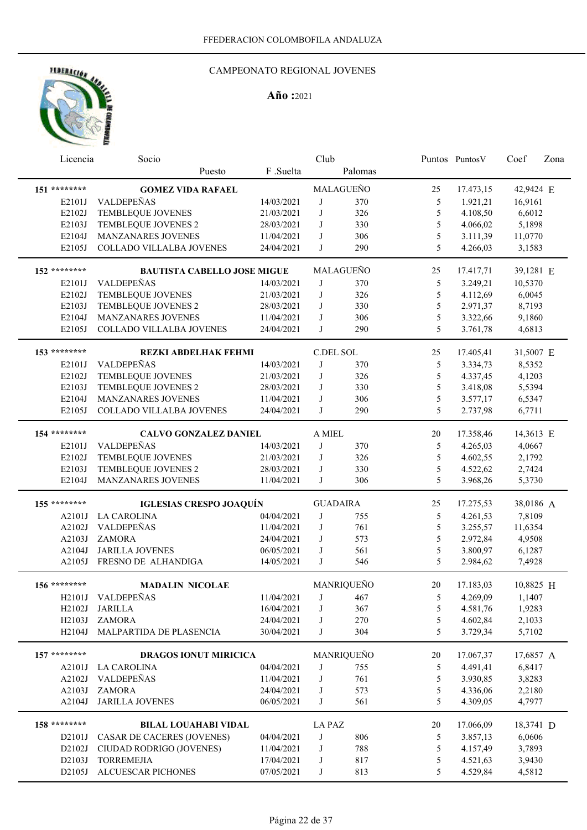

| Licencia            | Socio                                     |                          | Club          |                 |                | Puntos Puntos V      | Coef             | Zona |
|---------------------|-------------------------------------------|--------------------------|---------------|-----------------|----------------|----------------------|------------------|------|
|                     | Puesto                                    | F .Suelta                |               | Palomas         |                |                      |                  |      |
| 151 ********        | <b>GOMEZ VIDA RAFAEL</b>                  |                          |               | MALAGUEÑO       | 25             | 17.473,15            | 42,9424 E        |      |
| E2101J              | VALDEPEÑAS                                | 14/03/2021               | J             | 370             | 5              | 1.921,21             | 16,9161          |      |
| E2102J              | TEMBLEQUE JOVENES                         | 21/03/2021               | J             | 326             | 5              | 4.108,50             | 6,6012           |      |
| E2103J              | TEMBLEQUE JOVENES 2                       | 28/03/2021               | J             | 330             | 5              | 4.066,02             | 5,1898           |      |
| E2104J              | MANZANARES JOVENES                        | 11/04/2021               | J             | 306             | 5              | 3.111,39             | 11,0770          |      |
| E2105J              | COLLADO VILLALBA JOVENES                  | 24/04/2021               | J             | 290             | 5              | 4.266,03             | 3,1583           |      |
| 152 ********        | <b>BAUTISTA CABELLO JOSE MIGUE</b>        |                          |               | MALAGUEÑO       | 25             | 17.417,71            | 39,1281 E        |      |
| E2101J              | VALDEPEÑAS                                | 14/03/2021               | J             | 370             |                |                      | 10,5370          |      |
| E2102J              | TEMBLEQUE JOVENES                         |                          | J             | 326             | 5<br>5         | 3.249,21<br>4.112,69 | 6,0045           |      |
| E2103J              |                                           | 21/03/2021               | J             | 330             | 5              | 2.971,37             | 8,7193           |      |
| E2104J              | TEMBLEQUE JOVENES 2<br>MANZANARES JOVENES | 28/03/2021               | J             |                 | 5              |                      |                  |      |
|                     |                                           | 11/04/2021               |               | 306             | 5              | 3.322,66             | 9,1860           |      |
| E2105J              | COLLADO VILLALBA JOVENES                  | 24/04/2021               | J             | 290             |                | 3.761,78             | 4,6813           |      |
| 153 ********        | <b>REZKI ABDELHAK FEHMI</b>               |                          |               | C.DEL SOL       | 25             | 17.405,41            | 31,5007 E        |      |
| E2101J              | VALDEPEÑAS                                | 14/03/2021               | J             | 370             | 5              | 3.334,73             | 8,5352           |      |
| E2102J              | TEMBLEQUE JOVENES                         | 21/03/2021               | J             | 326             | 5              | 4.337,45             | 4,1203           |      |
| E2103J              | TEMBLEQUE JOVENES 2                       | 28/03/2021               | J             | 330             | 5              | 3.418,08             | 5,5394           |      |
| E2104J              | MANZANARES JOVENES                        | 11/04/2021               | J             | 306             | 5              | 3.577,17             | 6,5347           |      |
| E2105J              | COLLADO VILLALBA JOVENES                  | 24/04/2021               | J             | 290             | 5              | 2.737,98             | 6,7711           |      |
| 154 ********        | <b>CALVO GONZALEZ DANIEL</b>              |                          | A MIEL        |                 | 20             | 17.358,46            | 14,3613 E        |      |
| E2101J              | VALDEPEÑAS                                | 14/03/2021               | J             | 370             | 5              | 4.265,03             | 4,0667           |      |
| E2102J              | TEMBLEQUE JOVENES                         | 21/03/2021               | J             | 326             | 5              |                      |                  |      |
|                     |                                           |                          |               |                 |                | 4.602,55             | 2,1792           |      |
| E2103J              | TEMBLEQUE JOVENES 2                       | 28/03/2021               | J             | 330             | 5              | 4.522,62             | 2,7424           |      |
| E2104J              | MANZANARES JOVENES                        | 11/04/2021               | J             | 306             | 5              | 3.968,26             | 5,3730           |      |
| 155 ********        | <b>IGLESIAS CRESPO JOAQUÍN</b>            |                          |               | <b>GUADAIRA</b> | 25             | 17.275,53            | 38,0186 A        |      |
| A2101J              | <b>LA CAROLINA</b>                        | 04/04/2021               | J             | 755             | 5              | 4.261,53             | 7,8109           |      |
| A2102J              | VALDEPEÑAS                                | 11/04/2021               | J             | 761             | 5              | 3.255,57             | 11,6354          |      |
| A2103J              | <b>ZAMORA</b>                             | 24/04/2021               | J             | 573             | 5              | 2.972,84             | 4,9508           |      |
| A2104J              | <b>JARILLA JOVENES</b>                    | 06/05/2021               | J             | 561             | 5              | 3.800,97             | 6,1287           |      |
| A2105J              | FRESNO DE ALHANDIGA                       | 14/05/2021               | J             | 546             | 5              | 2.984,62             | 7,4928           |      |
| 156 ********        | <b>MADALIN NICOLAE</b>                    |                          |               | MANRIQUEÑO      | 20             | 17.183,03            | 10,8825 H        |      |
| H <sub>2</sub> 101J | VALDEPEÑAS                                | 11/04/2021               |               | J 467           | $\mathfrak{S}$ | 4.269,09             | 1,1407           |      |
| H2102J              | <b>JARILLA</b>                            | 16/04/2021               | J             | 367             | 5              | 4.581,76             | 1,9283           |      |
| H2103J              | ZAMORA                                    | 24/04/2021               | J             | 270             | 5              | 4.602,84             | 2,1033           |      |
| H2104J              | MALPARTIDA DE PLASENCIA                   | 30/04/2021               | J             | 304             | 5              | 3.729,34             | 5,7102           |      |
| 157 ********        | <b>DRAGOS IONUT MIRICICA</b>              |                          |               | MANRIQUEÑO      | 20             | 17.067,37            | 17,6857 A        |      |
| A2101J              | <b>LA CAROLINA</b>                        | 04/04/2021               | J             | 755             | 5              | 4.491,41             | 6,8417           |      |
|                     | VALDEPEÑAS                                |                          | J             | 761             |                | 3.930,85             |                  |      |
| A2102J<br>A2103J    | ZAMORA                                    | 11/04/2021<br>24/04/2021 | J             | 573             | 5<br>5         | 4.336,06             | 3,8283<br>2,2180 |      |
| A2104J              | <b>JARILLA JOVENES</b>                    | 06/05/2021               | J             | 561             | 5              | 4.309,05             | 4,7977           |      |
|                     |                                           |                          |               |                 |                |                      |                  |      |
| 158 ********        | <b>BILAL LOUAHABI VIDAL</b>               |                          | <b>LA PAZ</b> |                 | 20             | 17.066,09            | 18,3741 D        |      |
| D2101J              | CASAR DE CACERES (JOVENES)                | 04/04/2021               | J             | 806             | 5              | 3.857,13             | 6,0606           |      |
| D2102J              | CIUDAD RODRIGO (JOVENES)                  | 11/04/2021               | J             | 788             | 5              | 4.157,49             | 3,7893           |      |
| D2103J              | <b>TORREMEJIA</b>                         | 17/04/2021               | J             | 817             | 5              | 4.521,63             | 3,9430           |      |
| D2105J              | ALCUESCAR PICHONES                        | 07/05/2021               | J             | 813             | 5              | 4.529,84             | 4,5812           |      |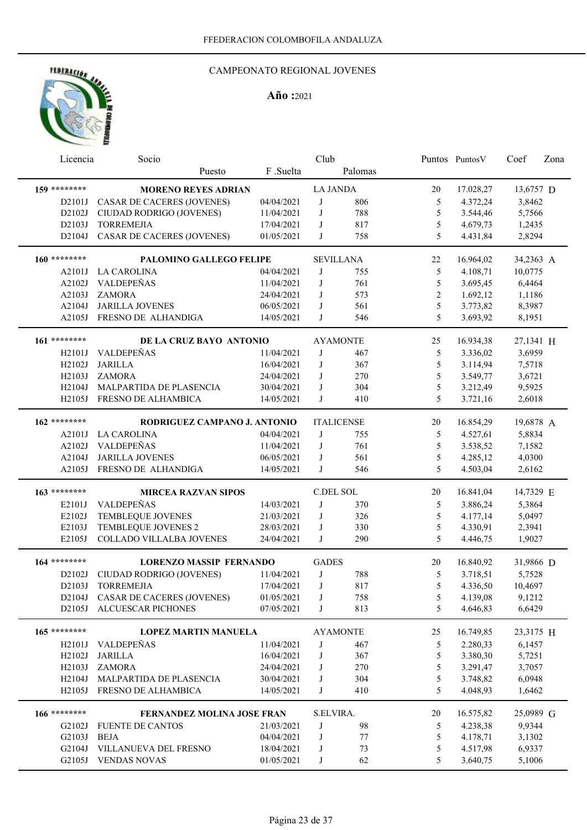

| Licencia       | Socio                             |            | Club             |                   |              | Puntos PuntosV | Coef      | Zona |
|----------------|-----------------------------------|------------|------------------|-------------------|--------------|----------------|-----------|------|
|                | Puesto                            | F.Suelta   |                  | Palomas           |              |                |           |      |
| 159 ********   | <b>MORENO REYES ADRIAN</b>        |            | <b>LA JANDA</b>  |                   | 20           | 17.028,27      | 13,6757 D |      |
| D2101J         | CASAR DE CACERES (JOVENES)        | 04/04/2021 | J                | 806               | 5            | 4.372,24       | 3,8462    |      |
| D2102J         | CIUDAD RODRIGO (JOVENES)          | 11/04/2021 | J                | 788               | 5            | 3.544,46       | 5,7566    |      |
| D2103J         | <b>TORREMEJIA</b>                 | 17/04/2021 | J                | 817               | 5            | 4.679,73       | 1,2435    |      |
| D2104J         | <b>CASAR DE CACERES (JOVENES)</b> | 01/05/2021 | J                | 758               | 5            | 4.431,84       | 2,8294    |      |
|                |                                   |            |                  |                   |              |                |           |      |
| 160 ********   | PALOMINO GALLEGO FELIPE           |            |                  | <b>SEVILLANA</b>  | 22           | 16.964,02      | 34,2363 A |      |
| A2101J         | <b>LA CAROLINA</b>                | 04/04/2021 | J                | 755               | 5            | 4.108,71       | 10,0775   |      |
| A2102J         | VALDEPEÑAS                        | 11/04/2021 | J                | 761               | 5            | 3.695,45       | 6,4464    |      |
| A2103J         | <b>ZAMORA</b>                     | 24/04/2021 | J                | 573               | $\mathbf{2}$ | 1.692,12       | 1,1186    |      |
| A2104J         | <b>JARILLA JOVENES</b>            | 06/05/2021 | J                | 561               | 5            | 3.773,82       | 8,3987    |      |
| A2105J         | FRESNO DE ALHANDIGA               | 14/05/2021 | J                | 546               | 5            | 3.693,92       | 8,1951    |      |
| 161 ********   | DE LA CRUZ BAYO ANTONIO           |            |                  | <b>AYAMONTE</b>   | 25           | 16.934,38      | 27,1341 H |      |
| H2101J         | VALDEPEÑAS                        | 11/04/2021 | J                | 467               | 5            | 3.336,02       | 3,6959    |      |
| H2102J         | <b>JARILLA</b>                    | 16/04/2021 | J                | 367               | 5            | 3.114,94       | 7,5718    |      |
| H2103J         | <b>ZAMORA</b>                     | 24/04/2021 | J                | 270               | 5            | 3.549,77       | 3,6721    |      |
| H2104J         | MALPARTIDA DE PLASENCIA           | 30/04/2021 | J                | 304               | 5            | 3.212,49       | 9,5925    |      |
| H2105J         | FRESNO DE ALHAMBICA               | 14/05/2021 | J                | 410               | 5            | 3.721,16       | 2,6018    |      |
|                |                                   |            |                  |                   |              |                |           |      |
| 162 ********   | RODRIGUEZ CAMPANO J. ANTONIO      |            |                  | <b>ITALICENSE</b> | 20           | 16.854,29      | 19,6878 A |      |
| A2101J         | <b>LA CAROLINA</b>                | 04/04/2021 | J                | 755               | 5            | 4.527,61       | 5,8834    |      |
| A2102J         | VALDEPEÑAS                        | 11/04/2021 | J                | 761               | 5            | 3.538,52       | 7,1582    |      |
| A2104J         | <b>JARILLA JOVENES</b>            | 06/05/2021 | J                | 561               | 5            | 4.285,12       | 4,0300    |      |
| A2105J         | FRESNO DE ALHANDIGA               | 14/05/2021 | J                | 546               | 5            | 4.503,04       | 2,6162    |      |
|                |                                   |            |                  |                   |              |                |           |      |
| $163$ ******** | <b>MIRCEA RAZVAN SIPOS</b>        |            | <b>C.DEL SOL</b> |                   | 20           | 16.841,04      | 14,7329 E |      |
| E2101J         | VALDEPEÑAS                        | 14/03/2021 | J                | 370               | 5            | 3.886,24       | 5,3864    |      |
| E2102J         | TEMBLEQUE JOVENES                 | 21/03/2021 | J                | 326               | 5            | 4.177,14       | 5,0497    |      |
| E2103J         | TEMBLEQUE JOVENES 2               | 28/03/2021 | J                | 330               | 5            | 4.330,91       | 2,3941    |      |
| E2105J         | COLLADO VILLALBA JOVENES          | 24/04/2021 | J                | 290               | 5            | 4.446,75       | 1,9027    |      |
| 164 ********   | <b>LORENZO MASSIP FERNANDO</b>    |            | <b>GADES</b>     |                   | 20           | 16.840,92      | 31,9866 D |      |
| D2102J         | CIUDAD RODRIGO (JOVENES)          | 11/04/2021 | J                | 788               | 5            | 3.718,51       | 5,7528    |      |
| D2103J         | <b>TORREMEJIA</b>                 | 17/04/2021 | J                | 817               | 5            | 4.336,50       | 10,4697   |      |
| D2104J         | <b>CASAR DE CACERES (JOVENES)</b> | 01/05/2021 | J                | 758               | 5            | 4.139,08       | 9,1212    |      |
| D2105J         | ALCUESCAR PICHONES                | 07/05/2021 | J                | 813               | 5            | 4.646,83       | 6,6429    |      |
|                |                                   |            |                  |                   |              |                |           |      |
| 165 ********   | <b>LOPEZ MARTIN MANUELA</b>       |            |                  | <b>AYAMONTE</b>   | 25           | 16.749,85      | 23,3175 H |      |
| H2101J         | VALDEPEÑAS                        | 11/04/2021 | J                | 467               | 5            | 2.280,33       | 6,1457    |      |
| H2102J         | <b>JARILLA</b>                    | 16/04/2021 | J                | 367               | 5            | 3.380,30       | 5,7251    |      |
| H2103J         | <b>ZAMORA</b>                     | 24/04/2021 | J                | 270               | 5            | 3.291,47       | 3,7057    |      |
|                | H2104J MALPARTIDA DE PLASENCIA    | 30/04/2021 | J                | 304               | 5            | 3.748,82       | 6,0948    |      |
|                | H2105J FRESNO DE ALHAMBICA        | 14/05/2021 | J                | 410               | 5            | 4.048,93       | 1,6462    |      |
| 166 ********   | <b>FERNANDEZ MOLINA JOSE FRAN</b> |            | S.ELVIRA.        |                   | 20           | 16.575,82      | 25,0989 G |      |
| G2102J         | <b>FUENTE DE CANTOS</b>           | 21/03/2021 | J                | 98                | 5            | 4.238,38       | 9,9344    |      |
| G2103J         | <b>BEJA</b>                       | 04/04/2021 | J                | 77                | 5            | 4.178,71       | 3,1302    |      |
| G2104J         | VILLANUEVA DEL FRESNO             | 18/04/2021 | J                | 73                | 5            | 4.517,98       | 6,9337    |      |
|                | G2105J VENDAS NOVAS               | 01/05/2021 | J                | 62                | 5            | 3.640,75       | 5,1006    |      |
|                |                                   |            |                  |                   |              |                |           |      |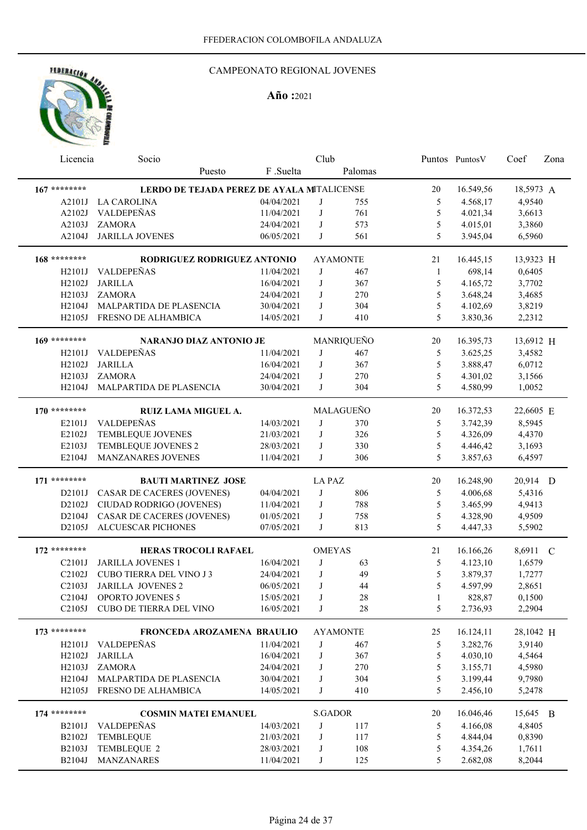## CAMPEONATO REGIONAL JOVENES

| Licencia            | Socio                                      |            | Club           |                 |               | Puntos PuntosV | Coef      | Zona |
|---------------------|--------------------------------------------|------------|----------------|-----------------|---------------|----------------|-----------|------|
|                     | Puesto                                     | F .Suelta  |                | Palomas         |               |                |           |      |
| $167$ ********      | LERDO DE TEJADA PEREZ DE AYALA MITALICENSE |            |                |                 | 20            | 16.549,56      | 18,5973 A |      |
| A2101J              | <b>LA CAROLINA</b>                         | 04/04/2021 | J              | 755             | 5             | 4.568,17       | 4,9540    |      |
| A2102J              | VALDEPEÑAS                                 | 11/04/2021 | J              | 761             | 5             | 4.021,34       | 3,6613    |      |
| A2103J              | <b>ZAMORA</b>                              | 24/04/2021 | J              | 573             | 5             | 4.015,01       | 3,3860    |      |
| A2104J              | <b>JARILLA JOVENES</b>                     | 06/05/2021 | J              | 561             | 5             | 3.945,04       | 6,5960    |      |
|                     |                                            |            |                |                 |               |                |           |      |
| 168 ********        | RODRIGUEZ RODRIGUEZ ANTONIO                |            |                | <b>AYAMONTE</b> | 21            | 16.445,15      | 13,9323 H |      |
| H2101J              | VALDEPEÑAS                                 | 11/04/2021 | J              | 467             | 1             | 698,14         | 0,6405    |      |
| H2102J              | <b>JARILLA</b>                             | 16/04/2021 | J              | 367             | 5             | 4.165,72       | 3,7702    |      |
| H2103J              | <b>ZAMORA</b>                              | 24/04/2021 | J              | 270             | 5             | 3.648,24       | 3,4685    |      |
| H2104J              | MALPARTIDA DE PLASENCIA                    | 30/04/2021 | J              | 304             | 5             | 4.102,69       | 3,8219    |      |
| H2105J              | FRESNO DE ALHAMBICA                        | 14/05/2021 | J              | 410             | 5             | 3.830,36       | 2,2312    |      |
| 169 ********        | <b>NARANJO DIAZ ANTONIO JE</b>             |            |                | MANRIQUEÑO      | 20            | 16.395,73      | 13,6912 H |      |
| H2101J              | VALDEPEÑAS                                 | 11/04/2021 | J              | 467             | 5             | 3.625,25       | 3,4582    |      |
| H2102J              | <b>JARILLA</b>                             | 16/04/2021 | J              | 367             | 5             | 3.888,47       | 6,0712    |      |
| H2103J              | <b>ZAMORA</b>                              | 24/04/2021 | J              | 270             | 5             | 4.301,02       | 3,1566    |      |
| H2104J              | MALPARTIDA DE PLASENCIA                    | 30/04/2021 | J              | 304             | 5             | 4.580,99       | 1,0052    |      |
|                     |                                            |            |                |                 |               |                |           |      |
| 170 ********        | RUIZ LAMA MIGUEL A.                        |            |                | MALAGUEÑO       | 20            | 16.372,53      | 22,6605 E |      |
| E2101J              | VALDEPEÑAS                                 | 14/03/2021 | J              | 370             | 5             | 3.742,39       | 8,5945    |      |
| E2102J              | TEMBLEQUE JOVENES                          | 21/03/2021 | J              | 326             | 5             | 4.326,09       | 4,4370    |      |
| E2103J              | TEMBLEQUE JOVENES 2                        | 28/03/2021 | J              | 330             | 5             | 4.446,42       | 3,1693    |      |
| E2104J              | MANZANARES JOVENES                         | 11/04/2021 | J              | 306             | 5             | 3.857,63       | 6,4597    |      |
| 171 ********        | <b>BAUTI MARTINEZ JOSE</b>                 |            | <b>LA PAZ</b>  |                 | 20            | 16.248,90      | 20,914 D  |      |
| D2101J              | CASAR DE CACERES (JOVENES)                 | 04/04/2021 | J              | 806             | 5             | 4.006,68       | 5,4316    |      |
| D2102J              | CIUDAD RODRIGO (JOVENES)                   | 11/04/2021 | J              | 788             | 5             | 3.465,99       | 4,9413    |      |
| D2104J              | <b>CASAR DE CACERES (JOVENES)</b>          | 01/05/2021 | J              | 758             | 5             | 4.328,90       | 4,9509    |      |
| D2105J              | <b>ALCUESCAR PICHONES</b>                  | 07/05/2021 | J              | 813             | 5             | 4.447,33       | 5,5902    |      |
|                     |                                            |            |                |                 |               |                |           |      |
| $172$ ********      | HERAS TROCOLI RAFAEL                       |            | <b>OMEYAS</b>  |                 | 21            | 16.166,26      | 8,6911 C  |      |
| C2101J              | <b>JARILLA JOVENES 1</b>                   | 16/04/2021 | J              | 63              | 5             | 4.123,10       | 1,6579    |      |
| C2102J              | <b>CUBO TIERRA DEL VINO J3</b>             | 24/04/2021 | J              | 49              | 5             | 3.879,37       | 1,7277    |      |
| C2103J              | <b>JARILLA JOVENES 2</b>                   | 06/05/2021 | J              | 44              | 5             | 4.597,99       | 2,8651    |      |
| C <sub>2</sub> 104J | <b>OPORTO JOVENES 5</b>                    | 15/05/2021 | J              | 28              | 1             | 828,87         | 0,1500    |      |
| C2105J              | <b>CUBO DE TIERRA DEL VINO</b>             | 16/05/2021 | J              | $28\,$          | 5             | 2.736,93       | 2,2904    |      |
| 173 ********        | FRONCEDA AROZAMENA BRAULIO                 |            |                | <b>AYAMONTE</b> | 25            | 16.124,11      | 28,1042 H |      |
| H2101J              | VALDEPEÑAS                                 | 11/04/2021 | J              | 467             | 5             | 3.282,76       | 3,9140    |      |
| H2102J              | <b>JARILLA</b>                             | 16/04/2021 | J              | 367             | $\mathfrak s$ | 4.030,10       | 4,5464    |      |
| H2103J              | <b>ZAMORA</b>                              | 24/04/2021 | J              | 270             | $\mathfrak s$ | 3.155,71       | 4,5980    |      |
| H2104J              | MALPARTIDA DE PLASENCIA                    | 30/04/2021 | J              | 304             | $\mathfrak s$ | 3.199,44       | 9,7980    |      |
| H2105J              | FRESNO DE ALHAMBICA                        | 14/05/2021 | J              | 410             | 5             | 2.456,10       | 5,2478    |      |
|                     |                                            |            |                |                 |               |                |           |      |
| 174 ********        | <b>COSMIN MATEI EMANUEL</b>                |            | <b>S.GADOR</b> |                 | 20            | 16.046,46      | 15,645 B  |      |
| B2101J              | VALDEPEÑAS                                 | 14/03/2021 | J              | 117             | 5             | 4.166,08       | 4,8405    |      |
| B2102J              | TEMBLEQUE                                  | 21/03/2021 | J              | 117             | 5             | 4.844,04       | 0,8390    |      |
| B2103J              | TEMBLEQUE 2                                | 28/03/2021 | J              | 108             | 5             | 4.354,26       | 1,7611    |      |
| B2104J              | <b>MANZANARES</b>                          | 11/04/2021 | J              | 125             | 5             | 2.682,08       | 8,2044    |      |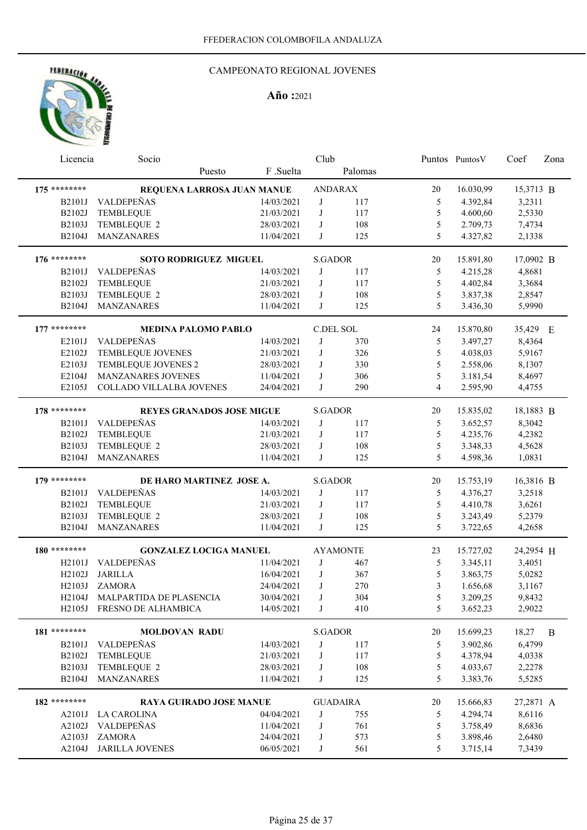## CAMPEONATO REGIONAL JOVENES

| F .Suelta<br>Palomas<br>Puesto<br>175 ********<br>REQUENA LARROSA JUAN MANUE<br><b>ANDARAX</b><br>16.030,99<br>20<br>15,3713 B<br><b>VALDEPEÑAS</b><br>14/03/2021<br>117<br>4.392,84<br>3,2311<br><b>B2101J</b><br>J<br>5<br>B2102J<br><b>TEMBLEQUE</b><br>21/03/2021<br>J<br>117<br>5<br>4.600,60<br>2,5330<br>B2103J<br>TEMBLEQUE 2<br>28/03/2021<br>108<br>5<br>2.709,73<br>7,4734<br>J<br>5<br>B2104J<br>MANZANARES<br>11/04/2021<br>J<br>125<br>4.327,82<br>2,1338<br>176 ********<br><b>S.GADOR</b><br>20<br>15.891,80<br>17,0902 B<br><b>SOTO RODRIGUEZ MIGUEL</b><br>VALDEPEÑAS<br>14/03/2021<br>5<br>4,8681<br><b>B2101J</b><br>J<br>117<br>4.215,28<br>5<br>B2102J<br>TEMBLEQUE<br>J<br>117<br>4.402,84<br>21/03/2021<br>3,3684<br>5<br>B2103J<br>TEMBLEQUE 2<br>108<br>3.837,38<br>28/03/2021<br>J<br>2,8547<br>5<br>B2104J<br>MANZANARES<br>J<br>125<br>3.436,30<br>5,9990<br>11/04/2021<br>177 ********<br>C.DEL SOL<br>24<br>15.870,80<br>35,429 E<br><b>MEDINA PALOMO PABLO</b><br>VALDEPEÑAS<br>14/03/2021<br>J<br>370<br>5<br>8,4364<br>E2101J<br>3.497,27<br>5<br>E2102J<br>TEMBLEQUE JOVENES<br>J<br>326<br>4.038,03<br>5,9167<br>21/03/2021<br>$\mathfrak s$<br>E2103J<br>J<br>330<br>TEMBLEQUE JOVENES 2<br>28/03/2021<br>2.558,06<br>8,1307<br>5<br>E2104J<br>306<br>3.181,54<br><b>MANZANARES JOVENES</b><br>11/04/2021<br>J<br>8,4697<br>E2105J<br>COLLADO VILLALBA JOVENES<br>24/04/2021<br>J<br>290<br>4<br>2.595,90<br>4,4755<br>178 ********<br><b>S.GADOR</b><br><b>REYES GRANADOS JOSE MIGUE</b><br>20<br>15.835,02<br>18,1883 B<br>VALDEPEÑAS<br>14/03/2021<br>J<br>117<br>5<br>3.652,57<br>8,3042<br><b>B2101J</b><br>B2102J<br>TEMBLEQUE<br>J<br>117<br>5<br>4.235,76<br>4,2382<br>21/03/2021<br>B2103J<br>TEMBLEQUE 2<br>5<br>3.348,33<br>4,5628<br>28/03/2021<br>J<br>108<br>5<br>MANZANARES<br>11/04/2021<br>4.598,36<br>1,0831<br>B2104J<br>J<br>125<br>$179$ ********<br><b>S.GADOR</b><br>DE HARO MARTINEZ JOSE A.<br>20<br>15.753,19<br>16,3816 B<br><b>VALDEPEÑAS</b><br>14/03/2021<br>5<br>4.376,27<br>3,2518<br><b>B2101J</b><br>J<br>117<br>B2102J<br><b>TEMBLEQUE</b><br>21/03/2021<br>J<br>117<br>5<br>4.410,78<br>3,6261<br>B2103J<br>TEMBLEQUE 2<br>28/03/2021<br>108<br>5<br>5,2379<br>J<br>3.243,49<br>B2104J<br><b>MANZANARES</b><br>J<br>5<br>11/04/2021<br>125<br>3.722,65<br>4,2658<br>180 ********<br><b>AYAMONTE</b><br>23<br>15.727,02<br>24,2954 H<br><b>GONZALEZ LOCIGA MANUEL</b><br><b>VALDEPEÑAS</b><br>11/04/2021<br>H2101J<br>J<br>467<br>5<br>3.345,11<br>3,4051<br><b>JARILLA</b><br>5<br>H2102J<br>16/04/2021<br>J<br>367<br>3.863,75<br>5,0282<br>270<br>3<br>H2103J ZAMORA<br>24/04/2021<br>J<br>1.656,68<br>3,1167<br>MALPARTIDA DE PLASENCIA<br>30/04/2021<br>304<br>H2104J<br>$\mathsf{J}$<br>5<br>3.209,25<br>9,8432<br>FRESNO DE ALHAMBICA<br>14/05/2021<br>410<br>5<br>3.652,23<br>H2105J<br>J<br>2,9022<br>181 ********<br><b>S.GADOR</b><br>$20\,$<br>15.699,23<br>18,27<br><b>MOLDOVAN RADU</b><br>B<br>6,4799<br>VALDEPEÑAS<br>14/03/2021<br>B2101J<br>J<br>117<br>5<br>3.902,86<br>5<br>B2102J<br>TEMBLEQUE<br>117<br>4.378,94<br>21/03/2021<br>J<br>4,0338<br>5<br>B2103J<br>TEMBLEQUE 2<br>108<br>4.033,67<br>28/03/2021<br>J<br>2,2278<br>5<br>B2104J<br>MANZANARES<br>11/04/2021<br>J<br>125<br>3.383,76<br>5,5285<br>182 ********<br><b>RAYA GUIRADO JOSE MANUE</b><br><b>GUADAIRA</b><br>20<br>15.666,83<br>27,2871 A<br>04/04/2021<br>755<br>5<br>4.294,74<br>8,6116<br><b>LA CAROLINA</b><br>J<br>A2101J<br>VALDEPEÑAS<br>J<br>761<br>5<br>3.758,49<br>8,6836<br>A2102J<br>11/04/2021<br>$\mathfrak{S}$<br><b>ZAMORA</b><br>573<br>3.898,46<br>2,6480<br>A2103J<br>24/04/2021<br>J<br><b>JARILLA JOVENES</b><br>561<br>5<br>7,3439<br>A2104J<br>06/05/2021<br>J<br>3.715,14 | Licencia | Socio | Club |  | Puntos Puntos V | Coef | Zona |
|---------------------------------------------------------------------------------------------------------------------------------------------------------------------------------------------------------------------------------------------------------------------------------------------------------------------------------------------------------------------------------------------------------------------------------------------------------------------------------------------------------------------------------------------------------------------------------------------------------------------------------------------------------------------------------------------------------------------------------------------------------------------------------------------------------------------------------------------------------------------------------------------------------------------------------------------------------------------------------------------------------------------------------------------------------------------------------------------------------------------------------------------------------------------------------------------------------------------------------------------------------------------------------------------------------------------------------------------------------------------------------------------------------------------------------------------------------------------------------------------------------------------------------------------------------------------------------------------------------------------------------------------------------------------------------------------------------------------------------------------------------------------------------------------------------------------------------------------------------------------------------------------------------------------------------------------------------------------------------------------------------------------------------------------------------------------------------------------------------------------------------------------------------------------------------------------------------------------------------------------------------------------------------------------------------------------------------------------------------------------------------------------------------------------------------------------------------------------------------------------------------------------------------------------------------------------------------------------------------------------------------------------------------------------------------------------------------------------------------------------------------------------------------------------------------------------------------------------------------------------------------------------------------------------------------------------------------------------------------------------------------------------------------------------------------------------------------------------------------------------------------------------------------------------------------------------------------------------------------------------------------------------------------------------------------------------------------------------------------------------------------------------------------------------------------------------------------------------------------------------------------------------------------------------------------------------------------------------------------------------------------------------------------------------------------------------------------------------------------------------------------------------|----------|-------|------|--|-----------------|------|------|
|                                                                                                                                                                                                                                                                                                                                                                                                                                                                                                                                                                                                                                                                                                                                                                                                                                                                                                                                                                                                                                                                                                                                                                                                                                                                                                                                                                                                                                                                                                                                                                                                                                                                                                                                                                                                                                                                                                                                                                                                                                                                                                                                                                                                                                                                                                                                                                                                                                                                                                                                                                                                                                                                                                                                                                                                                                                                                                                                                                                                                                                                                                                                                                                                                                                                                                                                                                                                                                                                                                                                                                                                                                                                                                                                                                     |          |       |      |  |                 |      |      |
|                                                                                                                                                                                                                                                                                                                                                                                                                                                                                                                                                                                                                                                                                                                                                                                                                                                                                                                                                                                                                                                                                                                                                                                                                                                                                                                                                                                                                                                                                                                                                                                                                                                                                                                                                                                                                                                                                                                                                                                                                                                                                                                                                                                                                                                                                                                                                                                                                                                                                                                                                                                                                                                                                                                                                                                                                                                                                                                                                                                                                                                                                                                                                                                                                                                                                                                                                                                                                                                                                                                                                                                                                                                                                                                                                                     |          |       |      |  |                 |      |      |
|                                                                                                                                                                                                                                                                                                                                                                                                                                                                                                                                                                                                                                                                                                                                                                                                                                                                                                                                                                                                                                                                                                                                                                                                                                                                                                                                                                                                                                                                                                                                                                                                                                                                                                                                                                                                                                                                                                                                                                                                                                                                                                                                                                                                                                                                                                                                                                                                                                                                                                                                                                                                                                                                                                                                                                                                                                                                                                                                                                                                                                                                                                                                                                                                                                                                                                                                                                                                                                                                                                                                                                                                                                                                                                                                                                     |          |       |      |  |                 |      |      |
|                                                                                                                                                                                                                                                                                                                                                                                                                                                                                                                                                                                                                                                                                                                                                                                                                                                                                                                                                                                                                                                                                                                                                                                                                                                                                                                                                                                                                                                                                                                                                                                                                                                                                                                                                                                                                                                                                                                                                                                                                                                                                                                                                                                                                                                                                                                                                                                                                                                                                                                                                                                                                                                                                                                                                                                                                                                                                                                                                                                                                                                                                                                                                                                                                                                                                                                                                                                                                                                                                                                                                                                                                                                                                                                                                                     |          |       |      |  |                 |      |      |
|                                                                                                                                                                                                                                                                                                                                                                                                                                                                                                                                                                                                                                                                                                                                                                                                                                                                                                                                                                                                                                                                                                                                                                                                                                                                                                                                                                                                                                                                                                                                                                                                                                                                                                                                                                                                                                                                                                                                                                                                                                                                                                                                                                                                                                                                                                                                                                                                                                                                                                                                                                                                                                                                                                                                                                                                                                                                                                                                                                                                                                                                                                                                                                                                                                                                                                                                                                                                                                                                                                                                                                                                                                                                                                                                                                     |          |       |      |  |                 |      |      |
|                                                                                                                                                                                                                                                                                                                                                                                                                                                                                                                                                                                                                                                                                                                                                                                                                                                                                                                                                                                                                                                                                                                                                                                                                                                                                                                                                                                                                                                                                                                                                                                                                                                                                                                                                                                                                                                                                                                                                                                                                                                                                                                                                                                                                                                                                                                                                                                                                                                                                                                                                                                                                                                                                                                                                                                                                                                                                                                                                                                                                                                                                                                                                                                                                                                                                                                                                                                                                                                                                                                                                                                                                                                                                                                                                                     |          |       |      |  |                 |      |      |
|                                                                                                                                                                                                                                                                                                                                                                                                                                                                                                                                                                                                                                                                                                                                                                                                                                                                                                                                                                                                                                                                                                                                                                                                                                                                                                                                                                                                                                                                                                                                                                                                                                                                                                                                                                                                                                                                                                                                                                                                                                                                                                                                                                                                                                                                                                                                                                                                                                                                                                                                                                                                                                                                                                                                                                                                                                                                                                                                                                                                                                                                                                                                                                                                                                                                                                                                                                                                                                                                                                                                                                                                                                                                                                                                                                     |          |       |      |  |                 |      |      |
|                                                                                                                                                                                                                                                                                                                                                                                                                                                                                                                                                                                                                                                                                                                                                                                                                                                                                                                                                                                                                                                                                                                                                                                                                                                                                                                                                                                                                                                                                                                                                                                                                                                                                                                                                                                                                                                                                                                                                                                                                                                                                                                                                                                                                                                                                                                                                                                                                                                                                                                                                                                                                                                                                                                                                                                                                                                                                                                                                                                                                                                                                                                                                                                                                                                                                                                                                                                                                                                                                                                                                                                                                                                                                                                                                                     |          |       |      |  |                 |      |      |
|                                                                                                                                                                                                                                                                                                                                                                                                                                                                                                                                                                                                                                                                                                                                                                                                                                                                                                                                                                                                                                                                                                                                                                                                                                                                                                                                                                                                                                                                                                                                                                                                                                                                                                                                                                                                                                                                                                                                                                                                                                                                                                                                                                                                                                                                                                                                                                                                                                                                                                                                                                                                                                                                                                                                                                                                                                                                                                                                                                                                                                                                                                                                                                                                                                                                                                                                                                                                                                                                                                                                                                                                                                                                                                                                                                     |          |       |      |  |                 |      |      |
|                                                                                                                                                                                                                                                                                                                                                                                                                                                                                                                                                                                                                                                                                                                                                                                                                                                                                                                                                                                                                                                                                                                                                                                                                                                                                                                                                                                                                                                                                                                                                                                                                                                                                                                                                                                                                                                                                                                                                                                                                                                                                                                                                                                                                                                                                                                                                                                                                                                                                                                                                                                                                                                                                                                                                                                                                                                                                                                                                                                                                                                                                                                                                                                                                                                                                                                                                                                                                                                                                                                                                                                                                                                                                                                                                                     |          |       |      |  |                 |      |      |
|                                                                                                                                                                                                                                                                                                                                                                                                                                                                                                                                                                                                                                                                                                                                                                                                                                                                                                                                                                                                                                                                                                                                                                                                                                                                                                                                                                                                                                                                                                                                                                                                                                                                                                                                                                                                                                                                                                                                                                                                                                                                                                                                                                                                                                                                                                                                                                                                                                                                                                                                                                                                                                                                                                                                                                                                                                                                                                                                                                                                                                                                                                                                                                                                                                                                                                                                                                                                                                                                                                                                                                                                                                                                                                                                                                     |          |       |      |  |                 |      |      |
|                                                                                                                                                                                                                                                                                                                                                                                                                                                                                                                                                                                                                                                                                                                                                                                                                                                                                                                                                                                                                                                                                                                                                                                                                                                                                                                                                                                                                                                                                                                                                                                                                                                                                                                                                                                                                                                                                                                                                                                                                                                                                                                                                                                                                                                                                                                                                                                                                                                                                                                                                                                                                                                                                                                                                                                                                                                                                                                                                                                                                                                                                                                                                                                                                                                                                                                                                                                                                                                                                                                                                                                                                                                                                                                                                                     |          |       |      |  |                 |      |      |
|                                                                                                                                                                                                                                                                                                                                                                                                                                                                                                                                                                                                                                                                                                                                                                                                                                                                                                                                                                                                                                                                                                                                                                                                                                                                                                                                                                                                                                                                                                                                                                                                                                                                                                                                                                                                                                                                                                                                                                                                                                                                                                                                                                                                                                                                                                                                                                                                                                                                                                                                                                                                                                                                                                                                                                                                                                                                                                                                                                                                                                                                                                                                                                                                                                                                                                                                                                                                                                                                                                                                                                                                                                                                                                                                                                     |          |       |      |  |                 |      |      |
|                                                                                                                                                                                                                                                                                                                                                                                                                                                                                                                                                                                                                                                                                                                                                                                                                                                                                                                                                                                                                                                                                                                                                                                                                                                                                                                                                                                                                                                                                                                                                                                                                                                                                                                                                                                                                                                                                                                                                                                                                                                                                                                                                                                                                                                                                                                                                                                                                                                                                                                                                                                                                                                                                                                                                                                                                                                                                                                                                                                                                                                                                                                                                                                                                                                                                                                                                                                                                                                                                                                                                                                                                                                                                                                                                                     |          |       |      |  |                 |      |      |
|                                                                                                                                                                                                                                                                                                                                                                                                                                                                                                                                                                                                                                                                                                                                                                                                                                                                                                                                                                                                                                                                                                                                                                                                                                                                                                                                                                                                                                                                                                                                                                                                                                                                                                                                                                                                                                                                                                                                                                                                                                                                                                                                                                                                                                                                                                                                                                                                                                                                                                                                                                                                                                                                                                                                                                                                                                                                                                                                                                                                                                                                                                                                                                                                                                                                                                                                                                                                                                                                                                                                                                                                                                                                                                                                                                     |          |       |      |  |                 |      |      |
|                                                                                                                                                                                                                                                                                                                                                                                                                                                                                                                                                                                                                                                                                                                                                                                                                                                                                                                                                                                                                                                                                                                                                                                                                                                                                                                                                                                                                                                                                                                                                                                                                                                                                                                                                                                                                                                                                                                                                                                                                                                                                                                                                                                                                                                                                                                                                                                                                                                                                                                                                                                                                                                                                                                                                                                                                                                                                                                                                                                                                                                                                                                                                                                                                                                                                                                                                                                                                                                                                                                                                                                                                                                                                                                                                                     |          |       |      |  |                 |      |      |
|                                                                                                                                                                                                                                                                                                                                                                                                                                                                                                                                                                                                                                                                                                                                                                                                                                                                                                                                                                                                                                                                                                                                                                                                                                                                                                                                                                                                                                                                                                                                                                                                                                                                                                                                                                                                                                                                                                                                                                                                                                                                                                                                                                                                                                                                                                                                                                                                                                                                                                                                                                                                                                                                                                                                                                                                                                                                                                                                                                                                                                                                                                                                                                                                                                                                                                                                                                                                                                                                                                                                                                                                                                                                                                                                                                     |          |       |      |  |                 |      |      |
|                                                                                                                                                                                                                                                                                                                                                                                                                                                                                                                                                                                                                                                                                                                                                                                                                                                                                                                                                                                                                                                                                                                                                                                                                                                                                                                                                                                                                                                                                                                                                                                                                                                                                                                                                                                                                                                                                                                                                                                                                                                                                                                                                                                                                                                                                                                                                                                                                                                                                                                                                                                                                                                                                                                                                                                                                                                                                                                                                                                                                                                                                                                                                                                                                                                                                                                                                                                                                                                                                                                                                                                                                                                                                                                                                                     |          |       |      |  |                 |      |      |
|                                                                                                                                                                                                                                                                                                                                                                                                                                                                                                                                                                                                                                                                                                                                                                                                                                                                                                                                                                                                                                                                                                                                                                                                                                                                                                                                                                                                                                                                                                                                                                                                                                                                                                                                                                                                                                                                                                                                                                                                                                                                                                                                                                                                                                                                                                                                                                                                                                                                                                                                                                                                                                                                                                                                                                                                                                                                                                                                                                                                                                                                                                                                                                                                                                                                                                                                                                                                                                                                                                                                                                                                                                                                                                                                                                     |          |       |      |  |                 |      |      |
|                                                                                                                                                                                                                                                                                                                                                                                                                                                                                                                                                                                                                                                                                                                                                                                                                                                                                                                                                                                                                                                                                                                                                                                                                                                                                                                                                                                                                                                                                                                                                                                                                                                                                                                                                                                                                                                                                                                                                                                                                                                                                                                                                                                                                                                                                                                                                                                                                                                                                                                                                                                                                                                                                                                                                                                                                                                                                                                                                                                                                                                                                                                                                                                                                                                                                                                                                                                                                                                                                                                                                                                                                                                                                                                                                                     |          |       |      |  |                 |      |      |
|                                                                                                                                                                                                                                                                                                                                                                                                                                                                                                                                                                                                                                                                                                                                                                                                                                                                                                                                                                                                                                                                                                                                                                                                                                                                                                                                                                                                                                                                                                                                                                                                                                                                                                                                                                                                                                                                                                                                                                                                                                                                                                                                                                                                                                                                                                                                                                                                                                                                                                                                                                                                                                                                                                                                                                                                                                                                                                                                                                                                                                                                                                                                                                                                                                                                                                                                                                                                                                                                                                                                                                                                                                                                                                                                                                     |          |       |      |  |                 |      |      |
|                                                                                                                                                                                                                                                                                                                                                                                                                                                                                                                                                                                                                                                                                                                                                                                                                                                                                                                                                                                                                                                                                                                                                                                                                                                                                                                                                                                                                                                                                                                                                                                                                                                                                                                                                                                                                                                                                                                                                                                                                                                                                                                                                                                                                                                                                                                                                                                                                                                                                                                                                                                                                                                                                                                                                                                                                                                                                                                                                                                                                                                                                                                                                                                                                                                                                                                                                                                                                                                                                                                                                                                                                                                                                                                                                                     |          |       |      |  |                 |      |      |
|                                                                                                                                                                                                                                                                                                                                                                                                                                                                                                                                                                                                                                                                                                                                                                                                                                                                                                                                                                                                                                                                                                                                                                                                                                                                                                                                                                                                                                                                                                                                                                                                                                                                                                                                                                                                                                                                                                                                                                                                                                                                                                                                                                                                                                                                                                                                                                                                                                                                                                                                                                                                                                                                                                                                                                                                                                                                                                                                                                                                                                                                                                                                                                                                                                                                                                                                                                                                                                                                                                                                                                                                                                                                                                                                                                     |          |       |      |  |                 |      |      |
|                                                                                                                                                                                                                                                                                                                                                                                                                                                                                                                                                                                                                                                                                                                                                                                                                                                                                                                                                                                                                                                                                                                                                                                                                                                                                                                                                                                                                                                                                                                                                                                                                                                                                                                                                                                                                                                                                                                                                                                                                                                                                                                                                                                                                                                                                                                                                                                                                                                                                                                                                                                                                                                                                                                                                                                                                                                                                                                                                                                                                                                                                                                                                                                                                                                                                                                                                                                                                                                                                                                                                                                                                                                                                                                                                                     |          |       |      |  |                 |      |      |
|                                                                                                                                                                                                                                                                                                                                                                                                                                                                                                                                                                                                                                                                                                                                                                                                                                                                                                                                                                                                                                                                                                                                                                                                                                                                                                                                                                                                                                                                                                                                                                                                                                                                                                                                                                                                                                                                                                                                                                                                                                                                                                                                                                                                                                                                                                                                                                                                                                                                                                                                                                                                                                                                                                                                                                                                                                                                                                                                                                                                                                                                                                                                                                                                                                                                                                                                                                                                                                                                                                                                                                                                                                                                                                                                                                     |          |       |      |  |                 |      |      |
|                                                                                                                                                                                                                                                                                                                                                                                                                                                                                                                                                                                                                                                                                                                                                                                                                                                                                                                                                                                                                                                                                                                                                                                                                                                                                                                                                                                                                                                                                                                                                                                                                                                                                                                                                                                                                                                                                                                                                                                                                                                                                                                                                                                                                                                                                                                                                                                                                                                                                                                                                                                                                                                                                                                                                                                                                                                                                                                                                                                                                                                                                                                                                                                                                                                                                                                                                                                                                                                                                                                                                                                                                                                                                                                                                                     |          |       |      |  |                 |      |      |
|                                                                                                                                                                                                                                                                                                                                                                                                                                                                                                                                                                                                                                                                                                                                                                                                                                                                                                                                                                                                                                                                                                                                                                                                                                                                                                                                                                                                                                                                                                                                                                                                                                                                                                                                                                                                                                                                                                                                                                                                                                                                                                                                                                                                                                                                                                                                                                                                                                                                                                                                                                                                                                                                                                                                                                                                                                                                                                                                                                                                                                                                                                                                                                                                                                                                                                                                                                                                                                                                                                                                                                                                                                                                                                                                                                     |          |       |      |  |                 |      |      |
|                                                                                                                                                                                                                                                                                                                                                                                                                                                                                                                                                                                                                                                                                                                                                                                                                                                                                                                                                                                                                                                                                                                                                                                                                                                                                                                                                                                                                                                                                                                                                                                                                                                                                                                                                                                                                                                                                                                                                                                                                                                                                                                                                                                                                                                                                                                                                                                                                                                                                                                                                                                                                                                                                                                                                                                                                                                                                                                                                                                                                                                                                                                                                                                                                                                                                                                                                                                                                                                                                                                                                                                                                                                                                                                                                                     |          |       |      |  |                 |      |      |
|                                                                                                                                                                                                                                                                                                                                                                                                                                                                                                                                                                                                                                                                                                                                                                                                                                                                                                                                                                                                                                                                                                                                                                                                                                                                                                                                                                                                                                                                                                                                                                                                                                                                                                                                                                                                                                                                                                                                                                                                                                                                                                                                                                                                                                                                                                                                                                                                                                                                                                                                                                                                                                                                                                                                                                                                                                                                                                                                                                                                                                                                                                                                                                                                                                                                                                                                                                                                                                                                                                                                                                                                                                                                                                                                                                     |          |       |      |  |                 |      |      |
|                                                                                                                                                                                                                                                                                                                                                                                                                                                                                                                                                                                                                                                                                                                                                                                                                                                                                                                                                                                                                                                                                                                                                                                                                                                                                                                                                                                                                                                                                                                                                                                                                                                                                                                                                                                                                                                                                                                                                                                                                                                                                                                                                                                                                                                                                                                                                                                                                                                                                                                                                                                                                                                                                                                                                                                                                                                                                                                                                                                                                                                                                                                                                                                                                                                                                                                                                                                                                                                                                                                                                                                                                                                                                                                                                                     |          |       |      |  |                 |      |      |
|                                                                                                                                                                                                                                                                                                                                                                                                                                                                                                                                                                                                                                                                                                                                                                                                                                                                                                                                                                                                                                                                                                                                                                                                                                                                                                                                                                                                                                                                                                                                                                                                                                                                                                                                                                                                                                                                                                                                                                                                                                                                                                                                                                                                                                                                                                                                                                                                                                                                                                                                                                                                                                                                                                                                                                                                                                                                                                                                                                                                                                                                                                                                                                                                                                                                                                                                                                                                                                                                                                                                                                                                                                                                                                                                                                     |          |       |      |  |                 |      |      |
|                                                                                                                                                                                                                                                                                                                                                                                                                                                                                                                                                                                                                                                                                                                                                                                                                                                                                                                                                                                                                                                                                                                                                                                                                                                                                                                                                                                                                                                                                                                                                                                                                                                                                                                                                                                                                                                                                                                                                                                                                                                                                                                                                                                                                                                                                                                                                                                                                                                                                                                                                                                                                                                                                                                                                                                                                                                                                                                                                                                                                                                                                                                                                                                                                                                                                                                                                                                                                                                                                                                                                                                                                                                                                                                                                                     |          |       |      |  |                 |      |      |
|                                                                                                                                                                                                                                                                                                                                                                                                                                                                                                                                                                                                                                                                                                                                                                                                                                                                                                                                                                                                                                                                                                                                                                                                                                                                                                                                                                                                                                                                                                                                                                                                                                                                                                                                                                                                                                                                                                                                                                                                                                                                                                                                                                                                                                                                                                                                                                                                                                                                                                                                                                                                                                                                                                                                                                                                                                                                                                                                                                                                                                                                                                                                                                                                                                                                                                                                                                                                                                                                                                                                                                                                                                                                                                                                                                     |          |       |      |  |                 |      |      |
|                                                                                                                                                                                                                                                                                                                                                                                                                                                                                                                                                                                                                                                                                                                                                                                                                                                                                                                                                                                                                                                                                                                                                                                                                                                                                                                                                                                                                                                                                                                                                                                                                                                                                                                                                                                                                                                                                                                                                                                                                                                                                                                                                                                                                                                                                                                                                                                                                                                                                                                                                                                                                                                                                                                                                                                                                                                                                                                                                                                                                                                                                                                                                                                                                                                                                                                                                                                                                                                                                                                                                                                                                                                                                                                                                                     |          |       |      |  |                 |      |      |
|                                                                                                                                                                                                                                                                                                                                                                                                                                                                                                                                                                                                                                                                                                                                                                                                                                                                                                                                                                                                                                                                                                                                                                                                                                                                                                                                                                                                                                                                                                                                                                                                                                                                                                                                                                                                                                                                                                                                                                                                                                                                                                                                                                                                                                                                                                                                                                                                                                                                                                                                                                                                                                                                                                                                                                                                                                                                                                                                                                                                                                                                                                                                                                                                                                                                                                                                                                                                                                                                                                                                                                                                                                                                                                                                                                     |          |       |      |  |                 |      |      |
|                                                                                                                                                                                                                                                                                                                                                                                                                                                                                                                                                                                                                                                                                                                                                                                                                                                                                                                                                                                                                                                                                                                                                                                                                                                                                                                                                                                                                                                                                                                                                                                                                                                                                                                                                                                                                                                                                                                                                                                                                                                                                                                                                                                                                                                                                                                                                                                                                                                                                                                                                                                                                                                                                                                                                                                                                                                                                                                                                                                                                                                                                                                                                                                                                                                                                                                                                                                                                                                                                                                                                                                                                                                                                                                                                                     |          |       |      |  |                 |      |      |
|                                                                                                                                                                                                                                                                                                                                                                                                                                                                                                                                                                                                                                                                                                                                                                                                                                                                                                                                                                                                                                                                                                                                                                                                                                                                                                                                                                                                                                                                                                                                                                                                                                                                                                                                                                                                                                                                                                                                                                                                                                                                                                                                                                                                                                                                                                                                                                                                                                                                                                                                                                                                                                                                                                                                                                                                                                                                                                                                                                                                                                                                                                                                                                                                                                                                                                                                                                                                                                                                                                                                                                                                                                                                                                                                                                     |          |       |      |  |                 |      |      |
|                                                                                                                                                                                                                                                                                                                                                                                                                                                                                                                                                                                                                                                                                                                                                                                                                                                                                                                                                                                                                                                                                                                                                                                                                                                                                                                                                                                                                                                                                                                                                                                                                                                                                                                                                                                                                                                                                                                                                                                                                                                                                                                                                                                                                                                                                                                                                                                                                                                                                                                                                                                                                                                                                                                                                                                                                                                                                                                                                                                                                                                                                                                                                                                                                                                                                                                                                                                                                                                                                                                                                                                                                                                                                                                                                                     |          |       |      |  |                 |      |      |
|                                                                                                                                                                                                                                                                                                                                                                                                                                                                                                                                                                                                                                                                                                                                                                                                                                                                                                                                                                                                                                                                                                                                                                                                                                                                                                                                                                                                                                                                                                                                                                                                                                                                                                                                                                                                                                                                                                                                                                                                                                                                                                                                                                                                                                                                                                                                                                                                                                                                                                                                                                                                                                                                                                                                                                                                                                                                                                                                                                                                                                                                                                                                                                                                                                                                                                                                                                                                                                                                                                                                                                                                                                                                                                                                                                     |          |       |      |  |                 |      |      |
|                                                                                                                                                                                                                                                                                                                                                                                                                                                                                                                                                                                                                                                                                                                                                                                                                                                                                                                                                                                                                                                                                                                                                                                                                                                                                                                                                                                                                                                                                                                                                                                                                                                                                                                                                                                                                                                                                                                                                                                                                                                                                                                                                                                                                                                                                                                                                                                                                                                                                                                                                                                                                                                                                                                                                                                                                                                                                                                                                                                                                                                                                                                                                                                                                                                                                                                                                                                                                                                                                                                                                                                                                                                                                                                                                                     |          |       |      |  |                 |      |      |
|                                                                                                                                                                                                                                                                                                                                                                                                                                                                                                                                                                                                                                                                                                                                                                                                                                                                                                                                                                                                                                                                                                                                                                                                                                                                                                                                                                                                                                                                                                                                                                                                                                                                                                                                                                                                                                                                                                                                                                                                                                                                                                                                                                                                                                                                                                                                                                                                                                                                                                                                                                                                                                                                                                                                                                                                                                                                                                                                                                                                                                                                                                                                                                                                                                                                                                                                                                                                                                                                                                                                                                                                                                                                                                                                                                     |          |       |      |  |                 |      |      |
|                                                                                                                                                                                                                                                                                                                                                                                                                                                                                                                                                                                                                                                                                                                                                                                                                                                                                                                                                                                                                                                                                                                                                                                                                                                                                                                                                                                                                                                                                                                                                                                                                                                                                                                                                                                                                                                                                                                                                                                                                                                                                                                                                                                                                                                                                                                                                                                                                                                                                                                                                                                                                                                                                                                                                                                                                                                                                                                                                                                                                                                                                                                                                                                                                                                                                                                                                                                                                                                                                                                                                                                                                                                                                                                                                                     |          |       |      |  |                 |      |      |
|                                                                                                                                                                                                                                                                                                                                                                                                                                                                                                                                                                                                                                                                                                                                                                                                                                                                                                                                                                                                                                                                                                                                                                                                                                                                                                                                                                                                                                                                                                                                                                                                                                                                                                                                                                                                                                                                                                                                                                                                                                                                                                                                                                                                                                                                                                                                                                                                                                                                                                                                                                                                                                                                                                                                                                                                                                                                                                                                                                                                                                                                                                                                                                                                                                                                                                                                                                                                                                                                                                                                                                                                                                                                                                                                                                     |          |       |      |  |                 |      |      |
|                                                                                                                                                                                                                                                                                                                                                                                                                                                                                                                                                                                                                                                                                                                                                                                                                                                                                                                                                                                                                                                                                                                                                                                                                                                                                                                                                                                                                                                                                                                                                                                                                                                                                                                                                                                                                                                                                                                                                                                                                                                                                                                                                                                                                                                                                                                                                                                                                                                                                                                                                                                                                                                                                                                                                                                                                                                                                                                                                                                                                                                                                                                                                                                                                                                                                                                                                                                                                                                                                                                                                                                                                                                                                                                                                                     |          |       |      |  |                 |      |      |
|                                                                                                                                                                                                                                                                                                                                                                                                                                                                                                                                                                                                                                                                                                                                                                                                                                                                                                                                                                                                                                                                                                                                                                                                                                                                                                                                                                                                                                                                                                                                                                                                                                                                                                                                                                                                                                                                                                                                                                                                                                                                                                                                                                                                                                                                                                                                                                                                                                                                                                                                                                                                                                                                                                                                                                                                                                                                                                                                                                                                                                                                                                                                                                                                                                                                                                                                                                                                                                                                                                                                                                                                                                                                                                                                                                     |          |       |      |  |                 |      |      |
|                                                                                                                                                                                                                                                                                                                                                                                                                                                                                                                                                                                                                                                                                                                                                                                                                                                                                                                                                                                                                                                                                                                                                                                                                                                                                                                                                                                                                                                                                                                                                                                                                                                                                                                                                                                                                                                                                                                                                                                                                                                                                                                                                                                                                                                                                                                                                                                                                                                                                                                                                                                                                                                                                                                                                                                                                                                                                                                                                                                                                                                                                                                                                                                                                                                                                                                                                                                                                                                                                                                                                                                                                                                                                                                                                                     |          |       |      |  |                 |      |      |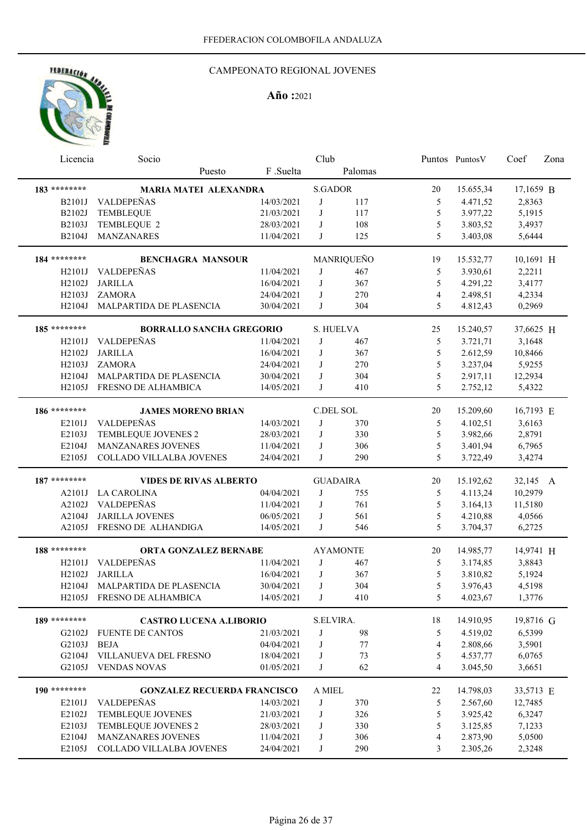## CAMPEONATO REGIONAL JOVENES

| Licencia            | Socio                              |            | Club           |                 |                | Puntos PuntosV | Coef      | Zona |
|---------------------|------------------------------------|------------|----------------|-----------------|----------------|----------------|-----------|------|
|                     | Puesto                             | F.Suelta   |                | Palomas         |                |                |           |      |
| 183 ********        | <b>MARIA MATEI ALEXANDRA</b>       |            | <b>S.GADOR</b> |                 | 20             | 15.655,34      | 17,1659 B |      |
| <b>B2101J</b>       | VALDEPEÑAS                         | 14/03/2021 | J              | 117             | 5              | 4.471,52       | 2,8363    |      |
| B2102J              | <b>TEMBLEQUE</b>                   | 21/03/2021 | J              | 117             | 5              | 3.977,22       | 5,1915    |      |
| B2103J              | TEMBLEQUE 2                        | 28/03/2021 | J              | 108             | 5              | 3.803,52       | 3,4937    |      |
| B2104J              | MANZANARES                         | 11/04/2021 | J              | 125             | 5              | 3.403,08       | 5,6444    |      |
|                     |                                    |            |                |                 |                |                |           |      |
| 184 ********        | <b>BENCHAGRA MANSOUR</b>           |            |                | MANRIQUEÑO      | 19             | 15.532,77      | 10,1691 H |      |
| H2101J              | <b>VALDEPEÑAS</b>                  | 11/04/2021 | J              | 467             | 5              | 3.930,61       | 2,2211    |      |
| H2102J              | <b>JARILLA</b>                     | 16/04/2021 | J              | 367             | 5              | 4.291,22       | 3,4177    |      |
| H2103J              | <b>ZAMORA</b>                      | 24/04/2021 | J              | 270             | $\overline{4}$ | 2.498,51       | 4,2334    |      |
| H2104J              | MALPARTIDA DE PLASENCIA            | 30/04/2021 | J              | 304             | 5              | 4.812,43       | 0,2969    |      |
| 185 ********        | <b>BORRALLO SANCHA GREGORIO</b>    |            |                | S. HUELVA       | 25             | 15.240,57      | 37,6625 H |      |
| H2101J              | VALDEPEÑAS                         | 11/04/2021 | J              | 467             | 5              | 3.721,71       | 3,1648    |      |
| H2102J              | <b>JARILLA</b>                     | 16/04/2021 | J              | 367             | 5              | 2.612,59       | 10,8466   |      |
| H2103J              | <b>ZAMORA</b>                      | 24/04/2021 | J              | 270             | 5              | 3.237,04       | 5,9255    |      |
| H2104J              | MALPARTIDA DE PLASENCIA            | 30/04/2021 | J              | 304             | 5              | 2.917,11       | 12,2934   |      |
| H2105J              | FRESNO DE ALHAMBICA                | 14/05/2021 | J              | 410             | 5              | 2.752,12       | 5,4322    |      |
| 186 ********        | <b>JAMES MORENO BRIAN</b>          |            | C.DEL SOL      |                 | 20             | 15.209,60      | 16,7193 E |      |
| E2101J              | VALDEPEÑAS                         | 14/03/2021 | J              | 370             | 5              | 4.102,51       | 3,6163    |      |
| E2103J              | TEMBLEQUE JOVENES 2                | 28/03/2021 | J              | 330             | 5              | 3.982,66       | 2,8791    |      |
| E2104J              | MANZANARES JOVENES                 | 11/04/2021 | J              | 306             | 5              | 3.401,94       | 6,7965    |      |
| E2105J              | COLLADO VILLALBA JOVENES           | 24/04/2021 | J              | 290             | 5              | 3.722,49       | 3,4274    |      |
|                     |                                    |            |                |                 |                |                |           |      |
| 187 ********        | <b>VIDES DE RIVAS ALBERTO</b>      |            |                | <b>GUADAIRA</b> | 20             | 15.192,62      | 32,145 A  |      |
| A2101J              | <b>LA CAROLINA</b>                 | 04/04/2021 | J              | 755             | 5              | 4.113,24       | 10,2979   |      |
| A2102J              | VALDEPEÑAS                         | 11/04/2021 | J              | 761             | 5              | 3.164,13       | 11,5180   |      |
| A2104J              | <b>JARILLA JOVENES</b>             | 06/05/2021 | J              | 561             | 5              | 4.210,88       | 4,0566    |      |
| A2105J              | FRESNO DE ALHANDIGA                | 14/05/2021 | J              | 546             | 5              | 3.704,37       | 6,2725    |      |
| 188 ********        | <b>ORTA GONZALEZ BERNABE</b>       |            |                | <b>AYAMONTE</b> | 20             | 14.985,77      | 14,9741 H |      |
| H2101J              | VALDEPEÑAS                         | 11/04/2021 | J              | 467             | 5              | 3.174,85       | 3,8843    |      |
| H2102J              | <b>JARILLA</b>                     | 16/04/2021 | J              | 367             | 5              | 3.810,82       | 5,1924    |      |
| H2104J              | MALPARTIDA DE PLASENCIA            | 30/04/2021 | J              | 304             | 5              | 3.976,43       | 4,5198    |      |
| H <sub>2</sub> 105J | FRESNO DE ALHAMBICA                | 14/05/2021 | J              | 410             | 5              | 4.023,67       | 1,3776    |      |
| 189 ********        |                                    |            |                |                 |                |                |           |      |
|                     | <b>CASTRO LUCENA A.LIBORIO</b>     |            | S.ELVIRA.      |                 | 18             | 14.910,95      | 19,8716 G |      |
| G2102J              | <b>FUENTE DE CANTOS</b>            | 21/03/2021 | J              | 98              | 5              | 4.519,02       | 6,5399    |      |
| G2103J              | <b>BEJA</b>                        | 04/04/2021 | J              | 77              | $\overline{4}$ | 2.808,66       | 3,5901    |      |
| G2104J              | VILLANUEVA DEL FRESNO              | 18/04/2021 | J              | 73              | 5              | 4.537,77       | 6,0765    |      |
| G2105J              | <b>VENDAS NOVAS</b>                | 01/05/2021 | J              | 62              | $\overline{4}$ | 3.045,50       | 3,6651    |      |
| 190 ********        | <b>GONZALEZ RECUERDA FRANCISCO</b> |            | A MIEL         |                 | 22             | 14.798,03      | 33,5713 E |      |
| E2101J              | VALDEPEÑAS                         | 14/03/2021 | J              | 370             | 5              | 2.567,60       | 12,7485   |      |
| E2102J              | TEMBLEQUE JOVENES                  | 21/03/2021 | $\bf J$        | 326             | 5              | 3.925,42       | 6,3247    |      |
| E2103J              | TEMBLEQUE JOVENES 2                | 28/03/2021 | J              | 330             | 5              | 3.125,85       | 7,1233    |      |
| E2104J              | MANZANARES JOVENES                 | 11/04/2021 | J              | 306             | 4              | 2.873,90       | 5,0500    |      |
| E2105J              | COLLADO VILLALBA JOVENES           | 24/04/2021 | J              | 290             | 3              | 2.305,26       | 2,3248    |      |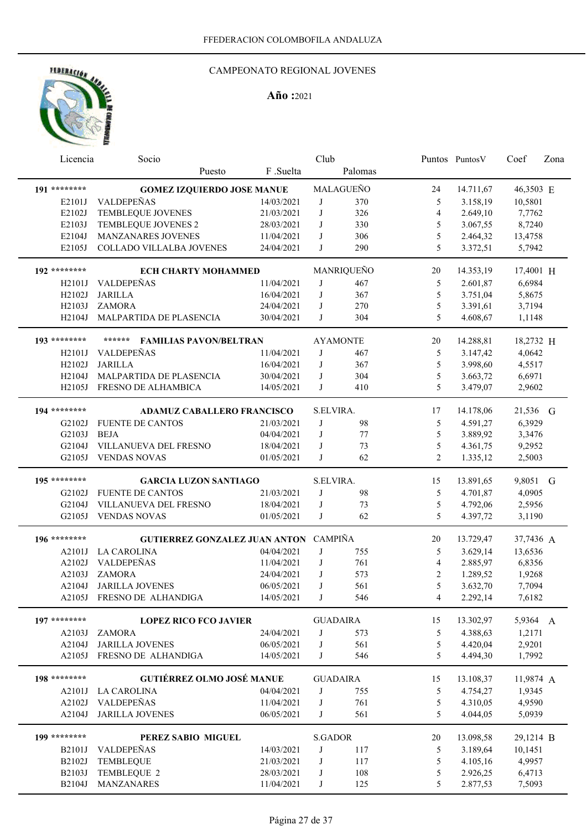## CAMPEONATO REGIONAL JOVENES

| Licencia           | Socio                                   |                          | Club           |                 |                          | Puntos Puntos V      | Coef              | Zona |
|--------------------|-----------------------------------------|--------------------------|----------------|-----------------|--------------------------|----------------------|-------------------|------|
|                    | Puesto                                  | F .Suelta                |                | Palomas         |                          |                      |                   |      |
| 191 ********       | <b>GOMEZ IZQUIERDO JOSE MANUE</b>       |                          |                | MALAGUEÑO       | 24                       | 14.711,67            | 46,3503 E         |      |
| E2101J             | VALDEPEÑAS                              | 14/03/2021               | J              | 370             | 5                        | 3.158,19             | 10,5801           |      |
| E2102J             | TEMBLEQUE JOVENES                       | 21/03/2021               | J              | 326             | $\overline{\mathcal{L}}$ | 2.649,10             | 7,7762            |      |
| E2103J             | TEMBLEQUE JOVENES 2                     | 28/03/2021               | J              | 330             | 5                        | 3.067,55             | 8,7240            |      |
| E2104J             | MANZANARES JOVENES                      |                          | J              |                 | 5                        |                      |                   |      |
| E2105J             | COLLADO VILLALBA JOVENES                | 11/04/2021<br>24/04/2021 | J              | 306<br>290      | 5                        | 2.464,32<br>3.372,51 | 13,4758<br>5,7942 |      |
|                    |                                         |                          |                |                 |                          |                      |                   |      |
| 192 ********       | <b>ECH CHARTY MOHAMMED</b>              |                          |                | MANRIQUEÑO      | 20                       | 14.353,19            | 17,4001 H         |      |
| H2101J             | VALDEPEÑAS                              | 11/04/2021               | J              | 467             | 5                        | 2.601,87             | 6,6984            |      |
| H2102J             | <b>JARILLA</b>                          | 16/04/2021               | J              | 367             | 5                        | 3.751,04             | 5,8675            |      |
| H2103J             | <b>ZAMORA</b>                           | 24/04/2021               | J              | 270             | 5                        | 3.391,61             | 3,7194            |      |
| H2104J             | MALPARTIDA DE PLASENCIA                 | 30/04/2021               | J              | 304             | 5                        | 4.608,67             | 1,1148            |      |
|                    |                                         |                          |                |                 |                          |                      |                   |      |
| 193 ********       | ******<br><b>FAMILIAS PAVON/BELTRAN</b> |                          |                | <b>AYAMONTE</b> | 20                       | 14.288,81            | 18,2732 H         |      |
| H2101J             | <b>VALDEPEÑAS</b>                       | 11/04/2021               | J              | 467             | 5                        | 3.147,42             | 4,0642            |      |
| H2102J             | <b>JARILLA</b>                          | 16/04/2021               | J              | 367             | 5                        | 3.998,60             | 4,5517            |      |
| H <sub>2104J</sub> | MALPARTIDA DE PLASENCIA                 | 30/04/2021               | J              | 304             | 5                        | 3.663,72             | 6,6971            |      |
| H2105J             | FRESNO DE ALHAMBICA                     | 14/05/2021               | J              | 410             | 5                        | 3.479,07             | 2,9602            |      |
|                    |                                         |                          |                |                 |                          |                      |                   |      |
| 194 ********       | <b>ADAMUZ CABALLERO FRANCISCO</b>       |                          | S.ELVIRA.      |                 | 17                       | 14.178,06            | 21,536 G          |      |
| G2102J             | <b>FUENTE DE CANTOS</b>                 | 21/03/2021               | J              | 98              | 5                        | 4.591,27             | 6,3929            |      |
| G2103J             | <b>BEJA</b>                             | 04/04/2021               | J              | 77              | 5                        | 3.889,92             | 3,3476            |      |
| G2104J             | VILLANUEVA DEL FRESNO                   | 18/04/2021               | J              | 73              | 5                        | 4.361,75             | 9,2952            |      |
| G2105J             | <b>VENDAS NOVAS</b>                     | 01/05/2021               | J              | 62              | $\overline{2}$           | 1.335,12             | 2,5003            |      |
|                    |                                         |                          |                |                 |                          |                      |                   |      |
| 195 ********       | <b>GARCIA LUZON SANTIAGO</b>            |                          | S.ELVIRA.      |                 | 15                       | 13.891,65            | 9,8051 G          |      |
| G2102J             | <b>FUENTE DE CANTOS</b>                 | 21/03/2021               | J              | 98              | 5                        | 4.701,87             | 4,0905            |      |
| G2104J             | VILLANUEVA DEL FRESNO                   | 18/04/2021               | J              | 73              | 5                        | 4.792,06             | 2,5956            |      |
| G2105J             | <b>VENDAS NOVAS</b>                     | 01/05/2021               | J              | 62              | 5                        | 4.397,72             | 3,1190            |      |
|                    |                                         |                          |                |                 |                          |                      |                   |      |
| 196 ********       | GUTIERREZ GONZALEZ JUAN ANTON CAMPIÑA   |                          |                |                 | 20                       | 13.729,47            | 37,7436 A         |      |
| A2101J             | <b>LA CAROLINA</b>                      | 04/04/2021               | J              | 755             | 5                        | 3.629,14             | 13,6536           |      |
| A2102J             | VALDEPEÑAS                              | 11/04/2021               | J              | 761             | 4                        | 2.885,97             | 6,8356            |      |
| A2103J             | <b>ZAMORA</b>                           | 24/04/2021               | J              | 573             | $\overline{2}$           | 1.289,52             | 1,9268            |      |
| A2104J             | <b>JARILLA JOVENES</b>                  | 06/05/2021               | J              | 561             | 5                        | 3.632,70             | 7,7094            |      |
|                    | A2105J FRESNO DE ALHANDIGA              | 14/05/2021               | J              | 546             | 4                        | 2.292,14             | 7,6182            |      |
|                    |                                         |                          |                |                 |                          |                      |                   |      |
| 197 ********       | <b>LOPEZ RICO FCO JAVIER</b>            |                          |                | <b>GUADAIRA</b> | 15                       | 13.302,97            | 5,9364 A          |      |
| A2103J             | <b>ZAMORA</b>                           | 24/04/2021               | J              | 573             | 5                        | 4.388,63             | 1,2171            |      |
| A2104J             | <b>JARILLA JOVENES</b>                  | 06/05/2021               | J              | 561             | $\mathfrak s$            | 4.420,04             | 2,9201            |      |
| A2105J             | FRESNO DE ALHANDIGA                     | 14/05/2021               | J              | 546             | 5                        | 4.494,30             | 1,7992            |      |
|                    |                                         |                          |                |                 |                          |                      |                   |      |
| 198 ********       | <b>GUTIÉRREZ OLMO JOSÉ MANUE</b>        |                          |                | <b>GUADAIRA</b> | 15                       | 13.108,37            | 11,9874 A         |      |
| A2101J             | <b>LA CAROLINA</b>                      | 04/04/2021               | J              | 755             | 5                        | 4.754,27             | 1,9345            |      |
| A2102J             | VALDEPEÑAS                              | 11/04/2021               | J              | 761             | 5                        | 4.310,05             | 4,9590            |      |
| A2104J             | <b>JARILLA JOVENES</b>                  | 06/05/2021               | J              | 561             | 5                        | 4.044,05             | 5,0939            |      |
|                    |                                         |                          |                |                 |                          |                      |                   |      |
| 199 ********       | PEREZ SABIO MIGUEL                      |                          | <b>S.GADOR</b> |                 | 20                       | 13.098,58            | 29,1214 B         |      |
| B2101J             | VALDEPEÑAS                              | 14/03/2021               | J              | 117             | 5                        | 3.189,64             | 10,1451           |      |
| B2102J             | TEMBLEQUE                               | 21/03/2021               | J              | 117             | 5                        | 4.105,16             | 4,9957            |      |
| B2103J             | TEMBLEQUE 2                             | 28/03/2021               | J              | 108             | 5                        | 2.926,25             | 6,4713            |      |
| B2104J             | MANZANARES                              | 11/04/2021               | J              | 125             | 5                        | 2.877,53             | 7,5093            |      |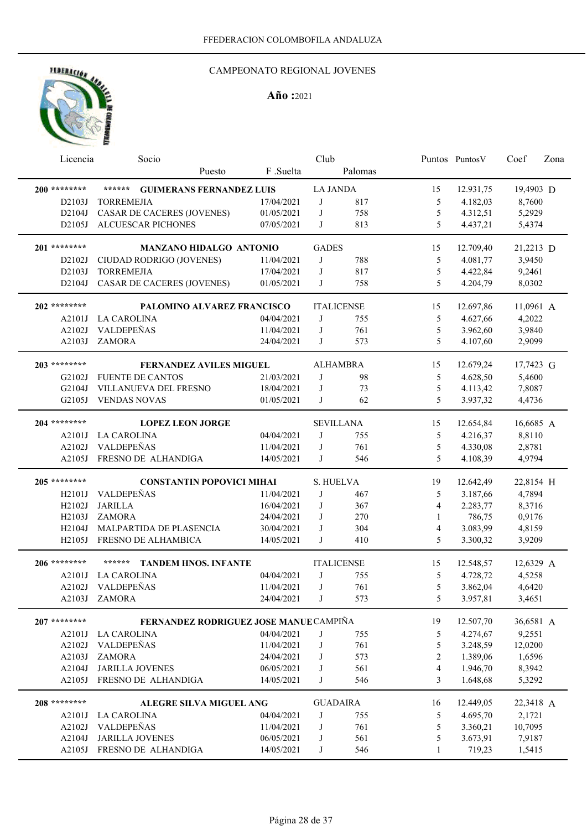

| Licencia            | Socio                                         |                          | Club            |                   |                | Puntos PuntosV       | Coef             | Zona |
|---------------------|-----------------------------------------------|--------------------------|-----------------|-------------------|----------------|----------------------|------------------|------|
|                     | Puesto                                        | F.Suelta                 |                 | Palomas           |                |                      |                  |      |
| 200 ********        | ******<br><b>GUIMERANS FERNANDEZ LUIS</b>     |                          | <b>LA JANDA</b> |                   | 15             | 12.931,75            | 19,4903 D        |      |
| D2103J              | <b>TORREMEJIA</b>                             | 17/04/2021               | J               | 817               | 5              | 4.182,03             | 8,7600           |      |
| D2104J              | CASAR DE CACERES (JOVENES)                    | 01/05/2021               | J               | 758               | 5              | 4.312,51             | 5,2929           |      |
| D2105J              | ALCUESCAR PICHONES                            | 07/05/2021               | J               | 813               | 5              | 4.437,21             | 5,4374           |      |
| 201 ********        |                                               |                          |                 |                   |                |                      |                  |      |
|                     | <b>MANZANO HIDALGO ANTONIO</b>                |                          | <b>GADES</b>    |                   | 15             | 12.709,40            | 21,2213 D        |      |
| D2102J              | CIUDAD RODRIGO (JOVENES)<br><b>TORREMEJIA</b> | 11/04/2021               | J<br>J          | 788               | 5              | 4.081,77             | 3,9450           |      |
| D2103J<br>D2104J    | <b>CASAR DE CACERES (JOVENES)</b>             | 17/04/2021<br>01/05/2021 | J               | 817<br>758        | 5<br>5         | 4.422,84<br>4.204,79 | 9,2461<br>8,0302 |      |
|                     |                                               |                          |                 |                   |                |                      |                  |      |
| 202 ********        | PALOMINO ALVAREZ FRANCISCO                    |                          |                 | <b>ITALICENSE</b> | 15             | 12.697,86            | 11,0961 A        |      |
| A2101J              | <b>LA CAROLINA</b>                            | 04/04/2021               | J               | 755               | 5              | 4.627,66             | 4,2022           |      |
| A2102J              | VALDEPEÑAS                                    | 11/04/2021               | J               | 761               | 5              | 3.962,60             | 3,9840           |      |
| A2103J              | <b>ZAMORA</b>                                 | 24/04/2021               | J               | 573               | 5              | 4.107,60             | 2,9099           |      |
| 203 ********        | <b>FERNANDEZ AVILES MIGUEL</b>                |                          |                 | <b>ALHAMBRA</b>   | 15             | 12.679,24            | 17,7423 G        |      |
| G2102J              | <b>FUENTE DE CANTOS</b>                       | 21/03/2021               | J               | 98                | 5              | 4.628,50             | 5,4600           |      |
| G2104J              | VILLANUEVA DEL FRESNO                         | 18/04/2021               | J               | 73                | 5              | 4.113,42             | 7,8087           |      |
| G2105J              | <b>VENDAS NOVAS</b>                           | 01/05/2021               | J               | 62                | 5              | 3.937,32             | 4,4736           |      |
|                     |                                               |                          |                 |                   |                |                      |                  |      |
| 204 ********        | <b>LOPEZ LEON JORGE</b>                       |                          |                 | <b>SEVILLANA</b>  | 15             | 12.654,84            | 16,6685 A        |      |
| A2101J              | <b>LA CAROLINA</b>                            | 04/04/2021               | J               | 755               | 5              | 4.216,37             | 8,8110           |      |
| A2102J              | VALDEPEÑAS                                    | 11/04/2021               | J               | 761               | 5              | 4.330,08             | 2,8781           |      |
| A2105J              | FRESNO DE ALHANDIGA                           | 14/05/2021               | J               | 546               | 5              | 4.108,39             | 4,9794           |      |
| 205 ********        | <b>CONSTANTIN POPOVICI MIHAI</b>              |                          | S. HUELVA       |                   | 19             | 12.642,49            | 22,8154 H        |      |
| H2101J              | VALDEPEÑAS                                    | 11/04/2021               | J               | 467               | 5              | 3.187,66             | 4,7894           |      |
| H2102J              | <b>JARILLA</b>                                | 16/04/2021               | J               | 367               | $\overline{4}$ | 2.283,77             | 8,3716           |      |
| H2103J              | <b>ZAMORA</b>                                 | 24/04/2021               | J               | 270               | $\mathbf{1}$   | 786,75               | 0,9176           |      |
| H <sub>2</sub> 104J | MALPARTIDA DE PLASENCIA                       | 30/04/2021               | J               | 304               | $\overline{4}$ | 3.083,99             | 4,8159           |      |
| H <sub>2</sub> 105J | FRESNO DE ALHAMBICA                           | 14/05/2021               | J               | 410               | 5              | 3.300,32             | 3,9209           |      |
| 206 ********        | ******<br><b>TANDEM HNOS. INFANTE</b>         |                          |                 |                   |                |                      |                  |      |
| A2101J              |                                               | 04/04/2021               | J               | <b>ITALICENSE</b> | 15             | 12.548,57            | 12,6329 A        |      |
|                     | <b>LA CAROLINA</b><br>A2102J VALDEPEÑAS       | 11/04/2021               | J               | 755<br>761        | 5<br>5         | 4.728,72<br>3.862,04 | 4,5258<br>4,6420 |      |
|                     | <b>ZAMORA</b>                                 |                          | J               |                   |                |                      |                  |      |
| A2103J              |                                               | 24/04/2021               |                 | 573               | 5              | 3.957,81             | 3,4651           |      |
| $207$ ********      | FERNANDEZ RODRIGUEZ JOSE MANUE CAMPIÑA        |                          |                 |                   | 19             | 12.507,70            | 36,6581 A        |      |
| A2101J              | <b>LA CAROLINA</b>                            | 04/04/2021               | J               | 755               | 5              | 4.274,67             | 9,2551           |      |
| A2102J              | VALDEPEÑAS                                    | 11/04/2021               | J               | 761               | 5              | 3.248,59             | 12,0200          |      |
| A2103J              | <b>ZAMORA</b>                                 | 24/04/2021               | J               | 573               | 2              | 1.389,06             | 1,6596           |      |
| A2104J              | <b>JARILLA JOVENES</b>                        | 06/05/2021               | J               | 561               | $\overline{4}$ | 1.946,70             | 8,3942           |      |
| A2105J              | FRESNO DE ALHANDIGA                           | 14/05/2021               | J               | 546               | 3              | 1.648,68             | 5,3292           |      |
| 208 ********        | <b>ALEGRE SILVA MIGUEL ANG</b>                |                          |                 | <b>GUADAIRA</b>   | 16             | 12.449,05            | 22,3418 A        |      |
| A2101J              | LA CAROLINA                                   | 04/04/2021               | J               | 755               | 5              | 4.695,70             | 2,1721           |      |
| A2102J              | VALDEPEÑAS                                    | 11/04/2021               | J               | 761               | $\mathfrak s$  | 3.360,21             | 10,7095          |      |
| A2104J              | JARILLA JOVENES                               | 06/05/2021               | J               | 561               | 5              | 3.673,91             | 7,9187           |      |
| A2105J              | FRESNO DE ALHANDIGA                           | 14/05/2021               | J               | 546               | 1              | 719,23               | 1,5415           |      |
|                     |                                               |                          |                 |                   |                |                      |                  |      |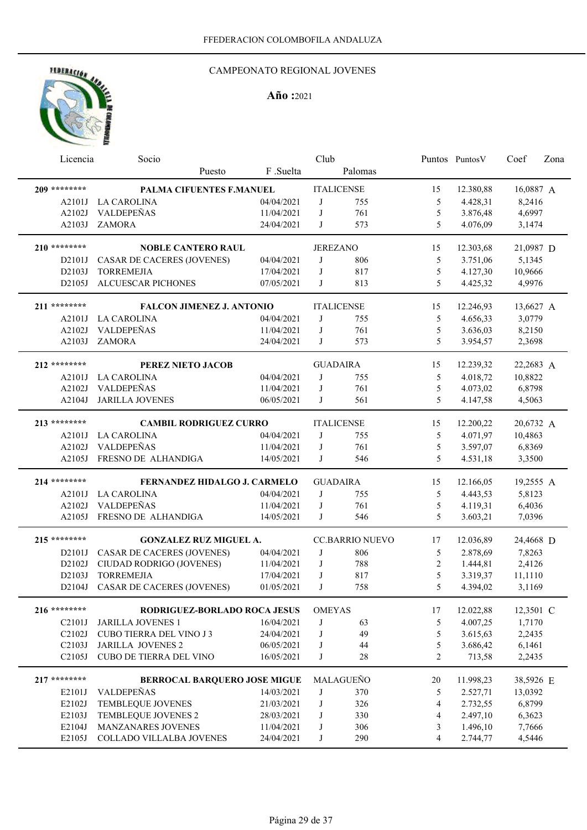## CAMPEONATO REGIONAL JOVENES

| Licencia            | Socio                             |            | Club          |                        |                | Puntos Puntos V | Coef      | Zona |
|---------------------|-----------------------------------|------------|---------------|------------------------|----------------|-----------------|-----------|------|
|                     | Puesto                            | F.Suelta   |               | Palomas                |                |                 |           |      |
| 209 ********        | PALMA CIFUENTES F.MANUEL          |            |               | <b>ITALICENSE</b>      | 15             | 12.380,88       | 16,0887 A |      |
| A2101J              | <b>LA CAROLINA</b>                | 04/04/2021 | J             | 755                    | 5              | 4.428,31        | 8,2416    |      |
| A2102J              | VALDEPEÑAS                        | 11/04/2021 | J             | 761                    | 5              | 3.876,48        | 4,6997    |      |
| A2103J              | <b>ZAMORA</b>                     | 24/04/2021 | J             | 573                    | 5              | 4.076,09        | 3,1474    |      |
| 210 ********        | <b>NOBLE CANTERO RAUL</b>         |            |               | <b>JEREZANO</b>        | 15             | 12.303,68       | 21,0987 D |      |
| D2101J              | CASAR DE CACERES (JOVENES)        | 04/04/2021 | J             | 806                    | 5              | 3.751,06        | 5,1345    |      |
| D <sub>2103</sub> J | <b>TORREMEJIA</b>                 | 17/04/2021 | J             | 817                    | 5              | 4.127,30        | 10,9666   |      |
| D2105J              | <b>ALCUESCAR PICHONES</b>         | 07/05/2021 | J             | 813                    | 5              | 4.425,32        | 4,9976    |      |
| 211 ********        | <b>FALCON JIMENEZ J. ANTONIO</b>  |            |               | <b>ITALICENSE</b>      | 15             | 12.246,93       | 13,6627 A |      |
| A2101J              | <b>LA CAROLINA</b>                | 04/04/2021 | J             | 755                    | 5              | 4.656,33        | 3,0779    |      |
| A2102J              | VALDEPEÑAS                        | 11/04/2021 | J             | 761                    | 5              | 3.636,03        | 8,2150    |      |
| A2103J              | <b>ZAMORA</b>                     | 24/04/2021 | J             | 573                    | 5              | 3.954,57        | 2,3698    |      |
| 212 ********        | PEREZ NIETO JACOB                 |            |               | <b>GUADAIRA</b>        | 15             | 12.239,32       | 22,2683 A |      |
| A2101J              | <b>LA CAROLINA</b>                | 04/04/2021 | J             | 755                    | 5              | 4.018,72        | 10,8822   |      |
| A2102J              | VALDEPEÑAS                        | 11/04/2021 | J             | 761                    | 5              | 4.073,02        | 6,8798    |      |
| A2104J              | <b>JARILLA JOVENES</b>            | 06/05/2021 | J             | 561                    | 5              | 4.147,58        | 4,5063    |      |
| 213 ********        | <b>CAMBIL RODRIGUEZ CURRO</b>     |            |               | <b>ITALICENSE</b>      | 15             | 12.200,22       | 20,6732 A |      |
| A2101J              | <b>LA CAROLINA</b>                | 04/04/2021 | J             | 755                    | 5              | 4.071,97        | 10,4863   |      |
| A2102J              | VALDEPEÑAS                        | 11/04/2021 | J             | 761                    | 5              | 3.597,07        | 6,8369    |      |
| A2105J              | FRESNO DE ALHANDIGA               | 14/05/2021 | J             | 546                    | 5              | 4.531,18        | 3,3500    |      |
| 214 ********        | FERNANDEZ HIDALGO J. CARMELO      |            |               | <b>GUADAIRA</b>        | 15             | 12.166,05       | 19,2555 A |      |
| A2101J              | <b>LA CAROLINA</b>                | 04/04/2021 | J             | 755                    | 5              | 4.443,53        | 5,8123    |      |
| A2102J              | VALDEPEÑAS                        | 11/04/2021 | J             | 761                    | 5              | 4.119,31        | 6,4036    |      |
| A2105J              | FRESNO DE ALHANDIGA               | 14/05/2021 | J             | 546                    | 5              | 3.603,21        | 7,0396    |      |
| 215 ********        | <b>GONZALEZ RUZ MIGUEL A.</b>     |            |               | <b>CC.BARRIO NUEVO</b> | 17             | 12.036,89       | 24,4668 D |      |
| D2101J              | <b>CASAR DE CACERES (JOVENES)</b> | 04/04/2021 | J             | 806                    | 5              | 2.878,69        | 7,8263    |      |
| D2102J              | CIUDAD RODRIGO (JOVENES)          | 11/04/2021 | J             | 788                    | $\overline{2}$ | 1.444,81        | 2,4126    |      |
| D2103J              | <b>TORREMEJIA</b>                 | 17/04/2021 | J             | 817                    | 5              | 3.319,37        | 11,1110   |      |
| D2104J              | CASAR DE CACERES (JOVENES)        | 01/05/2021 | J             | 758                    | 5              | 4.394,02        | 3,1169    |      |
| 216 ********        | RODRIGUEZ-BORLADO ROCA JESUS      |            | <b>OMEYAS</b> |                        | 17             | 12.022,88       | 12,3501 C |      |
| C2101J              | <b>JARILLA JOVENES 1</b>          | 16/04/2021 | J             | 63                     | 5              | 4.007,25        | 1,7170    |      |
| C2102J              | <b>CUBO TIERRA DEL VINO J3</b>    | 24/04/2021 | J             | 49                     | 5              | 3.615,63        | 2,2435    |      |
| C2103J              | <b>JARILLA JOVENES 2</b>          | 06/05/2021 | J             | 44                     | 5              | 3.686,42        | 6,1461    |      |
| C2105J              | CUBO DE TIERRA DEL VINO           | 16/05/2021 | J             | 28                     | $\overline{2}$ | 713,58          | 2,2435    |      |
| $217$ ********      | BERROCAL BARQUERO JOSE MIGUE      |            |               | MALAGUEÑO              | 20             | 11.998,23       | 38,5926 E |      |
| E2101J              | VALDEPEÑAS                        | 14/03/2021 | J             | 370                    | 5              | 2.527,71        | 13,0392   |      |
| E2102J              | TEMBLEQUE JOVENES                 | 21/03/2021 | J             | 326                    | 4              | 2.732,55        | 6,8799    |      |
| E2103J              | TEMBLEQUE JOVENES 2               | 28/03/2021 | J             | 330                    | 4              | 2.497,10        | 6,3623    |      |
| E2104J              | MANZANARES JOVENES                | 11/04/2021 | J             | 306                    | 3              | 1.496,10        | 7,7666    |      |
| E2105J              | COLLADO VILLALBA JOVENES          | 24/04/2021 | J             | 290                    | 4              | 2.744,77        | 4,5446    |      |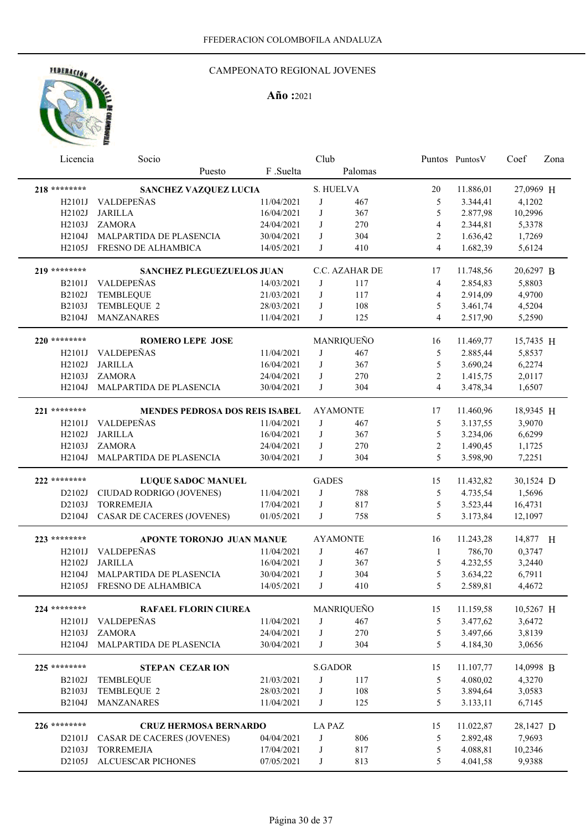## CAMPEONATO REGIONAL JOVENES

| Licencia            | Socio                             |                          | Club           |                 |                | Puntos PuntosV       | Coef      | Zona |
|---------------------|-----------------------------------|--------------------------|----------------|-----------------|----------------|----------------------|-----------|------|
|                     | Puesto                            | F .Suelta                |                | Palomas         |                |                      |           |      |
| 218 ********        | SANCHEZ VAZQUEZ LUCIA             |                          | S. HUELVA      |                 | 20             | 11.886,01            | 27,0969 H |      |
| H2101J              | VALDEPEÑAS                        | 11/04/2021               | J              | 467             | 5              | 3.344,41             | 4,1202    |      |
| H2102J              | <b>JARILLA</b>                    | 16/04/2021               | J              | 367             | 5              | 2.877,98             | 10,2996   |      |
| H2103J              | <b>ZAMORA</b>                     | 24/04/2021               | J              | 270             | $\overline{4}$ | 2.344,81             | 5,3378    |      |
| H <sub>2104J</sub>  | MALPARTIDA DE PLASENCIA           | 30/04/2021               | J              | 304             | $\overline{c}$ | 1.636,42             | 1,7269    |      |
| H2105J              | FRESNO DE ALHAMBICA               | 14/05/2021               | J              | 410             | $\overline{4}$ | 1.682,39             | 5,6124    |      |
| 219 ********        | SANCHEZ PLEGUEZUELOS JUAN         |                          |                | C.C. AZAHAR DE  | 17             | 11.748,56            | 20,6297 B |      |
| <b>B2101J</b>       | VALDEPEÑAS                        | 14/03/2021               | J              | 117             | 4              | 2.854,83             | 5,8803    |      |
| B2102J              | TEMBLEQUE                         | 21/03/2021               | J              | 117             | 4              | 2.914,09             | 4,9700    |      |
| B2103J              | TEMBLEQUE 2                       | 28/03/2021               | J              | 108             | 5              | 3.461,74             | 4,5204    |      |
| B2104J              | <b>MANZANARES</b>                 | 11/04/2021               | J              | 125             | $\overline{4}$ | 2.517,90             | 5,2590    |      |
| 220 ********        | <b>ROMERO LEPE JOSE</b>           |                          |                | MANRIQUEÑO      | 16             | 11.469,77            | 15,7435 H |      |
| H2101J              | VALDEPEÑAS                        | 11/04/2021               | J              | 467             | 5              | 2.885,44             | 5,8537    |      |
| H2102J              | <b>JARILLA</b>                    | 16/04/2021               | J              | 367             | $\mathfrak s$  | 3.690,24             | 6,2274    |      |
| H2103J              | <b>ZAMORA</b>                     | 24/04/2021               | J              | 270             | $\overline{2}$ | 1.415,75             | 2,0117    |      |
| H2104J              | MALPARTIDA DE PLASENCIA           | 30/04/2021               | J              | 304             | 4              | 3.478,34             | 1,6507    |      |
| 221 ********        | MENDES PEDROSA DOS REIS ISABEL    |                          |                | <b>AYAMONTE</b> | 17             | 11.460,96            | 18,9345 H |      |
| H2101J              | VALDEPEÑAS                        | 11/04/2021               | J              | 467             | 5              | 3.137,55             | 3,9070    |      |
| H2102J              | <b>JARILLA</b>                    | 16/04/2021               | J              | 367             | 5              | 3.234,06             | 6,6299    |      |
| H2103J              | <b>ZAMORA</b>                     | 24/04/2021               | J              | 270             | 2              | 1.490,45             | 1,1725    |      |
| H2104J              | MALPARTIDA DE PLASENCIA           | 30/04/2021               | J              | 304             | 5              | 3.598,90             | 7,2251    |      |
| 222 ********        | LUQUE SADOC MANUEL                |                          | <b>GADES</b>   |                 | 15             | 11.432,82            | 30,1524 D |      |
|                     |                                   |                          | J              |                 |                |                      |           |      |
| D2102J              | CIUDAD RODRIGO (JOVENES)          | 11/04/2021               |                | 788             | 5              | 4.735,54             | 1,5696    |      |
| D2103J<br>D2104J    | <b>TORREMEJIA</b>                 | 17/04/2021<br>01/05/2021 | J<br>J         | 817<br>758      | 5<br>5         | 3.523,44<br>3.173,84 | 16,4731   |      |
|                     | CASAR DE CACERES (JOVENES)        |                          |                |                 |                |                      | 12,1097   |      |
| 223 ********        | APONTE TORONJO JUAN MANUE         |                          |                | <b>AYAMONTE</b> | 16             | 11.243,28            | 14,877 H  |      |
| H2101J              | VALDEPEÑAS                        | 11/04/2021               | J              | 467             | 1              | 786,70               | 0,3747    |      |
| H2102J              | <b>JARILLA</b>                    | 16/04/2021               | J              | 367             | 5              | 4.232,55             | 3,2440    |      |
| H <sub>2</sub> 104J | MALPARTIDA DE PLASENCIA           | 30/04/2021               | J              | 304             | 5              | 3.634,22             | 6,7911    |      |
| H2105J              | FRESNO DE ALHAMBICA               | 14/05/2021               | J              | 410             | 5              | 2.589,81             | 4,4672    |      |
| 224 ********        | <b>RAFAEL FLORIN CIUREA</b>       |                          |                | MANRIQUEÑO      | 15             | 11.159,58            | 10,5267 H |      |
| H2101J              | VALDEPEÑAS                        | 11/04/2021               | J              | 467             | 5              | 3.477,62             | 3,6472    |      |
| H2103J              | <b>ZAMORA</b>                     | 24/04/2021               | J              | 270             | 5              | 3.497,66             | 3,8139    |      |
| H2104J              | MALPARTIDA DE PLASENCIA           | 30/04/2021               | J              | 304             | 5              | 4.184,30             | 3,0656    |      |
| 225 ********        | <b>STEPAN CEZAR ION</b>           |                          | <b>S.GADOR</b> |                 | 15             | 11.107,77            | 14,0998 B |      |
| B2102J              | <b>TEMBLEQUE</b>                  | 21/03/2021               | J              | 117             | 5              | 4.080,02             | 4,3270    |      |
| <b>B2103J</b>       | TEMBLEQUE 2                       | 28/03/2021               | J              | 108             | 5              | 3.894,64             | 3,0583    |      |
| B2104J              | <b>MANZANARES</b>                 | 11/04/2021               | J              | 125             | 5              | 3.133,11             | 6,7145    |      |
| 226 ********        | <b>CRUZ HERMOSA BERNARDO</b>      |                          | LA PAZ         |                 | 15             | 11.022,87            | 28,1427 D |      |
| D2101J              | <b>CASAR DE CACERES (JOVENES)</b> | 04/04/2021               | J              | 806             | 5              | 2.892,48             | 7,9693    |      |
| D2103J              | <b>TORREMEJIA</b>                 | 17/04/2021               | J              | 817             | $\mathfrak s$  | 4.088,81             | 10,2346   |      |
| D2105J              | <b>ALCUESCAR PICHONES</b>         | 07/05/2021               | J              | 813             | 5              | 4.041,58             | 9,9388    |      |
|                     |                                   |                          |                |                 |                |                      |           |      |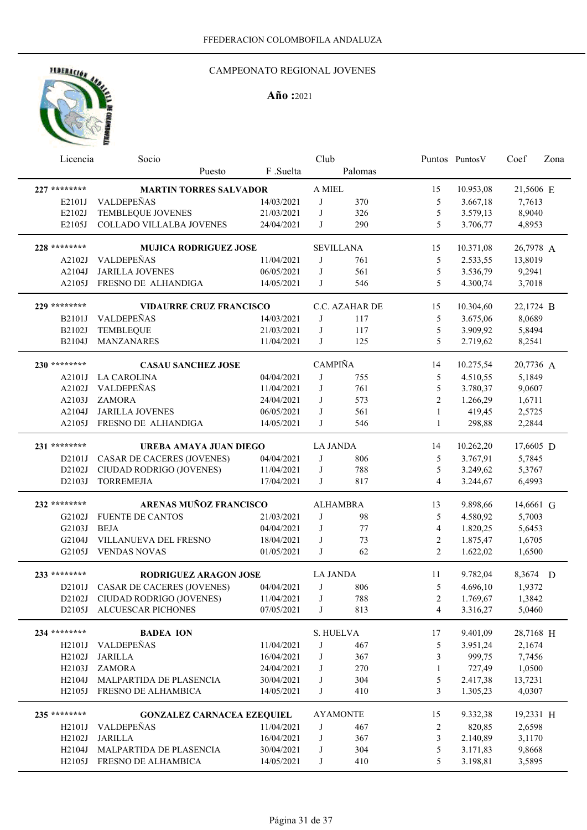## CAMPEONATO REGIONAL JOVENES

| Licencia     | Socio                             |            | Club            |                  |                          | Puntos Puntos V | Coef      | Zona |
|--------------|-----------------------------------|------------|-----------------|------------------|--------------------------|-----------------|-----------|------|
|              | Puesto                            | F.Suelta   |                 | Palomas          |                          |                 |           |      |
| 227 ******** | <b>MARTIN TORRES SALVADOR</b>     |            | A MIEL          |                  | 15                       | 10.953,08       | 21,5606 E |      |
| E2101J       | VALDEPEÑAS                        | 14/03/2021 | J               | 370              | 5                        | 3.667,18        | 7,7613    |      |
| E2102J       | TEMBLEQUE JOVENES                 | 21/03/2021 | J               | 326              | 5                        | 3.579,13        | 8,9040    |      |
| E2105J       | COLLADO VILLALBA JOVENES          | 24/04/2021 | J               | 290              | 5                        | 3.706,77        | 4,8953    |      |
| 228 ******** | <b>MUJICA RODRIGUEZ JOSE</b>      |            |                 | <b>SEVILLANA</b> | 15                       | 10.371,08       | 26,7978 A |      |
| A2102J       | <b>VALDEPEÑAS</b>                 | 11/04/2021 | J               | 761              | 5                        | 2.533,55        | 13,8019   |      |
| A2104J       | <b>JARILLA JOVENES</b>            | 06/05/2021 | J               | 561              | 5                        | 3.536,79        | 9,2941    |      |
| A2105J       | FRESNO DE ALHANDIGA               | 14/05/2021 | J               | 546              | 5                        | 4.300,74        | 3,7018    |      |
| 229 ******** | <b>VIDAURRE CRUZ FRANCISCO</b>    |            |                 | C.C. AZAHAR DE   | 15                       | 10.304,60       | 22,1724 B |      |
| B2101J       | <b>VALDEPEÑAS</b>                 | 14/03/2021 | J               | 117              | 5                        | 3.675,06        | 8,0689    |      |
| B2102J       | TEMBLEQUE                         | 21/03/2021 | J               | 117              | 5                        | 3.909,92        | 5,8494    |      |
| B2104J       | MANZANARES                        | 11/04/2021 | J               | 125              | 5                        | 2.719,62        | 8,2541    |      |
| 230 ******** | <b>CASAU SANCHEZ JOSE</b>         |            | <b>CAMPIÑA</b>  |                  | 14                       | 10.275,54       | 20,7736 A |      |
| A2101J       | <b>LA CAROLINA</b>                | 04/04/2021 | J               | 755              | 5                        | 4.510,55        | 5,1849    |      |
| A2102J       | VALDEPEÑAS                        | 11/04/2021 | J               | 761              | 5                        | 3.780,37        | 9,0607    |      |
| A2103J       | <b>ZAMORA</b>                     | 24/04/2021 | J               | 573              | $\overline{2}$           | 1.266,29        | 1,6711    |      |
| A2104J       | <b>JARILLA JOVENES</b>            | 06/05/2021 | J               | 561              | $\mathbf{1}$             | 419,45          | 2,5725    |      |
| A2105J       | FRESNO DE ALHANDIGA               | 14/05/2021 | J               | 546              | $\mathbf{1}$             | 298,88          | 2,2844    |      |
| 231 ******** | UREBA AMAYA JUAN DIEGO            |            | <b>LA JANDA</b> |                  | 14                       | 10.262,20       | 17,6605 D |      |
| D2101J       | <b>CASAR DE CACERES (JOVENES)</b> | 04/04/2021 | J               | 806              | 5                        | 3.767,91        | 5,7845    |      |
| D2102J       | CIUDAD RODRIGO (JOVENES)          | 11/04/2021 | J               | 788              | 5                        | 3.249,62        | 5,3767    |      |
| D2103J       | <b>TORREMEJIA</b>                 | 17/04/2021 | J               | 817              | $\overline{4}$           | 3.244,67        | 6,4993    |      |
| 232 ******** | ARENAS MUÑOZ FRANCISCO            |            |                 | <b>ALHAMBRA</b>  | 13                       | 9.898,66        | 14,6661 G |      |
| G2102J       | <b>FUENTE DE CANTOS</b>           | 21/03/2021 | J               | 98               | 5                        | 4.580,92        | 5,7003    |      |
| G2103J       | <b>BEJA</b>                       | 04/04/2021 | J               | 77               | $\overline{\mathcal{L}}$ | 1.820,25        | 5,6453    |      |
| G2104J       | VILLANUEVA DEL FRESNO             | 18/04/2021 | J               | 73               | 2                        | 1.875,47        | 1,6705    |      |
| G2105J       | <b>VENDAS NOVAS</b>               | 01/05/2021 | J               | 62               | $\overline{2}$           | 1.622,02        | 1,6500    |      |
| 233 ******** | <b>RODRIGUEZ ARAGON JOSE</b>      |            | <b>LA JANDA</b> |                  | 11                       | 9.782,04        | 8,3674 D  |      |
| D2101J       | <b>CASAR DE CACERES (JOVENES)</b> | 04/04/2021 | J               | 806              | 5                        | 4.696,10        | 1,9372    |      |
| D2102J       | CIUDAD RODRIGO (JOVENES)          | 11/04/2021 | J               | 788              | $\overline{c}$           | 1.769,67        | 1,3842    |      |
| D2105J       | ALCUESCAR PICHONES                | 07/05/2021 | J               | 813              | 4                        | 3.316,27        | 5,0460    |      |
| 234 ******** | <b>BADEA ION</b>                  |            |                 | S. HUELVA        | 17                       | 9.401,09        | 28,7168 H |      |
| H2101J       | <b>VALDEPEÑAS</b>                 | 11/04/2021 | J               | 467              | 5                        | 3.951,24        | 2,1674    |      |
| H2102J       | <b>JARILLA</b>                    | 16/04/2021 | J               | 367              | 3                        | 999,75          | 7,7456    |      |
| H2103J       | <b>ZAMORA</b>                     | 24/04/2021 | J               | 270              | $\mathbf{1}$             | 727,49          | 1,0500    |      |
| H2104J       | MALPARTIDA DE PLASENCIA           | 30/04/2021 | J               | 304              | 5                        | 2.417,38        | 13,7231   |      |
| H2105J       | FRESNO DE ALHAMBICA               | 14/05/2021 | J               | 410              | 3                        | 1.305,23        | 4,0307    |      |
| 235 ******** | <b>GONZALEZ CARNACEA EZEQUIEL</b> |            |                 | <b>AYAMONTE</b>  | 15                       | 9.332,38        | 19,2331 H |      |
| H2101J       | <b>VALDEPEÑAS</b>                 | 11/04/2021 | J               | 467              | 2                        | 820,85          | 2,6598    |      |
| H2102J       | <b>JARILLA</b>                    | 16/04/2021 | J               | 367              | $\mathfrak{Z}$           | 2.140,89        | 3,1170    |      |
| H2104J       | MALPARTIDA DE PLASENCIA           | 30/04/2021 | J               | 304              | $\mathfrak s$            | 3.171,83        | 9,8668    |      |
| H2105J       | FRESNO DE ALHAMBICA               | 14/05/2021 | J               | 410              | 5                        | 3.198,81        | 3,5895    |      |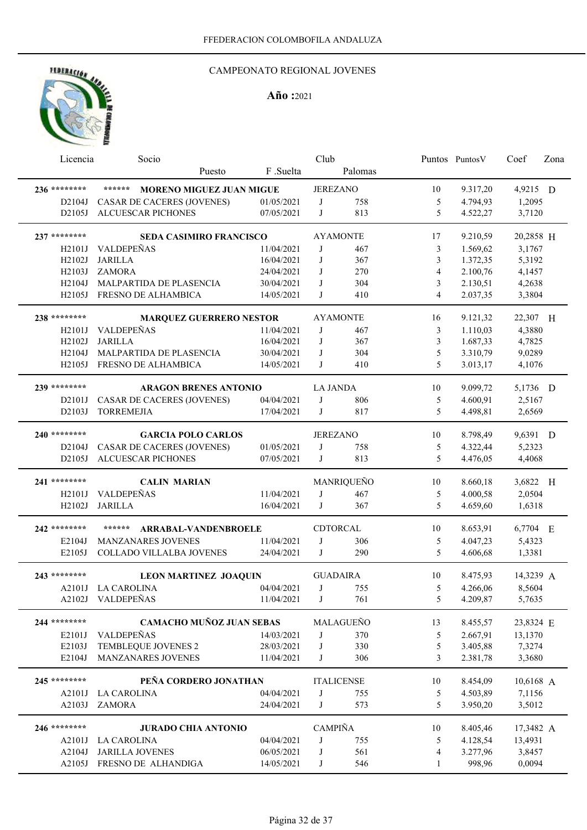

| Licencia                         | Socio                                         |                          | Club              |            |                | Puntos Puntos V      | Coef             | Zona |
|----------------------------------|-----------------------------------------------|--------------------------|-------------------|------------|----------------|----------------------|------------------|------|
|                                  | Puesto                                        | F.Suelta                 |                   | Palomas    |                |                      |                  |      |
| 236 ********                     | ******<br><b>MORENO MIGUEZ JUAN MIGUE</b>     |                          | <b>JEREZANO</b>   |            | 10             | 9.317,20             | 4,9215 D         |      |
| D2104J                           | CASAR DE CACERES (JOVENES)                    | 01/05/2021               | J                 | 758        | 5              | 4.794,93             | 1,2095           |      |
| D2105J                           | <b>ALCUESCAR PICHONES</b>                     | 07/05/2021               | J                 | 813        | 5              | 4.522,27             | 3,7120           |      |
|                                  |                                               |                          |                   |            |                |                      |                  |      |
| 237 ********                     | <b>SEDA CASIMIRO FRANCISCO</b>                |                          | <b>AYAMONTE</b>   |            | 17             | 9.210,59             | 20,2858 H        |      |
| H2101J                           | <b>VALDEPEÑAS</b>                             | 11/04/2021               | J                 | 467        | 3              | 1.569,62             | 3,1767           |      |
| H <sub>2</sub> 10 <sub>2</sub> J | <b>JARILLA</b>                                | 16/04/2021               | J                 | 367        | 3              | 1.372,35             | 5,3192           |      |
| H2103J                           | <b>ZAMORA</b>                                 | 24/04/2021               | J                 | 270        | 4              | 2.100,76             | 4,1457           |      |
| H <sub>2</sub> 104J              | MALPARTIDA DE PLASENCIA                       | 30/04/2021               | J                 | 304        | 3              | 2.130,51             | 4,2638           |      |
| H2105J                           | FRESNO DE ALHAMBICA                           | 14/05/2021               | J                 | 410        | $\overline{4}$ | 2.037,35             | 3,3804           |      |
| 238 ********                     | <b>MARQUEZ GUERRERO NESTOR</b>                |                          | <b>AYAMONTE</b>   |            | 16             | 9.121,32             | 22,307 H         |      |
| H <sub>2</sub> 101J              | <b>VALDEPEÑAS</b>                             | 11/04/2021               | J                 | 467        | 3              | 1.110,03             | 4,3880           |      |
| H2102J                           | <b>JARILLA</b>                                | 16/04/2021               | J                 | 367        | 3              | 1.687,33             | 4,7825           |      |
| H <sub>2</sub> 104J              | MALPARTIDA DE PLASENCIA                       | 30/04/2021               | J                 | 304        | 5              | 3.310,79             | 9,0289           |      |
| H2105J                           | FRESNO DE ALHAMBICA                           | 14/05/2021               | J                 | 410        | 5              | 3.013,17             | 4,1076           |      |
| 239 ********                     | <b>ARAGON BRENES ANTONIO</b>                  |                          | <b>LA JANDA</b>   |            | 10             | 9.099,72             | 5,1736 D         |      |
| D2101J                           | <b>CASAR DE CACERES (JOVENES)</b>             | 04/04/2021               | J                 | 806        | 5              | 4.600,91             | 2,5167           |      |
| D2103J                           | <b>TORREMEJIA</b>                             | 17/04/2021               | J                 | 817        | 5              | 4.498,81             | 2,6569           |      |
|                                  |                                               |                          |                   |            |                |                      |                  |      |
| 240 ********                     | <b>GARCIA POLO CARLOS</b>                     |                          | <b>JEREZANO</b>   |            | 10             | 8.798,49             | 9,6391 D         |      |
| D2104J                           | <b>CASAR DE CACERES (JOVENES)</b>             | 01/05/2021               | J                 | 758        | 5              | 4.322,44             | 5,2323           |      |
| D2105J                           | <b>ALCUESCAR PICHONES</b>                     | 07/05/2021               | J                 | 813        | 5              | 4.476,05             | 4,4068           |      |
|                                  |                                               |                          |                   |            |                |                      |                  |      |
|                                  |                                               |                          |                   |            |                |                      |                  |      |
| 241 ********                     | <b>CALIN MARIAN</b>                           |                          |                   | MANRIQUEÑO | 10             | 8.660,18             | 3,6822 H         |      |
| H2101J                           | <b>VALDEPEÑAS</b>                             | 11/04/2021               | J                 | 467        | 5              | 4.000,58             | 2,0504           |      |
| H2102J                           | <b>JARILLA</b>                                | 16/04/2021               | J                 | 367        | 5              | 4.659,60             | 1,6318           |      |
| 242 ********                     | ******<br>ARRABAL-VANDENBROELE                |                          | CDTORCAL          |            | 10             | 8.653,91             | 6,7704 E         |      |
| E2104J                           | <b>MANZANARES JOVENES</b>                     | 11/04/2021               | J                 | 306        | 5              | 4.047,23             | 5,4323           |      |
| E2105J                           | COLLADO VILLALBA JOVENES                      | 24/04/2021               | J                 | 290        | 5              | 4.606,68             | 1,3381           |      |
|                                  |                                               |                          |                   |            |                |                      |                  |      |
| 243 ********                     | <b>LEON MARTINEZ JOAQUIN</b>                  |                          | <b>GUADAIRA</b>   |            | 10             | 8.475,93             | 14,3239 A        |      |
| A2101J                           | <b>LA CAROLINA</b>                            | 04/04/2021               | J                 | 755        | 5              | 4.266.06             | 8,5604           |      |
| A2102J                           | VALDEPEÑAS                                    | 11/04/2021               | J                 | 761        | 5              | 4.209,87             | 5,7635           |      |
| 244 ********                     | <b>CAMACHO MUÑOZ JUAN SEBAS</b>               |                          |                   | MALAGUEÑO  | 13             | 8.455,57             | 23,8324 E        |      |
| E2101J                           | VALDEPEÑAS                                    | 14/03/2021               | J                 | 370        | 5              | 2.667,91             | 13,1370          |      |
| E2103J                           | TEMBLEQUE JOVENES 2                           | 28/03/2021               | J                 | 330        | 5              | 3.405,88             | 7,3274           |      |
| E2104J                           | MANZANARES JOVENES                            | 11/04/2021               | J                 | 306        | 3              | 2.381,78             | 3,3680           |      |
|                                  |                                               |                          |                   |            |                |                      |                  |      |
| 245 ********<br>A2101J           | PEÑA CORDERO JONATHAN                         |                          | <b>ITALICENSE</b> |            | 10             | 8.454,09             | 10,6168 A        |      |
| A2103J                           | <b>LA CAROLINA</b><br><b>ZAMORA</b>           | 04/04/2021<br>24/04/2021 | J<br>J            | 755<br>573 | 5<br>5         | 4.503,89<br>3.950,20 | 7,1156<br>3,5012 |      |
|                                  |                                               |                          |                   |            |                |                      |                  |      |
| 246 ********                     | <b>JURADO CHIA ANTONIO</b>                    |                          | <b>CAMPIÑA</b>    |            | 10             | 8.405,46             | 17,3482 A        |      |
| A2101J                           | <b>LA CAROLINA</b>                            | 04/04/2021               | J                 | 755        | 5              | 4.128,54             | 13,4931          |      |
| A2104J<br>A2105J                 | <b>JARILLA JOVENES</b><br>FRESNO DE ALHANDIGA | 06/05/2021<br>14/05/2021 | J<br>J            | 561<br>546 | 4<br>1         | 3.277,96<br>998,96   | 3,8457<br>0,0094 |      |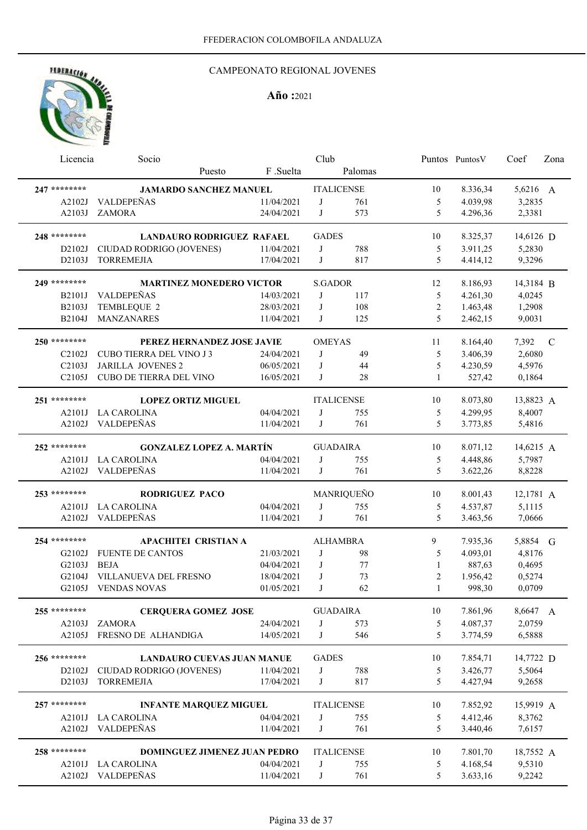## CAMPEONATO REGIONAL JOVENES

| Licencia       | Socio                                   |                          | Club            |                   |              | Puntos Puntos V      | Coef             | Zona |
|----------------|-----------------------------------------|--------------------------|-----------------|-------------------|--------------|----------------------|------------------|------|
|                | Puesto                                  | F.Suelta                 |                 | Palomas           |              |                      |                  |      |
| 247 ********   | <b>JAMARDO SANCHEZ MANUEL</b>           |                          |                 | <b>ITALICENSE</b> | 10           | 8.336,34             | 5,6216 A         |      |
| A2102J         | VALDEPEÑAS                              | 11/04/2021               | J               | 761               | 5            | 4.039,98             | 3,2835           |      |
| A2103J         | <b>ZAMORA</b>                           | 24/04/2021               | J               | 573               | 5            | 4.296,36             | 2,3381           |      |
|                |                                         |                          |                 |                   |              |                      |                  |      |
| 248 ********   | <b>LANDAURO RODRIGUEZ RAFAEL</b>        |                          | <b>GADES</b>    |                   | 10           | 8.325,37             | 14,6126 D        |      |
| D2102J         | CIUDAD RODRIGO (JOVENES)                | 11/04/2021               | J               | 788               | 5            | 3.911,25             | 5,2830           |      |
| D2103J         | <b>TORREMEJIA</b>                       | 17/04/2021               | J               | 817               | 5            | 4.414,12             | 9,3296           |      |
| 249 ********   | <b>MARTINEZ MONEDERO VICTOR</b>         |                          | <b>S.GADOR</b>  |                   | 12           | 8.186,93             | 14,3184 B        |      |
| <b>B2101J</b>  | <b>VALDEPEÑAS</b>                       | 14/03/2021               | J               | 117               | 5            | 4.261,30             | 4,0245           |      |
| B2103J         | TEMBLEQUE 2                             | 28/03/2021               | J               | 108               | $\sqrt{2}$   | 1.463,48             | 1,2908           |      |
| B2104J         | <b>MANZANARES</b>                       | 11/04/2021               | J               | 125               | 5            | 2.462,15             | 9,0031           |      |
|                |                                         |                          |                 |                   |              |                      |                  |      |
| 250 ********   | PEREZ HERNANDEZ JOSE JAVIE              |                          | <b>OMEYAS</b>   |                   | 11           | 8.164,40             | 7,392            | C    |
| C2102J         | CUBO TIERRA DEL VINO J3                 | 24/04/2021               | J               | 49                | 5            | 3.406,39             | 2,6080           |      |
| C2103J         | <b>JARILLA JOVENES 2</b>                | 06/05/2021               | J               | 44                | 5            | 4.230,59             | 4,5976           |      |
| C2105J         | CUBO DE TIERRA DEL VINO                 | 16/05/2021               | J               | 28                | $\mathbf{1}$ | 527,42               | 0,1864           |      |
| 251 ********   | <b>LOPEZ ORTIZ MIGUEL</b>               |                          |                 | <b>ITALICENSE</b> | 10           | 8.073,80             | 13,8823 A        |      |
| A2101J         | <b>LA CAROLINA</b>                      | 04/04/2021               | J               | 755               | 5            | 4.299,95             | 8,4007           |      |
|                | A2102J VALDEPEÑAS                       | 11/04/2021               | J               | 761               | 5            | 3.773,85             | 5,4816           |      |
| 252 ********   |                                         |                          |                 |                   |              |                      |                  |      |
|                | <b>GONZALEZ LOPEZ A. MARTÍN</b>         |                          | <b>GUADAIRA</b> |                   | 10           | 8.071,12             | 14,6215 A        |      |
| A2101J         | <b>LA CAROLINA</b><br>A2102J VALDEPEÑAS | 04/04/2021<br>11/04/2021 | J<br>J          | 755<br>761        | 5<br>5       | 4.448,86<br>3.622,26 | 5,7987<br>8,8228 |      |
|                |                                         |                          |                 |                   |              |                      |                  |      |
| 253 ********   | <b>RODRIGUEZ PACO</b>                   |                          |                 | MANRIQUEÑO        | 10           | 8.001,43             | 12,1781 A        |      |
| A2101J         | <b>LA CAROLINA</b>                      | 04/04/2021               | J               | 755               | 5            | 4.537,87             | 5,1115           |      |
|                | A2102J VALDEPEÑAS                       | 11/04/2021               | J               | 761               | 5            | 3.463,56             | 7,0666           |      |
| 254 ********   | <b>APACHITEI CRISTIAN A</b>             |                          |                 | <b>ALHAMBRA</b>   | 9            | 7.935,36             | 5,8854 G         |      |
| G2102J         | <b>FUENTE DE CANTOS</b>                 | 21/03/2021               | J               | 98                | 5            | 4.093,01             | 4,8176           |      |
| G2103J         | <b>BEJA</b>                             | 04/04/2021               | J               | 77                | 1            | 887,63               | 0,4695           |      |
| G2104J         | VILLANUEVA DEL FRESNO                   | 18/04/2021               | J               | 73                | 2            | 1.956,42             | 0,5274           |      |
|                | G2105J VENDAS NOVAS                     | 01/05/2021               | J               | 62                | $\mathbf{1}$ | 998,30               | 0,0709           |      |
| $255$ ******** | <b>CERQUERA GOMEZ JOSE</b>              |                          | <b>GUADAIRA</b> |                   | 10           | 7.861,96             | 8,6647 A         |      |
| A2103J         | <b>ZAMORA</b>                           | 24/04/2021               | J               | 573               | 5            | 4.087,37             | 2,0759           |      |
| A2105J         | FRESNO DE ALHANDIGA                     | 14/05/2021               | J               | 546               | 5            | 3.774,59             | 6,5888           |      |
|                |                                         |                          |                 |                   |              |                      |                  |      |
| 256 ********   | <b>LANDAURO CUEVAS JUAN MANUE</b>       |                          | <b>GADES</b>    |                   | 10           | 7.854,71             | 14,7722 D        |      |
| D2102J         | CIUDAD RODRIGO (JOVENES)                | 11/04/2021               | J               | 788               | 5            | 3.426,77             | 5,5064           |      |
| D2103J         | <b>TORREMEJIA</b>                       | 17/04/2021               | J               | 817               | 5            | 4.427,94             | 9,2658           |      |
| 257 ********   | <b>INFANTE MARQUEZ MIGUEL</b>           |                          |                 | <b>ITALICENSE</b> | 10           | 7.852,92             | 15,9919 A        |      |
| A2101J         | <b>LA CAROLINA</b>                      | 04/04/2021               | J               | 755               | 5            | 4.412,46             | 8,3762           |      |
| A2102J         | VALDEPEÑAS                              | 11/04/2021               | J               | 761               | 5            | 3.440,46             | 7,6157           |      |
|                |                                         |                          |                 |                   |              |                      |                  |      |
| 258 ********   | <b>DOMINGUEZ JIMENEZ JUAN PEDRO</b>     |                          |                 | <b>ITALICENSE</b> | 10           | 7.801,70             | 18,7552 A        |      |
| A2101J         | <b>LA CAROLINA</b>                      | 04/04/2021               | J               | 755               | 5            | 4.168,54             | 9,5310           |      |
| A2102J         | VALDEPEÑAS                              | 11/04/2021               | J               | 761               | 5            | 3.633,16             | 9,2242           |      |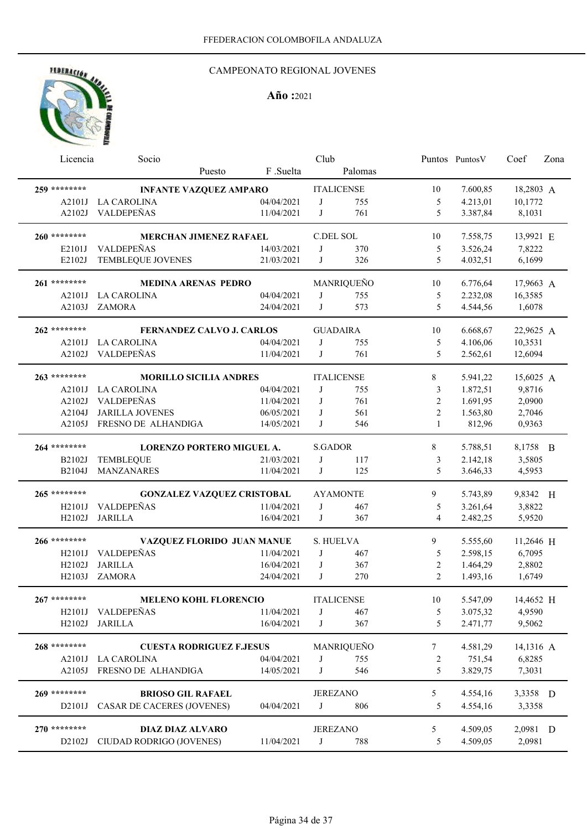## CAMPEONATO REGIONAL JOVENES

| Licencia           | Socio                             |            | Club            |                   |                | Puntos Puntos V | Coef<br>Zona |  |  |  |
|--------------------|-----------------------------------|------------|-----------------|-------------------|----------------|-----------------|--------------|--|--|--|
|                    | Puesto                            | F .Suelta  | Palomas         |                   |                |                 |              |  |  |  |
| 259 ********       | <b>INFANTE VAZQUEZ AMPARO</b>     |            |                 | <b>ITALICENSE</b> | 10             | 7.600,85        | 18,2803 A    |  |  |  |
| A2101J             | <b>LA CAROLINA</b>                | 04/04/2021 | J               | 755               | 5              | 4.213,01        | 10,1772      |  |  |  |
| A2102J             | VALDEPEÑAS                        | 11/04/2021 | J               | 761               | 5              | 3.387,84        | 8,1031       |  |  |  |
| 260 ********       | <b>MERCHAN JIMENEZ RAFAEL</b>     |            | C.DEL SOL       |                   | 10             | 7.558,75        | 13,9921 E    |  |  |  |
| E2101J             | VALDEPEÑAS                        | 14/03/2021 | J               | 370               | 5              | 3.526,24        | 7,8222       |  |  |  |
| E2102J             | TEMBLEQUE JOVENES                 | 21/03/2021 | J               | 326               | 5              | 4.032,51        | 6,1699       |  |  |  |
| 261 ********       | <b>MEDINA ARENAS PEDRO</b>        |            |                 | MANRIQUEÑO        | 10             | 6.776,64        | 17,9663 A    |  |  |  |
| A2101J             | <b>LA CAROLINA</b>                | 04/04/2021 | J               | 755               | 5              | 2.232,08        | 16,3585      |  |  |  |
| A2103J             | <b>ZAMORA</b>                     | 24/04/2021 | J               | 573               | 5              | 4.544,56        | 1,6078       |  |  |  |
| 262 ********       | <b>FERNANDEZ CALVO J. CARLOS</b>  |            | <b>GUADAIRA</b> |                   | 10             | 6.668,67        | 22,9625 A    |  |  |  |
| A2101J             | <b>LA CAROLINA</b>                | 04/04/2021 | J               | 755               | 5              | 4.106,06        | 10,3531      |  |  |  |
| A2102J             | VALDEPEÑAS                        | 11/04/2021 | J               | 761               | 5              | 2.562,61        | 12,6094      |  |  |  |
| 263 ********       | <b>MORILLO SICILIA ANDRES</b>     |            |                 | <b>ITALICENSE</b> | 8              | 5.941,22        | 15,6025 A    |  |  |  |
| A2101J             | <b>LA CAROLINA</b>                | 04/04/2021 | J               | 755               | 3              | 1.872,51        | 9,8716       |  |  |  |
| A2102J             | VALDEPEÑAS                        | 11/04/2021 | J               | 761               | $\overline{c}$ | 1.691,95        | 2,0900       |  |  |  |
| A2104J             | <b>JARILLA JOVENES</b>            | 06/05/2021 | J               | 561               | $\overline{c}$ | 1.563,80        | 2,7046       |  |  |  |
| A2105J             | FRESNO DE ALHANDIGA               | 14/05/2021 | J               | 546               | $\mathbf{1}$   | 812,96          | 0,9363       |  |  |  |
| 264 ********       | <b>LORENZO PORTERO MIGUEL A.</b>  |            | <b>S.GADOR</b>  |                   | 8              | 5.788,51        | 8,1758 B     |  |  |  |
| <b>B2102J</b>      | <b>TEMBLEQUE</b>                  | 21/03/2021 | J               | 117               | 3              | 2.142,18        | 3,5805       |  |  |  |
| B2104J             | <b>MANZANARES</b>                 | 11/04/2021 | J               | 125               | 5              | 3.646,33        | 4,5953       |  |  |  |
| 265 ********       | <b>GONZALEZ VAZQUEZ CRISTOBAL</b> |            |                 | <b>AYAMONTE</b>   | 9              | 5.743,89        | 9,8342 H     |  |  |  |
| H <sub>2101J</sub> | VALDEPEÑAS                        | 11/04/2021 | J               | 467               | 5              | 3.261,64        | 3,8822       |  |  |  |
| H2102J             | <b>JARILLA</b>                    | 16/04/2021 | J               | 367               | 4              | 2.482,25        | 5,9520       |  |  |  |
| 266 ********       | VAZQUEZ FLORIDO JUAN MANUE        |            | S. HUELVA       |                   | 9              | 5.555,60        | 11,2646 H    |  |  |  |
| H2101J             | VALDEPEÑAS                        | 11/04/2021 | J               | 467               | 5              | 2.598,15        | 6,7095       |  |  |  |
| H2102J             | <b>JARILLA</b>                    | 16/04/2021 | J               | 367               | $\overline{2}$ | 1.464,29        | 2,8802       |  |  |  |
| H2103J             | <b>ZAMORA</b>                     | 24/04/2021 | J               | 270               | $\overline{2}$ | 1.493,16        | 1,6749       |  |  |  |
| 267 ********       | <b>MELENO KOHL FLORENCIO</b>      |            |                 | <b>ITALICENSE</b> | 10             | 5.547,09        | 14,4652 H    |  |  |  |
| H2101J             | VALDEPEÑAS                        | 11/04/2021 | J               | 467               | 5              | 3.075,32        | 4,9590       |  |  |  |
| H2102J             | <b>JARILLA</b>                    | 16/04/2021 | J               | 367               | 5              | 2.471,77        | 9,5062       |  |  |  |
| 268 ********       | <b>CUESTA RODRIGUEZ F.JESUS</b>   |            |                 | MANRIQUEÑO        | 7              | 4.581,29        | 14,1316 A    |  |  |  |
| A2101J             | <b>LA CAROLINA</b>                | 04/04/2021 | J               | 755               | 2              | 751,54          | 6,8285       |  |  |  |
| A2105J             | FRESNO DE ALHANDIGA               | 14/05/2021 | J               | 546               | 5              | 3.829,75        | 7,3031       |  |  |  |
| 269 ********       | <b>BRIOSO GIL RAFAEL</b>          |            | <b>JEREZANO</b> |                   | 5              | 4.554,16        | 3,3358 D     |  |  |  |
| D2101J             | CASAR DE CACERES (JOVENES)        | 04/04/2021 | J               | 806               | 5              | 4.554,16        | 3,3358       |  |  |  |
| 270 ********       | DIAZ DIAZ ALVARO                  |            | <b>JEREZANO</b> |                   | 5              | 4.509,05        | 2,0981 D     |  |  |  |
| D2102J             | CIUDAD RODRIGO (JOVENES)          | 11/04/2021 | J               | 788               | 5              | 4.509,05        | 2,0981       |  |  |  |
|                    |                                   |            |                 |                   |                |                 |              |  |  |  |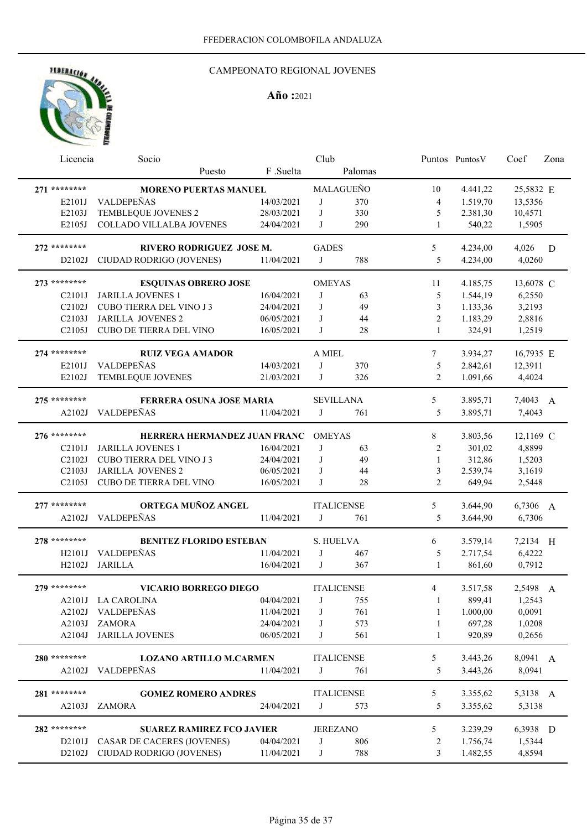## CAMPEONATO REGIONAL JOVENES

| Licencia                         | Socio                                  |                          | Club            |                   |              | Puntos PuntosV       | Coef             | Zona |
|----------------------------------|----------------------------------------|--------------------------|-----------------|-------------------|--------------|----------------------|------------------|------|
|                                  | Puesto                                 | F .Suelta                |                 | Palomas           |              |                      |                  |      |
| 271 ********                     | <b>MORENO PUERTAS MANUEL</b>           |                          |                 | MALAGUEÑO         | 10           | 4.441,22             | 25,5832 E        |      |
| E2101J                           | VALDEPEÑAS                             | 14/03/2021               | J               | 370               | 4            | 1.519,70             | 13,5356          |      |
| E2103J                           | TEMBLEQUE JOVENES 2                    | 28/03/2021               | J               | 330               | 5            | 2.381,30             | 10,4571          |      |
| E2105J                           | COLLADO VILLALBA JOVENES               | 24/04/2021               | J               | 290               | 1            | 540,22               | 1,5905           |      |
| 272 ********                     | RIVERO RODRIGUEZ JOSE M.               |                          | <b>GADES</b>    |                   | 5            | 4.234,00             | 4,026            | D    |
| D <sub>2102J</sub>               | CIUDAD RODRIGO (JOVENES)               | 11/04/2021               | J               | 788               | 5            | 4.234,00             | 4,0260           |      |
|                                  |                                        |                          |                 |                   |              |                      |                  |      |
| 273 ********                     | <b>ESQUINAS OBRERO JOSE</b>            |                          | <b>OMEYAS</b>   |                   | 11           | 4.185,75             | 13,6078 C        |      |
| C2101J                           | <b>JARILLA JOVENES 1</b>               | 16/04/2021               | J               | 63                | 5            | 1.544,19             | 6,2550           |      |
| C2102J                           | <b>CUBO TIERRA DEL VINO J3</b>         | 24/04/2021               | J               | 49                | 3            | 1.133,36             | 3,2193           |      |
| C2103J                           | <b>JARILLA JOVENES 2</b>               | 06/05/2021               | J               | 44                | 2            | 1.183,29             | 2,8816           |      |
| C <sub>2105</sub> J              | CUBO DE TIERRA DEL VINO                | 16/05/2021               | J               | 28                | $\mathbf{1}$ | 324,91               | 1,2519           |      |
| 274 ********                     | <b>RUIZ VEGA AMADOR</b>                |                          | A MIEL          |                   | 7            | 3.934,27             | 16,7935 E        |      |
| E2101J                           | VALDEPEÑAS                             | 14/03/2021               | J               | 370               | 5            | 2.842,61             | 12,3911          |      |
| E2102J                           | TEMBLEQUE JOVENES                      | 21/03/2021               | J               | 326               | 2            | 1.091,66             | 4,4024           |      |
| 275 ********                     |                                        |                          |                 |                   |              |                      |                  |      |
| A2102J                           | FERRERA OSUNA JOSE MARIA<br>VALDEPEÑAS |                          | J               | <b>SEVILLANA</b>  | 5            | 3.895,71             | 7,4043           | A    |
|                                  |                                        | 11/04/2021               |                 | 761               | 5            | 3.895,71             | 7,4043           |      |
| 276 ********                     | HERRERA HERMANDEZ JUAN FRANC           |                          | <b>OMEYAS</b>   |                   | 8            | 3.803,56             | 12,1169 C        |      |
| C <sub>2</sub> 10 <sub>1</sub> J | <b>JARILLA JOVENES 1</b>               | 16/04/2021               | J               | 63                | 2            | 301,02               | 4,8899           |      |
| C2102J                           | <b>CUBO TIERRA DEL VINO J3</b>         | 24/04/2021               | J               | 49                | $\mathbf{1}$ | 312,86               | 1,5203           |      |
| C2103J                           | <b>JARILLA JOVENES 2</b>               | 06/05/2021               | J               | 44                | 3            | 2.539,74             | 3,1619           |      |
| C <sub>2</sub> 105J              | CUBO DE TIERRA DEL VINO                | 16/05/2021               | J               | 28                | 2            | 649,94               | 2,5448           |      |
| 277 ********                     | ORTEGA MUÑOZ ANGEL                     |                          |                 | <b>ITALICENSE</b> | 5            | 3.644,90             | 6,7306 A         |      |
| A2102J                           | VALDEPEÑAS                             | 11/04/2021               | J               | 761               | 5            | 3.644,90             | 6,7306           |      |
| 278 ********                     | <b>BENITEZ FLORIDO ESTEBAN</b>         |                          | S. HUELVA       |                   |              |                      |                  |      |
| H2101J                           | VALDEPEÑAS                             |                          | J               |                   | 6            | 3.579,14<br>2.717,54 | 7,2134 H         |      |
| H2102J                           | <b>JARILLA</b>                         | 11/04/2021<br>16/04/2021 | J               | 467<br>367        | 5            |                      | 6,4222<br>0,7912 |      |
|                                  |                                        |                          |                 |                   | 1            | 861,60               |                  |      |
| 279 ********                     | <b>VICARIO BORREGO DIEGO</b>           |                          |                 | <b>ITALICENSE</b> | 4            | 3.517,58             | 2,5498 A         |      |
| A2101J                           | LA CAROLINA                            | 04/04/2021               | J               | 755               | $\mathbf{1}$ | 899,41               | 1,2543           |      |
| A2102J                           | VALDEPEÑAS                             | 11/04/2021               | J               | 761               | 1            | 1.000,00             | 0,0091           |      |
| A2103J                           | <b>ZAMORA</b>                          | 24/04/2021               | J               | 573               | 1            | 697,28               | 1,0208           |      |
| A2104J                           | <b>JARILLA JOVENES</b>                 | 06/05/2021               | J               | 561               | 1            | 920,89               | 0,2656           |      |
| 280 ********                     | <b>LOZANO ARTILLO M.CARMEN</b>         |                          |                 | <b>ITALICENSE</b> | 5            | 3.443,26             | 8,0941 A         |      |
| A2102J                           | VALDEPEÑAS                             | 11/04/2021               | J               | 761               | 5            | 3.443,26             | 8,0941           |      |
| 281 ********                     |                                        |                          |                 |                   |              |                      |                  |      |
|                                  | <b>GOMEZ ROMERO ANDRES</b>             |                          |                 | <b>ITALICENSE</b> | 5            | 3.355,62             | 5,3138 A         |      |
| A2103J                           | <b>ZAMORA</b>                          | 24/04/2021               | J               | 573               | 5            | 3.355,62             | 5,3138           |      |
| 282 ********                     | <b>SUAREZ RAMIREZ FCO JAVIER</b>       |                          | <b>JEREZANO</b> |                   | 5            | 3.239,29             | 6,3938 D         |      |
| D2101J                           | <b>CASAR DE CACERES (JOVENES)</b>      | 04/04/2021               | J               | 806               | 2            | 1.756,74             | 1,5344           |      |
| D2102J                           | CIUDAD RODRIGO (JOVENES)               | 11/04/2021               | J               | 788               | 3            | 1.482,55             | 4,8594           |      |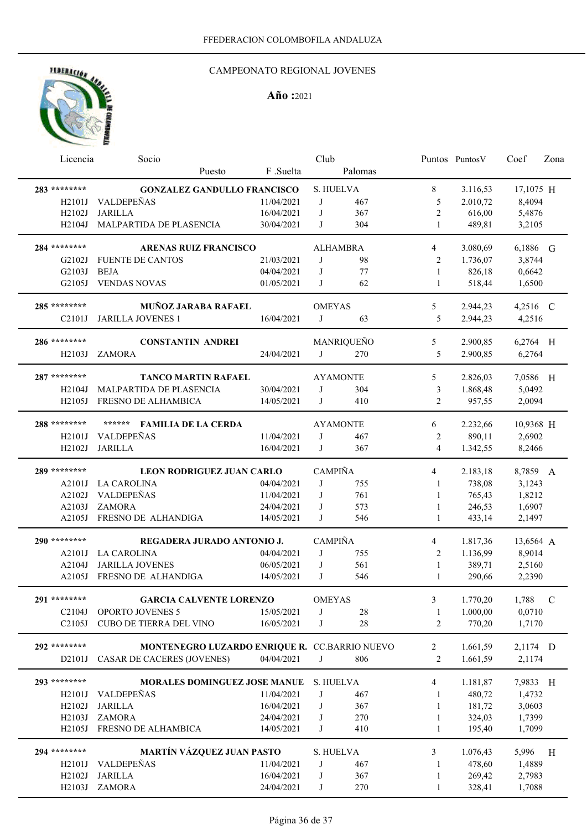## CAMPEONATO REGIONAL JOVENES

| Licencia                         | Socio                                         |            | Club           |                 |                | Puntos Puntos V | Coef      | Zona        |
|----------------------------------|-----------------------------------------------|------------|----------------|-----------------|----------------|-----------------|-----------|-------------|
|                                  | Puesto                                        | F .Suelta  |                | Palomas         |                |                 |           |             |
| 283 ********                     | <b>GONZALEZ GANDULLO FRANCISCO</b>            |            |                | S. HUELVA       | 8              | 3.116,53        | 17,1075 H |             |
| H <sub>2101J</sub>               | VALDEPEÑAS                                    | 11/04/2021 | J              | 467             | 5              | 2.010,72        | 8,4094    |             |
| H2102J                           | <b>JARILLA</b>                                | 16/04/2021 | J              | 367             | $\mathbf{2}$   | 616,00          | 5,4876    |             |
| H2104J                           | MALPARTIDA DE PLASENCIA                       | 30/04/2021 | J              | 304             | 1              | 489,81          | 3,2105    |             |
|                                  |                                               |            |                |                 |                |                 |           |             |
| 284 ********                     | <b>ARENAS RUIZ FRANCISCO</b>                  |            |                | <b>ALHAMBRA</b> | 4              | 3.080,69        | 6,1886 G  |             |
| G2102J                           | <b>FUENTE DE CANTOS</b>                       | 21/03/2021 | J              | 98              | 2              | 1.736,07        | 3,8744    |             |
| G2103J                           | <b>BEJA</b>                                   | 04/04/2021 | J              | 77              | 1              | 826,18          | 0,6642    |             |
| G2105J                           | <b>VENDAS NOVAS</b>                           | 01/05/2021 | J              | 62              | $\mathbf{1}$   | 518,44          | 1,6500    |             |
| 285 ********                     |                                               |            |                |                 |                |                 |           |             |
|                                  | MUÑOZ JARABA RAFAEL                           |            | <b>OMEYAS</b>  |                 | 5              | 2.944,23        | 4,2516 C  |             |
| C <sub>2</sub> 10 <sub>1</sub> J | <b>JARILLA JOVENES 1</b>                      | 16/04/2021 | J              | 63              | 5              | 2.944,23        | 4,2516    |             |
| 286 ********                     | <b>CONSTANTIN ANDREI</b>                      |            |                | MANRIQUEÑO      | 5              | 2.900,85        | 6,2764 H  |             |
| H2103J                           | <b>ZAMORA</b>                                 | 24/04/2021 | J              | 270             | 5              | 2.900,85        | 6,2764    |             |
|                                  |                                               |            |                |                 |                |                 |           |             |
| 287 ********                     | <b>TANCO MARTIN RAFAEL</b>                    |            |                | <b>AYAMONTE</b> | 5              | 2.826,03        | 7,0586 H  |             |
| H <sub>2</sub> 104J              | MALPARTIDA DE PLASENCIA                       | 30/04/2021 | J              | 304             | 3              | 1.868,48        | 5,0492    |             |
| H2105J                           | FRESNO DE ALHAMBICA                           | 14/05/2021 | J              | 410             | $\overline{2}$ | 957,55          | 2,0094    |             |
| 288 ********                     | ******<br><b>FAMILIA DE LA CERDA</b>          |            |                | <b>AYAMONTE</b> | 6              | 2.232,66        | 10,9368 H |             |
| H2101J                           | <b>VALDEPEÑAS</b>                             | 11/04/2021 | J              | 467             | 2              | 890,11          | 2,6902    |             |
| H2102J                           | <b>JARILLA</b>                                | 16/04/2021 | J              | 367             | $\overline{4}$ | 1.342,55        | 8,2466    |             |
|                                  |                                               |            |                |                 |                |                 |           |             |
| 289 ********                     | LEON RODRIGUEZ JUAN CARLO                     |            | <b>CAMPIÑA</b> |                 | 4              | 2.183,18        | 8,7859 A  |             |
| A2101J                           | <b>LA CAROLINA</b>                            | 04/04/2021 | J              | 755             | 1              | 738,08          | 3,1243    |             |
| A2102J                           | VALDEPEÑAS                                    | 11/04/2021 | J              | 761             | 1              | 765,43          | 1,8212    |             |
| A2103J                           | <b>ZAMORA</b>                                 | 24/04/2021 | J              | 573             | 1              | 246,53          | 1,6907    |             |
| A2105J                           | FRESNO DE ALHANDIGA                           | 14/05/2021 | J              | 546             | $\mathbf{1}$   | 433,14          | 2,1497    |             |
| 290 ********                     | REGADERA JURADO ANTONIO J.                    |            | <b>CAMPIÑA</b> |                 | 4              | 1.817,36        | 13,6564 A |             |
| A2101J                           | <b>LA CAROLINA</b>                            | 04/04/2021 | J              | 755             | 2              | 1.136,99        | 8,9014    |             |
| A2104J                           | <b>JARILLA JOVENES</b>                        | 06/05/2021 | J              | 561             | 1              | 389,71          | 2,5160    |             |
| A2105J                           | FRESNO DE ALHANDIGA                           | 14/05/2021 | J              | 546             | 1              | 290,66          | 2,2390    |             |
|                                  |                                               |            |                |                 |                |                 |           |             |
| 291 ********                     | <b>GARCIA CALVENTE LORENZO</b>                |            | <b>OMEYAS</b>  |                 | 3              | 1.770,20        | 1,788     | $\mathbf C$ |
| C2104J                           | OPORTO JOVENES 5                              | 15/05/2021 | J              | 28              | 1              | 1.000,00        | 0,0710    |             |
| C <sub>2</sub> 105J              | CUBO DE TIERRA DEL VINO                       | 16/05/2021 | J              | $28\,$          | 2              | 770,20          | 1,7170    |             |
| 292 ********                     | MONTENEGRO LUZARDO ENRIQUE R. CC.BARRIO NUEVO |            |                |                 | 2              | 1.661,59        | 2,1174 D  |             |
| D2101J                           | CASAR DE CACERES (JOVENES)                    | 04/04/2021 | J              | 806             | 2              | 1.661,59        | 2,1174    |             |
|                                  |                                               |            |                |                 |                |                 |           |             |
| 293 ********                     | <b>MORALES DOMINGUEZ JOSE MANUE</b>           |            | S. HUELVA      |                 | 4              | 1.181,87        | 7,9833 H  |             |
| H2101J                           | VALDEPEÑAS                                    | 11/04/2021 | J              | 467             | 1              | 480,72          | 1,4732    |             |
| H2102J                           | <b>JARILLA</b>                                | 16/04/2021 | J              | 367             | 1              | 181,72          | 3,0603    |             |
| H2103J                           | <b>ZAMORA</b>                                 | 24/04/2021 | J              | 270             | 1              | 324,03          | 1,7399    |             |
| H2105J                           | FRESNO DE ALHAMBICA                           | 14/05/2021 | J              | 410             | 1              | 195,40          | 1,7099    |             |
| 294 ********                     | <b>MARTÍN VÁZQUEZ JUAN PASTO</b>              |            |                | S. HUELVA       | 3              | 1.076,43        | 5,996     | H           |
| H <sub>2</sub> 101J              | VALDEPEÑAS                                    | 11/04/2021 | J              | 467             | 1              | 478,60          | 1,4889    |             |
| H2102J                           | <b>JARILLA</b>                                | 16/04/2021 | J              | 367             | 1              | 269,42          | 2,7983    |             |
| H2103J                           | ZAMORA                                        | 24/04/2021 | J              | 270             | 1              | 328,41          | 1,7088    |             |
|                                  |                                               |            |                |                 |                |                 |           |             |